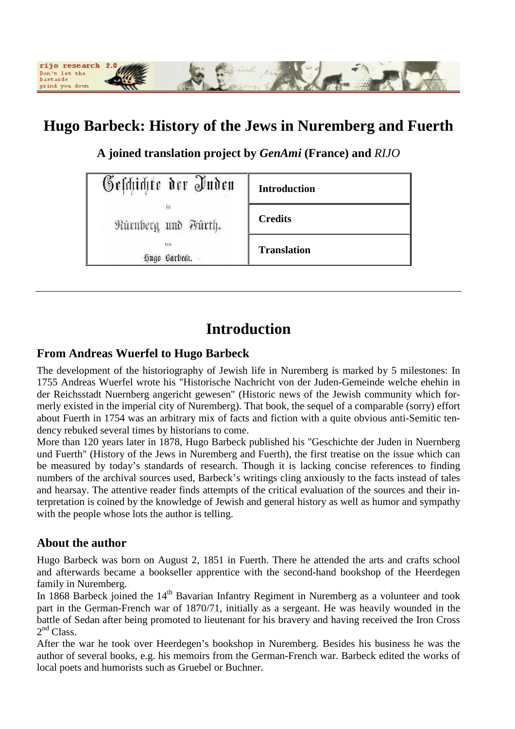

# **Hugo Barbeck: History of the Jews in Nuremberg and Fuerth**

**A joined translation project by** *GenAmi* **(France) and** *RIJO*

| <b>Geschichte der Inden</b> | <b>Introduction</b> |
|-----------------------------|---------------------|
| in<br>Nürnberg und Fürth.   | <b>Credits</b>      |
| 003<br>Hngo Barbeck. -      | <b>Translation</b>  |

# **Introduction**

#### **From Andreas Wuerfel to Hugo Barbeck**

The development of the historiography of Jewish life in Nuremberg is marked by 5 milestones: In 1755 Andreas Wuerfel wrote his "Historische Nachricht von der Juden-Gemeinde welche ehehin in der Reichsstadt Nuernberg angericht gewesen" (Historic news of the Jewish community which formerly existed in the imperial city of Nuremberg). That book, the sequel of a comparable (sorry) effort about Fuerth in 1754 was an arbitrary mix of facts and fiction with a quite obvious anti-Semitic tendency rebuked several times by historians to come.

More than 120 years later in 1878, Hugo Barbeck published his "Geschichte der Juden in Nuernberg und Fuerth" (History of the Jews in Nuremberg and Fuerth), the first treatise on the issue which can be measured by today's standards of research. Though it is lacking concise references to finding numbers of the archival sources used, Barbeck's writings cling anxiously to the facts instead of tales and hearsay. The attentive reader finds attempts of the critical evaluation of the sources and their interpretation is coined by the knowledge of Jewish and general history as well as humor and sympathy with the people whose lots the author is telling.

#### **About the author**

Hugo Barbeck was born on August 2, 1851 in Fuerth. There he attended the arts and crafts school and afterwards became a bookseller apprentice with the second-hand bookshop of the Heerdegen family in Nuremberg.

In 1868 Barbeck joined the  $14<sup>th</sup>$  Bavarian Infantry Regiment in Nuremberg as a volunteer and took part in the German-French war of 1870/71, initially as a sergeant. He was heavily wounded in the battle of Sedan after being promoted to lieutenant for his bravery and having received the Iron Cross  $2<sup>nd</sup> Class.$ 

After the war he took over Heerdegen's bookshop in Nuremberg. Besides his business he was the author of several books, e.g. his memoirs from the German-French war. Barbeck edited the works of local poets and humorists such as Gruebel or Buchner.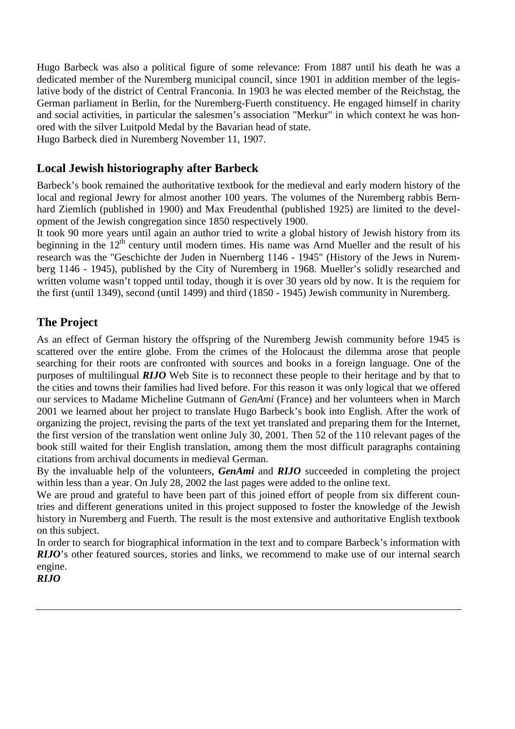Hugo Barbeck was also a political figure of some relevance: From 1887 until his death he was a dedicated member of the Nuremberg municipal council, since 1901 in addition member of the legislative body of the district of Central Franconia. In 1903 he was elected member of the Reichstag, the German parliament in Berlin, for the Nuremberg-Fuerth constituency. He engaged himself in charity and social activities, in particular the salesmen's association "Merkur" in which context he was honored with the silver Luitpold Medal by the Bavarian head of state. Hugo Barbeck died in Nuremberg November 11, 1907.

#### **Local Jewish historiography after Barbeck**

Barbeck's book remained the authoritative textbook for the medieval and early modern history of the local and regional Jewry for almost another 100 years. The volumes of the Nuremberg rabbis Bernhard Ziemlich (published in 1900) and Max Freudenthal (published 1925) are limited to the development of the Jewish congregation since 1850 respectively 1900.

It took 90 more years until again an author tried to write a global history of Jewish history from its beginning in the  $12<sup>th</sup>$  century until modern times. His name was Arnd Mueller and the result of his research was the "Geschichte der Juden in Nuernberg 1146 - 1945" (History of the Jews in Nuremberg 1146 - 1945), published by the City of Nuremberg in 1968. Mueller's solidly researched and written volume wasn't topped until today, though it is over 30 years old by now. It is the requiem for the first (until 1349), second (until 1499) and third (1850 - 1945) Jewish community in Nuremberg.

#### **The Project**

As an effect of German history the offspring of the Nuremberg Jewish community before 1945 is scattered over the entire globe. From the crimes of the Holocaust the dilemma arose that people searching for their roots are confronted with sources and books in a foreign language. One of the purposes of multilingual *RIJO* Web Site is to reconnect these people to their heritage and by that to the cities and towns their families had lived before. For this reason it was only logical that we offered our services to Madame Micheline Gutmann of *GenAmi* (France) and her volunteers when in March 2001 we learned about her project to translate Hugo Barbeck's book into English. After the work of organizing the project, revising the parts of the text yet translated and preparing them for the Internet, the first version of the translation went online July 30, 2001. Then 52 of the 110 relevant pages of the book still waited for their English translation, among them the most difficult paragraphs containing citations from archival documents in medieval German.

By the invaluable help of the volunteers, *GenAmi* and *RIJO* succeeded in completing the project within less than a year. On July 28, 2002 the last pages were added to the online text.

We are proud and grateful to have been part of this joined effort of people from six different countries and different generations united in this project supposed to foster the knowledge of the Jewish history in Nuremberg and Fuerth. The result is the most extensive and authoritative English textbook on this subject.

In order to search for biographical information in the text and to compare Barbeck's information with *RIJO*'s other featured sources, stories and links, we recommend to make use of our internal search engine.

*RIJO*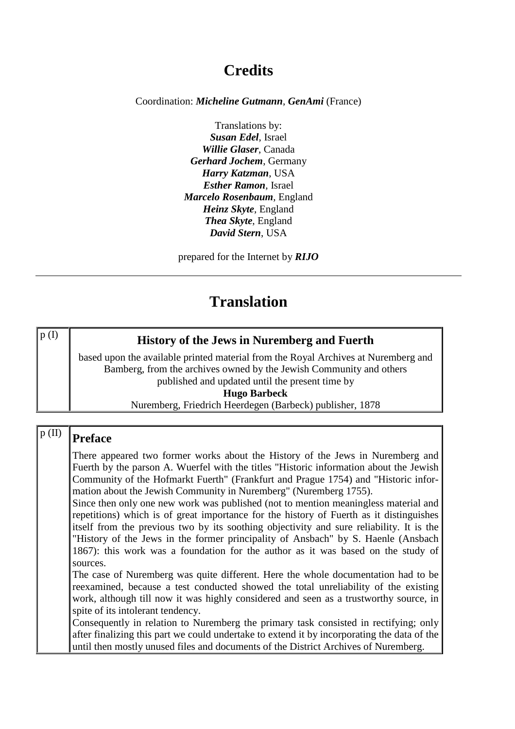# **Credits**

Coordination: *Micheline Gutmann*, *GenAmi* (France)

Translations by: *Susan Edel*, Israel *Willie Glaser*, Canada *Gerhard Jochem*, Germany *Harry Katzman*, USA *Esther Ramon*, Israel *Marcelo Rosenbaum*, England *Heinz Skyte*, England *Thea Skyte*, England *David Stern*, USA

prepared for the Internet by *RIJO*

## **Translation**

| p(I) | <b>History of the Jews in Nuremberg and Fuerth</b>                                 |
|------|------------------------------------------------------------------------------------|
|      | based upon the available printed material from the Royal Archives at Nuremberg and |
|      | Bamberg, from the archives owned by the Jewish Community and others                |
|      | published and updated until the present time by                                    |
|      | <b>Hugo Barbeck</b>                                                                |
|      | Nuremberg, Friedrich Heerdegen (Barbeck) publisher, 1878                           |

## $p$  (II)  $\sqrt{P_{\text{refac}}$

There appeared two former works about the History of the Jews in Nuremberg and Fuerth by the parson A. Wuerfel with the titles "Historic information about the Jewish Community of the Hofmarkt Fuerth" (Frankfurt and Prague 1754) and "Historic information about the Jewish Community in Nuremberg" (Nuremberg 1755).

Since then only one new work was published (not to mention meaningless material and repetitions) which is of great importance for the history of Fuerth as it distinguishes itself from the previous two by its soothing objectivity and sure reliability. It is the "History of the Jews in the former principality of Ansbach" by S. Haenle (Ansbach 1867): this work was a foundation for the author as it was based on the study of sources.

The case of Nuremberg was quite different. Here the whole documentation had to be reexamined, because a test conducted showed the total unreliability of the existing work, although till now it was highly considered and seen as a trustworthy source, in spite of its intolerant tendency.

Consequently in relation to Nuremberg the primary task consisted in rectifying; only after finalizing this part we could undertake to extend it by incorporating the data of the until then mostly unused files and documents of the District Archives of Nuremberg.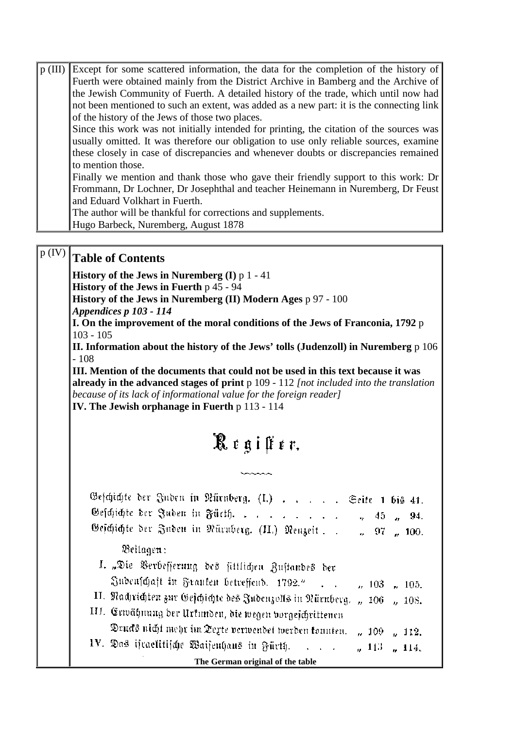| p (III) | Except for some scattered information, the data for the completion of the history of     |
|---------|------------------------------------------------------------------------------------------|
|         | Fuerth were obtained mainly from the District Archive in Bamberg and the Archive of      |
|         | the Jewish Community of Fuerth. A detailed history of the trade, which until now had     |
|         | not been mentioned to such an extent, was added as a new part: it is the connecting link |
|         | of the history of the Jews of those two places.                                          |
|         | Since this work was not initially intended for printing, the citation of the sources was |
|         | usually omitted. It was therefore our obligation to use only reliable sources, examine   |
|         | these closely in case of discrepancies and whenever doubts or discrepancies remained     |
|         | to mention those.                                                                        |
|         | Finally we mention and thank those who gave their friendly support to this work: Dr      |
|         | Frommann, Dr Lochner, Dr Josephthal and teacher Heinemann in Nuremberg, Dr Feust         |
|         | and Eduard Volkhart in Fuerth.                                                           |
|         | The author will be thankful for corrections and supplements.                             |
|         | Hugo Barbeck, Nuremberg, August 1878                                                     |

# p (IV) **Table of Contents**

**History of the Jews in Nuremberg (I)** p 1 - 41

**History of the Jews in Fuerth** p 45 - 94

**History of the Jews in Nuremberg (II) Modern Ages** p 97 - 100

*Appendices p 103 - 114*

**I. On the improvement of the moral conditions of the Jews of Franconia, 1792** p 103 - 105

**II. Information about the history of the Jews' tolls (Judenzoll) in Nuremberg** p 106 - 108

**III. Mention of the documents that could not be used in this text because it was already in the advanced stages of print** p 109 - 112 *[not included into the translation because of its lack of informational value for the foreign reader]* **IV. The Jewish orphanage in Fuerth** p 113 - 114

# Register.

**SAAAA** 

| Geschichte der Juden in Nürnberg. (I.) Seite 1 bis 41.                       |
|------------------------------------------------------------------------------|
| Geschichte Der Juden in Fücth.<br>$v_2 = 45$ $v_3 = 94$ .                    |
| Geschichte der Juden in Nüruberg. (II.) Neuzeit ", 97 ", 100.                |
| Beilagen:                                                                    |
| I. "Die Verbesserung des sittlichen Zustandes der                            |
| Judenfchaft in Franken betreffend. 1792."<br>$\mu$ 103 $\mu$ 105.            |
| II. Nadjrichten zur Gejchichte des Judenzolls in Nürnberg. "106 "108.        |
| III. Erwähnung der Urkunden, die wegen vorgejchrittenen                      |
| Drucks nicht mehr im Texte verwendet werden tonnten.<br>$\mu$ 109 $\mu$ 112. |
| IV. Das ifraelitische Waisenhaus in Fürth. " 113 " 114.                      |
| The German original of the table                                             |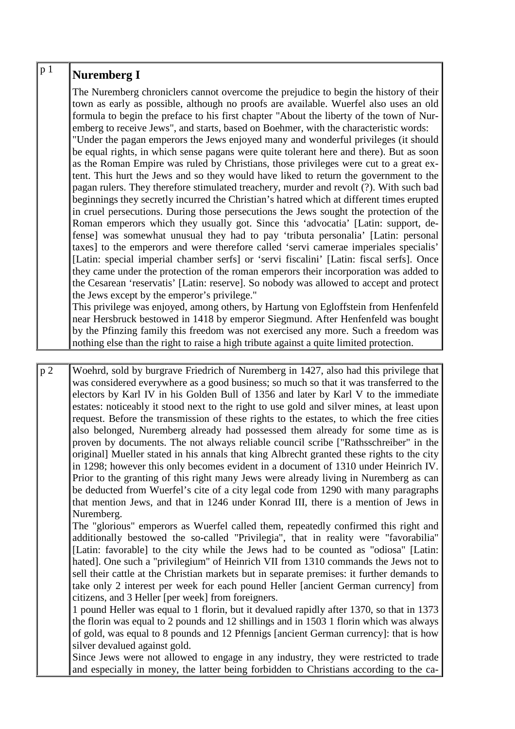| p <sub>1</sub> | <b>Nuremberg I</b>                                                                                                                                                                                                                                                                                                                                                                                                                                                                                                                                                                                                                                                                                                                                                                                                                                                                                                                                                                                                                                                                                                                                                                                                                                                                                                                                                                                                                                                                                                                                                             |
|----------------|--------------------------------------------------------------------------------------------------------------------------------------------------------------------------------------------------------------------------------------------------------------------------------------------------------------------------------------------------------------------------------------------------------------------------------------------------------------------------------------------------------------------------------------------------------------------------------------------------------------------------------------------------------------------------------------------------------------------------------------------------------------------------------------------------------------------------------------------------------------------------------------------------------------------------------------------------------------------------------------------------------------------------------------------------------------------------------------------------------------------------------------------------------------------------------------------------------------------------------------------------------------------------------------------------------------------------------------------------------------------------------------------------------------------------------------------------------------------------------------------------------------------------------------------------------------------------------|
|                | The Nuremberg chroniclers cannot overcome the prejudice to begin the history of their<br>town as early as possible, although no proofs are available. Wuerfel also uses an old<br>formula to begin the preface to his first chapter "About the liberty of the town of Nur-<br>emberg to receive Jews", and starts, based on Boehmer, with the characteristic words:<br>"Under the pagan emperors the Jews enjoyed many and wonderful privileges (it should<br>be equal rights, in which sense pagans were quite tolerant here and there). But as soon<br>as the Roman Empire was ruled by Christians, those privileges were cut to a great ex-<br>tent. This hurt the Jews and so they would have liked to return the government to the<br>pagan rulers. They therefore stimulated treachery, murder and revolt (?). With such bad<br>beginnings they secretly incurred the Christian's hatred which at different times erupted<br>in cruel persecutions. During those persecutions the Jews sought the protection of the<br>Roman emperors which they usually got. Since this 'advocatia' [Latin: support, de-<br>fense] was somewhat unusual they had to pay 'tributa personalia' [Latin: personal]<br>taxes] to the emperors and were therefore called 'servi camerae imperiales specialis'<br>[Latin: special imperial chamber serfs] or 'servi fiscalini' [Latin: fiscal serfs]. Once<br>they came under the protection of the roman emperors their incorporation was added to<br>the Cesarean 'reservatis' [Latin: reserve]. So nobody was allowed to accept and protect |
|                | the Jews except by the emperor's privilege."                                                                                                                                                                                                                                                                                                                                                                                                                                                                                                                                                                                                                                                                                                                                                                                                                                                                                                                                                                                                                                                                                                                                                                                                                                                                                                                                                                                                                                                                                                                                   |
|                | This privilege was enjoyed, among others, by Hartung von Egloffstein from Henfenfeld<br>near Hersbruck bestowed in 1418 by emperor Siegmund. After Henfenfeld was bought                                                                                                                                                                                                                                                                                                                                                                                                                                                                                                                                                                                                                                                                                                                                                                                                                                                                                                                                                                                                                                                                                                                                                                                                                                                                                                                                                                                                       |
|                | by the Pfinzing family this freedom was not exercised any more. Such a freedom was                                                                                                                                                                                                                                                                                                                                                                                                                                                                                                                                                                                                                                                                                                                                                                                                                                                                                                                                                                                                                                                                                                                                                                                                                                                                                                                                                                                                                                                                                             |
|                | nothing else than the right to raise a high tribute against a quite limited protection.                                                                                                                                                                                                                                                                                                                                                                                                                                                                                                                                                                                                                                                                                                                                                                                                                                                                                                                                                                                                                                                                                                                                                                                                                                                                                                                                                                                                                                                                                        |

p 2 Woehrd, sold by burgrave Friedrich of Nuremberg in 1427, also had this privilege that was considered everywhere as a good business; so much so that it was transferred to the electors by Karl IV in his Golden Bull of 1356 and later by Karl V to the immediate estates: noticeably it stood next to the right to use gold and silver mines, at least upon request. Before the transmission of these rights to the estates, to which the free cities also belonged, Nuremberg already had possessed them already for some time as is proven by documents. The not always reliable council scribe ["Rathsschreiber" in the original] Mueller stated in his annals that king Albrecht granted these rights to the city in 1298; however this only becomes evident in a document of 1310 under Heinrich IV. Prior to the granting of this right many Jews were already living in Nuremberg as can be deducted from Wuerfel's cite of a city legal code from 1290 with many paragraphs that mention Jews, and that in 1246 under Konrad III, there is a mention of Jews in Nuremberg.

The "glorious" emperors as Wuerfel called them, repeatedly confirmed this right and additionally bestowed the so-called "Privilegia", that in reality were "favorabilia" [Latin: favorable] to the city while the Jews had to be counted as "odiosa" [Latin: hated]. One such a "privilegium" of Heinrich VII from 1310 commands the Jews not to sell their cattle at the Christian markets but in separate premises: it further demands to take only 2 interest per week for each pound Heller [ancient German currency] from citizens, and 3 Heller [per week] from foreigners.

1 pound Heller was equal to 1 florin, but it devalued rapidly after 1370, so that in 1373 the florin was equal to 2 pounds and 12 shillings and in 1503 1 florin which was always of gold, was equal to 8 pounds and 12 Pfennigs [ancient German currency]: that is how silver devalued against gold.

Since Jews were not allowed to engage in any industry, they were restricted to trade and especially in money, the latter being forbidden to Christians according to the ca-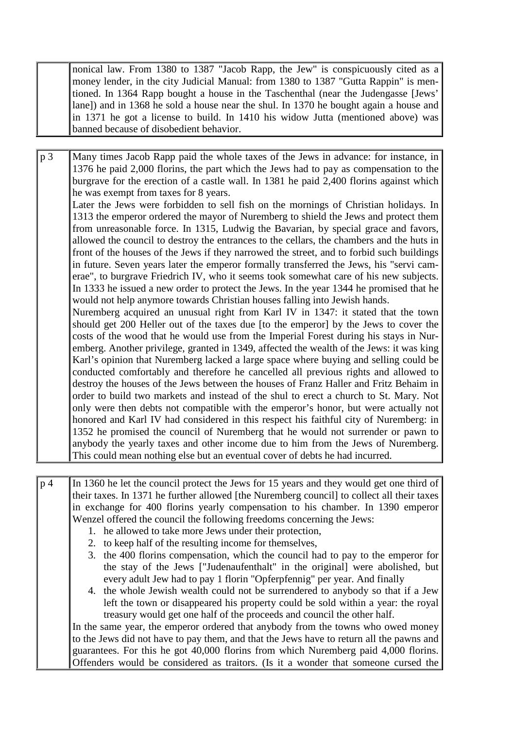nonical law. From 1380 to 1387 "Jacob Rapp, the Jew" is conspicuously cited as a money lender, in the city Judicial Manual: from 1380 to 1387 "Gutta Rappin" is mentioned. In 1364 Rapp bought a house in the Taschenthal (near the Judengasse [Jews' lane]) and in 1368 he sold a house near the shul. In 1370 he bought again a house and in 1371 he got a license to build. In 1410 his widow Jutta (mentioned above) was banned because of disobedient behavior.

p 3 Many times Jacob Rapp paid the whole taxes of the Jews in advance: for instance, in 1376 he paid 2,000 florins, the part which the Jews had to pay as compensation to the burgrave for the erection of a castle wall. In 1381 he paid 2,400 florins against which he was exempt from taxes for 8 years.

Later the Jews were forbidden to sell fish on the mornings of Christian holidays. In 1313 the emperor ordered the mayor of Nuremberg to shield the Jews and protect them from unreasonable force. In 1315, Ludwig the Bavarian, by special grace and favors, allowed the council to destroy the entrances to the cellars, the chambers and the huts in front of the houses of the Jews if they narrowed the street, and to forbid such buildings in future. Seven years later the emperor formally transferred the Jews, his "servi camerae", to burgrave Friedrich IV, who it seems took somewhat care of his new subjects. In 1333 he issued a new order to protect the Jews. In the year 1344 he promised that he would not help anymore towards Christian houses falling into Jewish hands.

Nuremberg acquired an unusual right from Karl IV in 1347: it stated that the town should get 200 Heller out of the taxes due [to the emperor] by the Jews to cover the costs of the wood that he would use from the Imperial Forest during his stays in Nuremberg. Another privilege, granted in 1349, affected the wealth of the Jews: it was king Karl's opinion that Nuremberg lacked a large space where buying and selling could be conducted comfortably and therefore he cancelled all previous rights and allowed to destroy the houses of the Jews between the houses of Franz Haller and Fritz Behaim in order to build two markets and instead of the shul to erect a church to St. Mary. Not only were then debts not compatible with the emperor's honor, but were actually not honored and Karl IV had considered in this respect his faithful city of Nuremberg: in 1352 he promised the council of Nuremberg that he would not surrender or pawn to anybody the yearly taxes and other income due to him from the Jews of Nuremberg. This could mean nothing else but an eventual cover of debts he had incurred.

p 4 In 1360 he let the council protect the Jews for 15 years and they would get one third of their taxes. In 1371 he further allowed [the Nuremberg council] to collect all their taxes in exchange for 400 florins yearly compensation to his chamber. In 1390 emperor Wenzel offered the council the following freedoms concerning the Jews:

- 1. he allowed to take more Jews under their protection,
- 2. to keep half of the resulting income for themselves,
- 3. the 400 florins compensation, which the council had to pay to the emperor for the stay of the Jews ["Judenaufenthalt" in the original] were abolished, but every adult Jew had to pay 1 florin "Opferpfennig" per year. And finally
- 4. the whole Jewish wealth could not be surrendered to anybody so that if a Jew left the town or disappeared his property could be sold within a year: the royal treasury would get one half of the proceeds and council the other half.

In the same year, the emperor ordered that anybody from the towns who owed money to the Jews did not have to pay them, and that the Jews have to return all the pawns and guarantees. For this he got 40,000 florins from which Nuremberg paid 4,000 florins. Offenders would be considered as traitors. (Is it a wonder that someone cursed the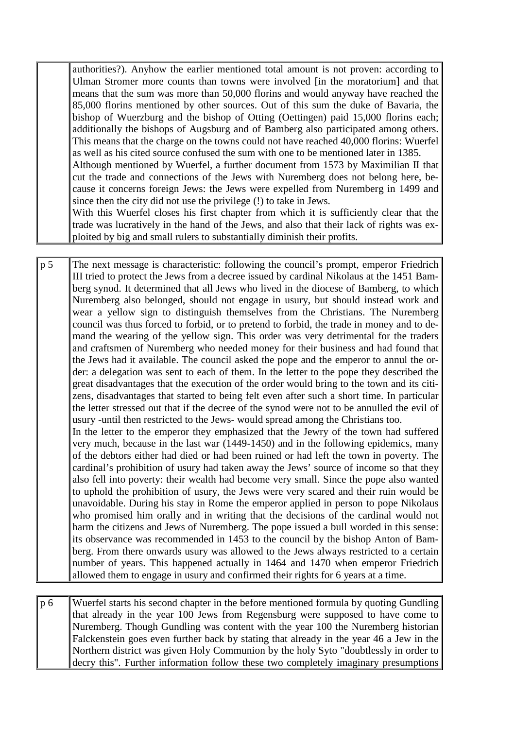authorities?). Anyhow the earlier mentioned total amount is not proven: according to Ulman Stromer more counts than towns were involved [in the moratorium] and that means that the sum was more than 50,000 florins and would anyway have reached the 85,000 florins mentioned by other sources. Out of this sum the duke of Bavaria, the bishop of Wuerzburg and the bishop of Otting (Oettingen) paid 15,000 florins each; additionally the bishops of Augsburg and of Bamberg also participated among others. This means that the charge on the towns could not have reached 40,000 florins: Wuerfel as well as his cited source confused the sum with one to be mentioned later in 1385. Although mentioned by Wuerfel, a further document from 1573 by Maximilian II that cut the trade and connections of the Jews with Nuremberg does not belong here, because it concerns foreign Jews: the Jews were expelled from Nuremberg in 1499 and since then the city did not use the privilege (!) to take in Jews. With this Wuerfel closes his first chapter from which it is sufficiently clear that the

trade was lucratively in the hand of the Jews, and also that their lack of rights was exploited by big and small rulers to substantially diminish their profits.

p 5 The next message is characteristic: following the council's prompt, emperor Friedrich III tried to protect the Jews from a decree issued by cardinal Nikolaus at the 1451 Bamberg synod. It determined that all Jews who lived in the diocese of Bamberg, to which Nuremberg also belonged, should not engage in usury, but should instead work and wear a yellow sign to distinguish themselves from the Christians. The Nuremberg council was thus forced to forbid, or to pretend to forbid, the trade in money and to demand the wearing of the yellow sign. This order was very detrimental for the traders and craftsmen of Nuremberg who needed money for their business and had found that the Jews had it available. The council asked the pope and the emperor to annul the order: a delegation was sent to each of them. In the letter to the pope they described the great disadvantages that the execution of the order would bring to the town and its citizens, disadvantages that started to being felt even after such a short time. In particular the letter stressed out that if the decree of the synod were not to be annulled the evil of usury -until then restricted to the Jews- would spread among the Christians too. In the letter to the emperor they emphasized that the Jewry of the town had suffered very much, because in the last war (1449-1450) and in the following epidemics, many of the debtors either had died or had been ruined or had left the town in poverty. The

cardinal's prohibition of usury had taken away the Jews' source of income so that they also fell into poverty: their wealth had become very small. Since the pope also wanted to uphold the prohibition of usury, the Jews were very scared and their ruin would be unavoidable. During his stay in Rome the emperor applied in person to pope Nikolaus who promised him orally and in writing that the decisions of the cardinal would not harm the citizens and Jews of Nuremberg. The pope issued a bull worded in this sense: its observance was recommended in 1453 to the council by the bishop Anton of Bamberg. From there onwards usury was allowed to the Jews always restricted to a certain number of years. This happened actually in 1464 and 1470 when emperor Friedrich allowed them to engage in usury and confirmed their rights for 6 years at a time.

p 6 Wuerfel starts his second chapter in the before mentioned formula by quoting Gundling that already in the year 100 Jews from Regensburg were supposed to have come to Nuremberg. Though Gundling was content with the year 100 the Nuremberg historian Falckenstein goes even further back by stating that already in the year 46 a Jew in the Northern district was given Holy Communion by the holy Syto "doubtlessly in order to decry this". Further information follow these two completely imaginary presumptions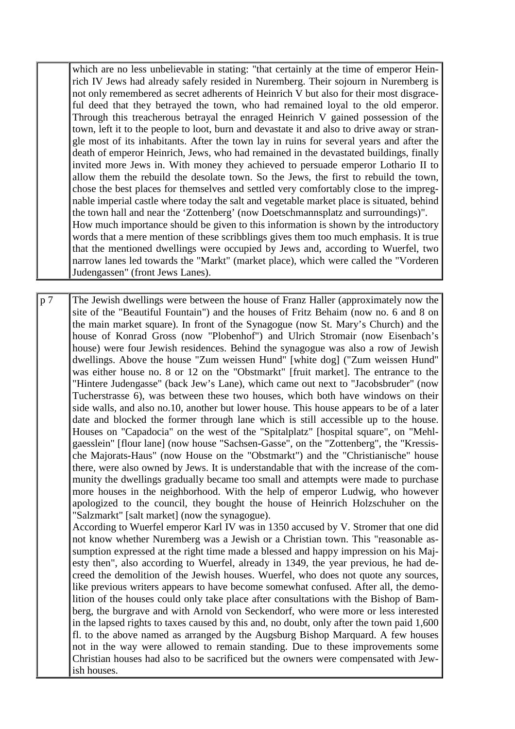which are no less unbelievable in stating: "that certainly at the time of emperor Heinrich IV Jews had already safely resided in Nuremberg. Their sojourn in Nuremberg is not only remembered as secret adherents of Heinrich V but also for their most disgraceful deed that they betrayed the town, who had remained loyal to the old emperor. Through this treacherous betrayal the enraged Heinrich V gained possession of the town, left it to the people to loot, burn and devastate it and also to drive away or strangle most of its inhabitants. After the town lay in ruins for several years and after the death of emperor Heinrich, Jews, who had remained in the devastated buildings, finally invited more Jews in. With money they achieved to persuade emperor Lothario II to allow them the rebuild the desolate town. So the Jews, the first to rebuild the town, chose the best places for themselves and settled very comfortably close to the impregnable imperial castle where today the salt and vegetable market place is situated, behind the town hall and near the 'Zottenberg' (now Doetschmannsplatz and surroundings)". How much importance should be given to this information is shown by the introductory words that a mere mention of these scribblings gives them too much emphasis. It is true that the mentioned dwellings were occupied by Jews and, according to Wuerfel, two narrow lanes led towards the "Markt" (market place), which were called the "Vorderen Judengassen" (front Jews Lanes).

p 7 The Jewish dwellings were between the house of Franz Haller (approximately now the site of the "Beautiful Fountain") and the houses of Fritz Behaim (now no. 6 and 8 on the main market square). In front of the Synagogue (now St. Mary's Church) and the house of Konrad Gross (now "Plobenhof") and Ulrich Stromair (now Eisenbach's house) were four Jewish residences. Behind the synagogue was also a row of Jewish dwellings. Above the house "Zum weissen Hund" [white dog] ("Zum weissen Hund" was either house no. 8 or 12 on the "Obstmarkt" [fruit market]. The entrance to the "Hintere Judengasse" (back Jew's Lane), which came out next to "Jacobsbruder" (now Tucherstrasse 6), was between these two houses, which both have windows on their side walls, and also no.10, another but lower house. This house appears to be of a later date and blocked the former through lane which is still accessible up to the house. Houses on "Capadocia" on the west of the "Spitalplatz" [hospital square", on "Mehlgaesslein" [flour lane] (now house "Sachsen-Gasse", on the "Zottenberg", the "Kressische Majorats-Haus" (now House on the "Obstmarkt") and the "Christianische" house there, were also owned by Jews. It is understandable that with the increase of the community the dwellings gradually became too small and attempts were made to purchase more houses in the neighborhood. With the help of emperor Ludwig, who however apologized to the council, they bought the house of Heinrich Holzschuher on the "Salzmarkt" [salt market] (now the synagogue). According to Wuerfel emperor Karl IV was in 1350 accused by V. Stromer that one did not know whether Nuremberg was a Jewish or a Christian town. This "reasonable assumption expressed at the right time made a blessed and happy impression on his Majesty then", also according to Wuerfel, already in 1349, the year previous, he had decreed the demolition of the Jewish houses. Wuerfel, who does not quote any sources,

like previous writers appears to have become somewhat confused. After all, the demolition of the houses could only take place after consultations with the Bishop of Bamberg, the burgrave and with Arnold von Seckendorf, who were more or less interested in the lapsed rights to taxes caused by this and, no doubt, only after the town paid 1,600 fl. to the above named as arranged by the Augsburg Bishop Marquard. A few houses not in the way were allowed to remain standing. Due to these improvements some Christian houses had also to be sacrificed but the owners were compensated with Jewish houses.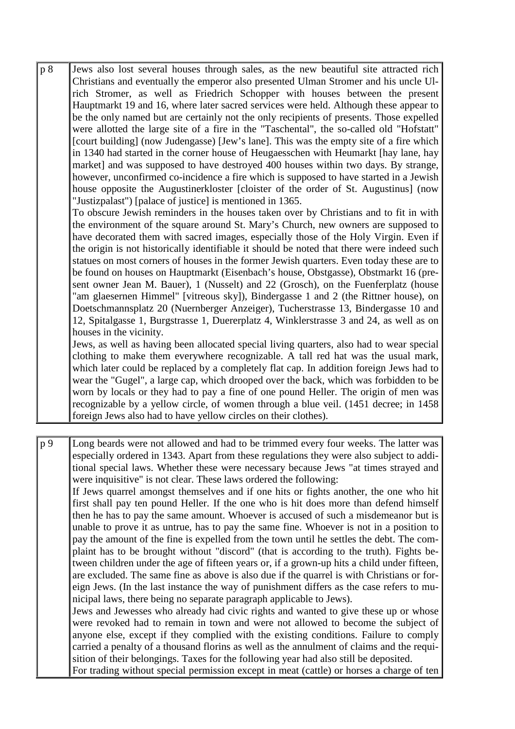p 8 Jews also lost several houses through sales, as the new beautiful site attracted rich Christians and eventually the emperor also presented Ulman Stromer and his uncle Ulrich Stromer, as well as Friedrich Schopper with houses between the present Hauptmarkt 19 and 16, where later sacred services were held. Although these appear to be the only named but are certainly not the only recipients of presents. Those expelled were allotted the large site of a fire in the "Taschental", the so-called old "Hofstatt" [court building] (now Judengasse) [Jew's lane]. This was the empty site of a fire which in 1340 had started in the corner house of Heugaesschen with Heumarkt [hay lane, hay market] and was supposed to have destroyed 400 houses within two days. By strange, however, unconfirmed co-incidence a fire which is supposed to have started in a Jewish house opposite the Augustinerkloster [cloister of the order of St. Augustinus] (now "Justizpalast") [palace of justice] is mentioned in 1365.

To obscure Jewish reminders in the houses taken over by Christians and to fit in with the environment of the square around St. Mary's Church, new owners are supposed to have decorated them with sacred images, especially those of the Holy Virgin. Even if the origin is not historically identifiable it should be noted that there were indeed such statues on most corners of houses in the former Jewish quarters. Even today these are to be found on houses on Hauptmarkt (Eisenbach's house, Obstgasse), Obstmarkt 16 (present owner Jean M. Bauer), 1 (Nusselt) and 22 (Grosch), on the Fuenferplatz (house "am glaesernen Himmel" [vitreous sky]), Bindergasse 1 and 2 (the Rittner house), on Doetschmannsplatz 20 (Nuernberger Anzeiger), Tucherstrasse 13, Bindergasse 10 and 12, Spitalgasse 1, Burgstrasse 1, Duererplatz 4, Winklerstrasse 3 and 24, as well as on houses in the vicinity.

Jews, as well as having been allocated special living quarters, also had to wear special clothing to make them everywhere recognizable. A tall red hat was the usual mark, which later could be replaced by a completely flat cap. In addition foreign Jews had to wear the "Gugel", a large cap, which drooped over the back, which was forbidden to be worn by locals or they had to pay a fine of one pound Heller. The origin of men was recognizable by a yellow circle, of women through a blue veil. (1451 decree; in 1458 foreign Jews also had to have yellow circles on their clothes).

p 9 Long beards were not allowed and had to be trimmed every four weeks. The latter was especially ordered in 1343. Apart from these regulations they were also subject to additional special laws. Whether these were necessary because Jews "at times strayed and were inquisitive" is not clear. These laws ordered the following: If Jews quarrel amongst themselves and if one hits or fights another, the one who hit first shall pay ten pound Heller. If the one who is hit does more than defend himself then he has to pay the same amount. Whoever is accused of such a misdemeanor but is unable to prove it as untrue, has to pay the same fine. Whoever is not in a position to pay the amount of the fine is expelled from the town until he settles the debt. The complaint has to be brought without "discord" (that is according to the truth). Fights between children under the age of fifteen years or, if a grown-up hits a child under fifteen, are excluded. The same fine as above is also due if the quarrel is with Christians or foreign Jews. (In the last instance the way of punishment differs as the case refers to municipal laws, there being no separate paragraph applicable to Jews). Jews and Jewesses who already had civic rights and wanted to give these up or whose were revoked had to remain in town and were not allowed to become the subject of anyone else, except if they complied with the existing conditions. Failure to comply carried a penalty of a thousand florins as well as the annulment of claims and the requisition of their belongings. Taxes for the following year had also still be deposited. For trading without special permission except in meat (cattle) or horses a charge of ten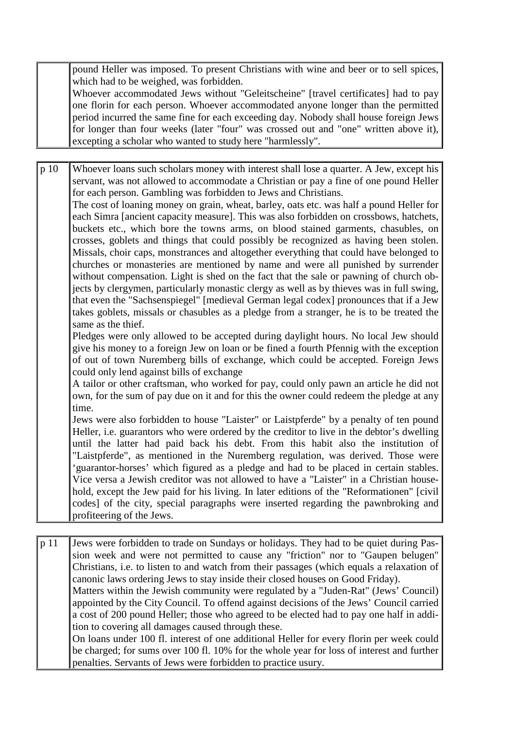pound Heller was imposed. To present Christians with wine and beer or to sell spices, which had to be weighed, was forbidden.

Whoever accommodated Jews without "Geleitscheine" [travel certificates] had to pay one florin for each person. Whoever accommodated anyone longer than the permitted period incurred the same fine for each exceeding day. Nobody shall house foreign Jews for longer than four weeks (later "four" was crossed out and "one" written above it), excepting a scholar who wanted to study here "harmlessly".

p 10 Whoever loans such scholars money with interest shall lose a quarter. A Jew, except his servant, was not allowed to accommodate a Christian or pay a fine of one pound Heller for each person. Gambling was forbidden to Jews and Christians.

The cost of loaning money on grain, wheat, barley, oats etc. was half a pound Heller for each Simra [ancient capacity measure]. This was also forbidden on crossbows, hatchets, buckets etc., which bore the towns arms, on blood stained garments, chasubles, on crosses, goblets and things that could possibly be recognized as having been stolen. Missals, choir caps, monstrances and altogether everything that could have belonged to churches or monasteries are mentioned by name and were all punished by surrender without compensation. Light is shed on the fact that the sale or pawning of church objects by clergymen, particularly monastic clergy as well as by thieves was in full swing, that even the "Sachsenspiegel" [medieval German legal codex] pronounces that if a Jew takes goblets, missals or chasubles as a pledge from a stranger, he is to be treated the same as the thief.

Pledges were only allowed to be accepted during daylight hours. No local Jew should give his money to a foreign Jew on loan or be fined a fourth Pfennig with the exception of out of town Nuremberg bills of exchange, which could be accepted. Foreign Jews could only lend against bills of exchange

A tailor or other craftsman, who worked for pay, could only pawn an article he did not own, for the sum of pay due on it and for this the owner could redeem the pledge at any time.

Jews were also forbidden to house "Laister" or Laistpferde" by a penalty of ten pound Heller, i.e. guarantors who were ordered by the creditor to live in the debtor's dwelling until the latter had paid back his debt. From this habit also the institution of "Laistpferde", as mentioned in the Nuremberg regulation, was derived. Those were 'guarantor-horses' which figured as a pledge and had to be placed in certain stables. Vice versa a Jewish creditor was not allowed to have a "Laister" in a Christian household, except the Jew paid for his living. In later editions of the "Reformationen" [civil codes] of the city, special paragraphs were inserted regarding the pawnbroking and profiteering of the Jews.

p 11 Jews were forbidden to trade on Sundays or holidays. They had to be quiet during Passion week and were not permitted to cause any "friction" nor to "Gaupen belugen" Christians, i.e. to listen to and watch from their passages (which equals a relaxation of canonic laws ordering Jews to stay inside their closed houses on Good Friday). Matters within the Jewish community were regulated by a "Juden-Rat" (Jews' Council) appointed by the City Council. To offend against decisions of the Jews' Council carried a cost of 200 pound Heller; those who agreed to be elected had to pay one half in addition to covering all damages caused through these. On loans under 100 fl. interest of one additional Heller for every florin per week could be charged; for sums over 100 fl. 10% for the whole year for loss of interest and further

penalties. Servants of Jews were forbidden to practice usury.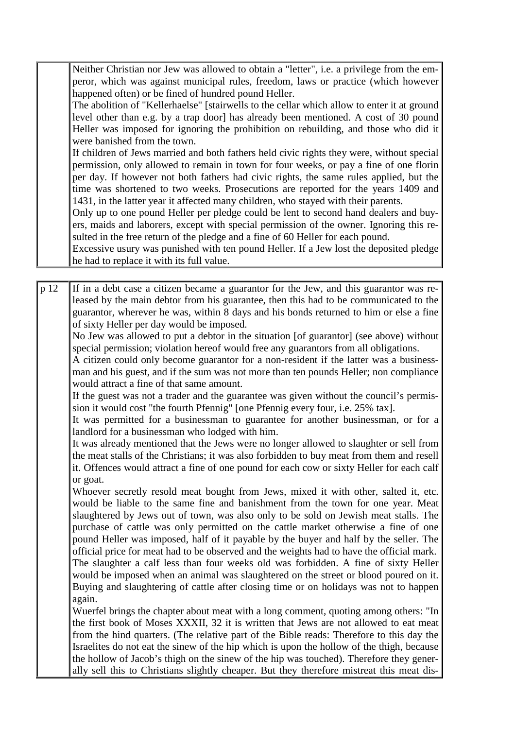Neither Christian nor Jew was allowed to obtain a "letter", i.e. a privilege from the emperor, which was against municipal rules, freedom, laws or practice (which however happened often) or be fined of hundred pound Heller.

The abolition of "Kellerhaelse" [stairwells to the cellar which allow to enter it at ground level other than e.g. by a trap door] has already been mentioned. A cost of 30 pound Heller was imposed for ignoring the prohibition on rebuilding, and those who did it were banished from the town.

If children of Jews married and both fathers held civic rights they were, without special permission, only allowed to remain in town for four weeks, or pay a fine of one florin per day. If however not both fathers had civic rights, the same rules applied, but the time was shortened to two weeks. Prosecutions are reported for the years 1409 and 1431, in the latter year it affected many children, who stayed with their parents.

Only up to one pound Heller per pledge could be lent to second hand dealers and buyers, maids and laborers, except with special permission of the owner. Ignoring this resulted in the free return of the pledge and a fine of 60 Heller for each pound.

Excessive usury was punished with ten pound Heller. If a Jew lost the deposited pledge he had to replace it with its full value.

p 12 If in a debt case a citizen became a guarantor for the Jew, and this guarantor was released by the main debtor from his guarantee, then this had to be communicated to the guarantor, wherever he was, within 8 days and his bonds returned to him or else a fine of sixty Heller per day would be imposed.

No Jew was allowed to put a debtor in the situation [of guarantor] (see above) without special permission; violation hereof would free any guarantors from all obligations.

A citizen could only become guarantor for a non-resident if the latter was a businessman and his guest, and if the sum was not more than ten pounds Heller; non compliance would attract a fine of that same amount.

If the guest was not a trader and the guarantee was given without the council's permission it would cost "the fourth Pfennig" [one Pfennig every four, i.e. 25% tax].

It was permitted for a businessman to guarantee for another businessman, or for a landlord for a businessman who lodged with him.

It was already mentioned that the Jews were no longer allowed to slaughter or sell from the meat stalls of the Christians; it was also forbidden to buy meat from them and resell it. Offences would attract a fine of one pound for each cow or sixty Heller for each calf or goat.

Whoever secretly resold meat bought from Jews, mixed it with other, salted it, etc. would be liable to the same fine and banishment from the town for one year. Meat slaughtered by Jews out of town, was also only to be sold on Jewish meat stalls. The purchase of cattle was only permitted on the cattle market otherwise a fine of one pound Heller was imposed, half of it payable by the buyer and half by the seller. The official price for meat had to be observed and the weights had to have the official mark. The slaughter a calf less than four weeks old was forbidden. A fine of sixty Heller would be imposed when an animal was slaughtered on the street or blood poured on it. Buying and slaughtering of cattle after closing time or on holidays was not to happen again.

Wuerfel brings the chapter about meat with a long comment, quoting among others: "In the first book of Moses XXXII, 32 it is written that Jews are not allowed to eat meat from the hind quarters. (The relative part of the Bible reads: Therefore to this day the Israelites do not eat the sinew of the hip which is upon the hollow of the thigh, because the hollow of Jacob's thigh on the sinew of the hip was touched). Therefore they generally sell this to Christians slightly cheaper. But they therefore mistreat this meat dis-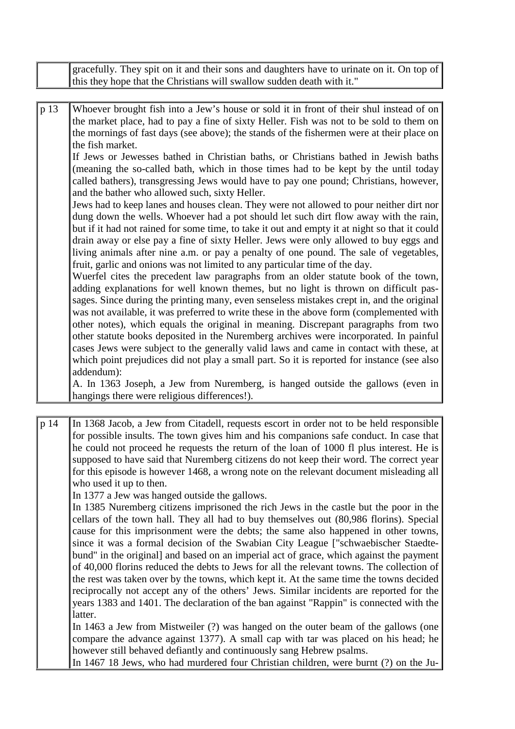|      | gracefully. They spit on it and their sons and daughters have to urinate on it. On top of<br>this they hope that the Christians will swallow sudden death with it."                                                                                                                                                                                                                                                                                                                                                                                                                                                                                                                                                                                                                                                                                                                                                                                                                                                                                                                                                                                                                                                                                                                                                                                                                                                                                                                                                                                                                                                                                                                                                                                                                                                                                                                                                           |
|------|-------------------------------------------------------------------------------------------------------------------------------------------------------------------------------------------------------------------------------------------------------------------------------------------------------------------------------------------------------------------------------------------------------------------------------------------------------------------------------------------------------------------------------------------------------------------------------------------------------------------------------------------------------------------------------------------------------------------------------------------------------------------------------------------------------------------------------------------------------------------------------------------------------------------------------------------------------------------------------------------------------------------------------------------------------------------------------------------------------------------------------------------------------------------------------------------------------------------------------------------------------------------------------------------------------------------------------------------------------------------------------------------------------------------------------------------------------------------------------------------------------------------------------------------------------------------------------------------------------------------------------------------------------------------------------------------------------------------------------------------------------------------------------------------------------------------------------------------------------------------------------------------------------------------------------|
|      |                                                                                                                                                                                                                                                                                                                                                                                                                                                                                                                                                                                                                                                                                                                                                                                                                                                                                                                                                                                                                                                                                                                                                                                                                                                                                                                                                                                                                                                                                                                                                                                                                                                                                                                                                                                                                                                                                                                               |
| p 13 | Whoever brought fish into a Jew's house or sold it in front of their shul instead of on<br>the market place, had to pay a fine of sixty Heller. Fish was not to be sold to them on<br>the mornings of fast days (see above); the stands of the fishermen were at their place on<br>the fish market.<br>If Jews or Jewesses bathed in Christian baths, or Christians bathed in Jewish baths<br>(meaning the so-called bath, which in those times had to be kept by the until today<br>called bathers), transgressing Jews would have to pay one pound; Christians, however,<br>and the bather who allowed such, sixty Heller.<br>Jews had to keep lanes and houses clean. They were not allowed to pour neither dirt nor<br>dung down the wells. Whoever had a pot should let such dirt flow away with the rain,<br>but if it had not rained for some time, to take it out and empty it at night so that it could<br>drain away or else pay a fine of sixty Heller. Jews were only allowed to buy eggs and<br>living animals after nine a.m. or pay a penalty of one pound. The sale of vegetables,<br>fruit, garlic and onions was not limited to any particular time of the day.<br>Wuerfel cites the precedent law paragraphs from an older statute book of the town,<br>adding explanations for well known themes, but no light is thrown on difficult pas-<br>sages. Since during the printing many, even senseless mistakes crept in, and the original<br>was not available, it was preferred to write these in the above form (complemented with<br>other notes), which equals the original in meaning. Discrepant paragraphs from two<br>other statute books deposited in the Nuremberg archives were incorporated. In painful<br>cases Jews were subject to the generally valid laws and came in contact with these, at<br>which point prejudices did not play a small part. So it is reported for instance (see also |
|      | addendum):<br>A. In 1363 Joseph, a Jew from Nuremberg, is hanged outside the gallows (even in                                                                                                                                                                                                                                                                                                                                                                                                                                                                                                                                                                                                                                                                                                                                                                                                                                                                                                                                                                                                                                                                                                                                                                                                                                                                                                                                                                                                                                                                                                                                                                                                                                                                                                                                                                                                                                 |
|      | hangings there were religious differences!).                                                                                                                                                                                                                                                                                                                                                                                                                                                                                                                                                                                                                                                                                                                                                                                                                                                                                                                                                                                                                                                                                                                                                                                                                                                                                                                                                                                                                                                                                                                                                                                                                                                                                                                                                                                                                                                                                  |

p 14 In 1368 Jacob, a Jew from Citadell, requests escort in order not to be held responsible for possible insults. The town gives him and his companions safe conduct. In case that he could not proceed he requests the return of the loan of 1000 fl plus interest. He is supposed to have said that Nuremberg citizens do not keep their word. The correct year for this episode is however 1468, a wrong note on the relevant document misleading all who used it up to then.

In 1377 a Jew was hanged outside the gallows.

In 1385 Nuremberg citizens imprisoned the rich Jews in the castle but the poor in the cellars of the town hall. They all had to buy themselves out (80,986 florins). Special cause for this imprisonment were the debts; the same also happened in other towns, since it was a formal decision of the Swabian City League ["schwaebischer Staedtebund" in the original] and based on an imperial act of grace, which against the payment of 40,000 florins reduced the debts to Jews for all the relevant towns. The collection of the rest was taken over by the towns, which kept it. At the same time the towns decided reciprocally not accept any of the others' Jews. Similar incidents are reported for the years 1383 and 1401. The declaration of the ban against "Rappin" is connected with the latter.

In 1463 a Jew from Mistweiler (?) was hanged on the outer beam of the gallows (one compare the advance against 1377). A small cap with tar was placed on his head; he however still behaved defiantly and continuously sang Hebrew psalms.

In 1467 18 Jews, who had murdered four Christian children, were burnt (?) on the Ju-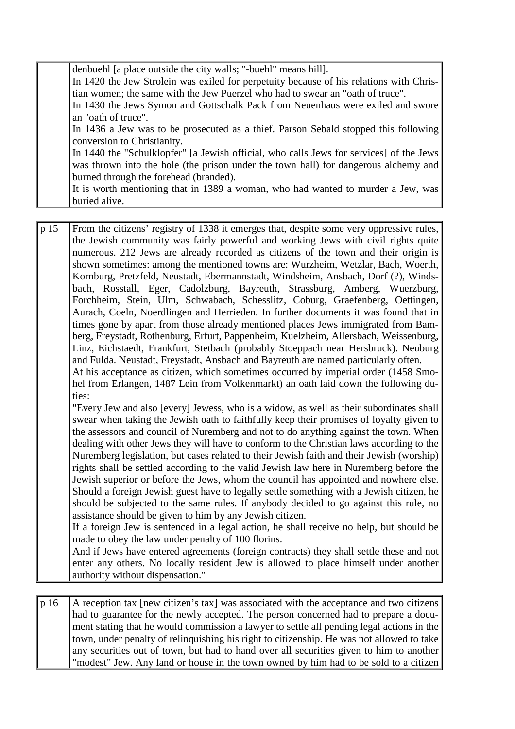| denbuehl [a place outside the city walls; "-buehl" means hill].                         |
|-----------------------------------------------------------------------------------------|
| In 1420 the Jew Strolein was exiled for perpetuity because of his relations with Chris- |
| tian women; the same with the Jew Puerzel who had to swear an "oath of truce".          |
| In 1430 the Jews Symon and Gottschalk Pack from Neuenhaus were exiled and swore         |
| an "oath of truce".                                                                     |
| In 1436 a Jew was to be prosecuted as a thief. Parson Sebald stopped this following     |
| conversion to Christianity.                                                             |
| In 1440 the "Schulklopfer" [a Jewish official, who calls Jews for services] of the Jews |
| was thrown into the hole (the prison under the town hall) for dangerous alchemy and     |
| burned through the forehead (branded).                                                  |
| It is worth mentioning that in 1389 a woman, who had wanted to murder a Jew, was        |
| buried alive.                                                                           |

p 15 From the citizens' registry of 1338 it emerges that, despite some very oppressive rules, the Jewish community was fairly powerful and working Jews with civil rights quite numerous. 212 Jews are already recorded as citizens of the town and their origin is shown sometimes: among the mentioned towns are: Wurzheim, Wetzlar, Bach, Woerth, Kornburg, Pretzfeld, Neustadt, Ebermannstadt, Windsheim, Ansbach, Dorf (?), Windsbach, Rosstall, Eger, Cadolzburg, Bayreuth, Strassburg, Amberg, Wuerzburg, Forchheim, Stein, Ulm, Schwabach, Schesslitz, Coburg, Graefenberg, Oettingen, Aurach, Coeln, Noerdlingen and Herrieden. In further documents it was found that in times gone by apart from those already mentioned places Jews immigrated from Bamberg, Freystadt, Rothenburg, Erfurt, Pappenheim, Kuelzheim, Allersbach, Weissenburg, Linz, Eichstaedt, Frankfurt, Stetbach (probably Stoeppach near Hersbruck). Neuburg and Fulda. Neustadt, Freystadt, Ansbach and Bayreuth are named particularly often. At his acceptance as citizen, which sometimes occurred by imperial order (1458 Smohel from Erlangen, 1487 Lein from Volkenmarkt) an oath laid down the following duties:

"Every Jew and also [every] Jewess, who is a widow, as well as their subordinates shall swear when taking the Jewish oath to faithfully keep their promises of loyalty given to the assessors and council of Nuremberg and not to do anything against the town. When dealing with other Jews they will have to conform to the Christian laws according to the Nuremberg legislation, but cases related to their Jewish faith and their Jewish (worship) rights shall be settled according to the valid Jewish law here in Nuremberg before the Jewish superior or before the Jews, whom the council has appointed and nowhere else. Should a foreign Jewish guest have to legally settle something with a Jewish citizen, he should be subjected to the same rules. If anybody decided to go against this rule, no assistance should be given to him by any Jewish citizen.

If a foreign Jew is sentenced in a legal action, he shall receive no help, but should be made to obey the law under penalty of 100 florins.

And if Jews have entered agreements (foreign contracts) they shall settle these and not enter any others. No locally resident Jew is allowed to place himself under another authority without dispensation."

 $p 16$  A reception tax [new citizen's tax] was associated with the acceptance and two citizens had to guarantee for the newly accepted. The person concerned had to prepare a document stating that he would commission a lawyer to settle all pending legal actions in the town, under penalty of relinquishing his right to citizenship. He was not allowed to take any securities out of town, but had to hand over all securities given to him to another "modest" Jew. Any land or house in the town owned by him had to be sold to a citizen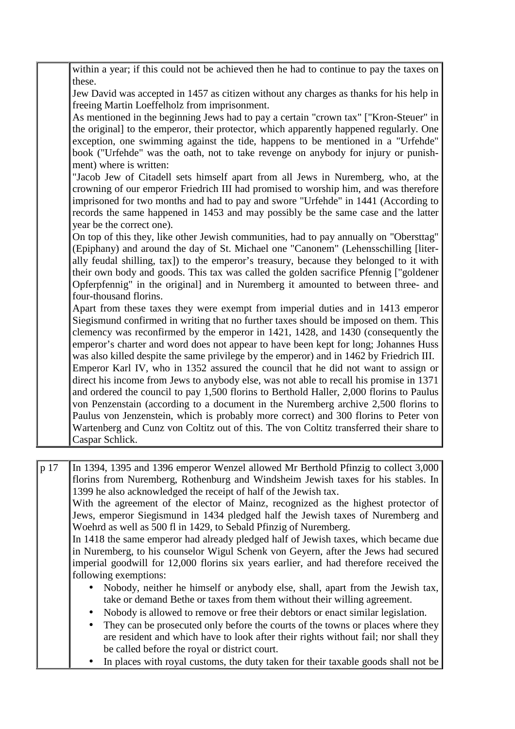| within a year; if this could not be achieved then he had to continue to pay the taxes on                                                                                   |
|----------------------------------------------------------------------------------------------------------------------------------------------------------------------------|
| these.                                                                                                                                                                     |
| Jew David was accepted in 1457 as citizen without any charges as thanks for his help in                                                                                    |
| freeing Martin Loeffelholz from imprisonment.                                                                                                                              |
| As mentioned in the beginning Jews had to pay a certain "crown tax" ["Kron-Steuer" in                                                                                      |
| the original] to the emperor, their protector, which apparently happened regularly. One                                                                                    |
| exception, one swimming against the tide, happens to be mentioned in a "Urfehde"                                                                                           |
| book ("Urfehde" was the oath, not to take revenge on anybody for injury or punish-                                                                                         |
| ment) where is written:                                                                                                                                                    |
| "Jacob Jew of Citadell sets himself apart from all Jews in Nuremberg, who, at the                                                                                          |
| crowning of our emperor Friedrich III had promised to worship him, and was therefore                                                                                       |
| imprisoned for two months and had to pay and swore "Urfehde" in 1441 (According to                                                                                         |
| records the same happened in 1453 and may possibly be the same case and the latter                                                                                         |
| year be the correct one).                                                                                                                                                  |
| On top of this they, like other Jewish communities, had to pay annually on "Obersttag"                                                                                     |
| (Epiphany) and around the day of St. Michael one "Canonem" (Lehensschilling [liter-                                                                                        |
| ally feudal shilling, tax]) to the emperor's treasury, because they belonged to it with                                                                                    |
| their own body and goods. This tax was called the golden sacrifice Pfennig ["goldener<br>Opferpfennig" in the original] and in Nuremberg it amounted to between three- and |
| four-thousand florins.                                                                                                                                                     |
| Apart from these taxes they were exempt from imperial duties and in 1413 emperor                                                                                           |
| Siegismund confirmed in writing that no further taxes should be imposed on them. This                                                                                      |
| clemency was reconfirmed by the emperor in 1421, 1428, and 1430 (consequently the                                                                                          |
| emperor's charter and word does not appear to have been kept for long; Johannes Huss                                                                                       |
| was also killed despite the same privilege by the emperor) and in 1462 by Friedrich III.                                                                                   |
| Emperor Karl IV, who in 1352 assured the council that he did not want to assign or                                                                                         |
| direct his income from Jews to anybody else, was not able to recall his promise in 1371                                                                                    |
| and ordered the council to pay 1,500 florins to Berthold Haller, 2,000 florins to Paulus                                                                                   |
| von Penzenstain (according to a document in the Nuremberg archive 2,500 florins to                                                                                         |
| Paulus von Jenzenstein, which is probably more correct) and 300 florins to Peter von                                                                                       |
| Wartenberg and Cunz von Coltitz out of this. The von Coltitz transferred their share to                                                                                    |
| Caspar Schlick.                                                                                                                                                            |
|                                                                                                                                                                            |

p 17 In 1394, 1395 and 1396 emperor Wenzel allowed Mr Berthold Pfinzig to collect 3,000 florins from Nuremberg, Rothenburg and Windsheim Jewish taxes for his stables. In 1399 he also acknowledged the receipt of half of the Jewish tax. With the agreement of the elector of Mainz, recognized as the highest protector of Jews, emperor Siegismund in 1434 pledged half the Jewish taxes of Nuremberg and Woehrd as well as 500 fl in 1429, to Sebald Pfinzig of Nuremberg. In 1418 the same emperor had already pledged half of Jewish taxes, which became due in Nuremberg, to his counselor Wigul Schenk von Geyern, after the Jews had secured imperial goodwill for 12,000 florins six years earlier, and had therefore received the following exemptions: • Nobody, neither he himself or anybody else, shall, apart from the Jewish tax,

- take or demand Bethe or taxes from them without their willing agreement.
- Nobody is allowed to remove or free their debtors or enact similar legislation.
- They can be prosecuted only before the courts of the towns or places where they are resident and which have to look after their rights without fail; nor shall they be called before the royal or district court.
- In places with royal customs, the duty taken for their taxable goods shall not be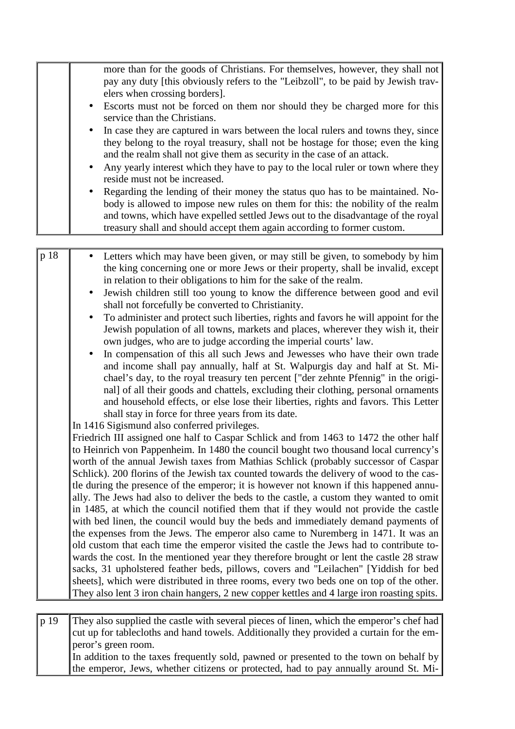|      | more than for the goods of Christians. For themselves, however, they shall not<br>pay any duty [this obviously refers to the "Leibzoll", to be paid by Jewish trav-<br>elers when crossing borders].<br>Escorts must not be forced on them nor should they be charged more for this<br>service than the Christians.<br>In case they are captured in wars between the local rulers and towns they, since<br>they belong to the royal treasury, shall not be hostage for those; even the king                                                                                                                                                                                                                                                                                                                                                                                                                                                                                                                                                                                                                                                                                                                                                                                                                                                                                                                                                                                                                                                                                                                                                                                                                                                                                                                            |
|------|------------------------------------------------------------------------------------------------------------------------------------------------------------------------------------------------------------------------------------------------------------------------------------------------------------------------------------------------------------------------------------------------------------------------------------------------------------------------------------------------------------------------------------------------------------------------------------------------------------------------------------------------------------------------------------------------------------------------------------------------------------------------------------------------------------------------------------------------------------------------------------------------------------------------------------------------------------------------------------------------------------------------------------------------------------------------------------------------------------------------------------------------------------------------------------------------------------------------------------------------------------------------------------------------------------------------------------------------------------------------------------------------------------------------------------------------------------------------------------------------------------------------------------------------------------------------------------------------------------------------------------------------------------------------------------------------------------------------------------------------------------------------------------------------------------------------|
|      | and the realm shall not give them as security in the case of an attack.<br>Any yearly interest which they have to pay to the local ruler or town where they<br>$\bullet$                                                                                                                                                                                                                                                                                                                                                                                                                                                                                                                                                                                                                                                                                                                                                                                                                                                                                                                                                                                                                                                                                                                                                                                                                                                                                                                                                                                                                                                                                                                                                                                                                                               |
|      | reside must not be increased.<br>Regarding the lending of their money the status quo has to be maintained. No-                                                                                                                                                                                                                                                                                                                                                                                                                                                                                                                                                                                                                                                                                                                                                                                                                                                                                                                                                                                                                                                                                                                                                                                                                                                                                                                                                                                                                                                                                                                                                                                                                                                                                                         |
|      | body is allowed to impose new rules on them for this: the nobility of the realm<br>and towns, which have expelled settled Jews out to the disadvantage of the royal<br>treasury shall and should accept them again according to former custom.                                                                                                                                                                                                                                                                                                                                                                                                                                                                                                                                                                                                                                                                                                                                                                                                                                                                                                                                                                                                                                                                                                                                                                                                                                                                                                                                                                                                                                                                                                                                                                         |
|      |                                                                                                                                                                                                                                                                                                                                                                                                                                                                                                                                                                                                                                                                                                                                                                                                                                                                                                                                                                                                                                                                                                                                                                                                                                                                                                                                                                                                                                                                                                                                                                                                                                                                                                                                                                                                                        |
| p 18 | Letters which may have been given, or may still be given, to somebody by him<br>the king concerning one or more Jews or their property, shall be invalid, except<br>in relation to their obligations to him for the sake of the realm.<br>Jewish children still too young to know the difference between good and evil<br>shall not forcefully be converted to Christianity.<br>To administer and protect such liberties, rights and favors he will appoint for the<br>Jewish population of all towns, markets and places, wherever they wish it, their<br>own judges, who are to judge according the imperial courts' law.<br>In compensation of this all such Jews and Jewesses who have their own trade<br>and income shall pay annually, half at St. Walpurgis day and half at St. Mi-<br>chael's day, to the royal treasury ten percent ["der zehnte Pfennig" in the origi-<br>nal] of all their goods and chattels, excluding their clothing, personal ornaments<br>and household effects, or else lose their liberties, rights and favors. This Letter<br>shall stay in force for three years from its date.<br>In 1416 Sigismund also conferred privileges.<br>Friedrich III assigned one half to Caspar Schlick and from 1463 to 1472 the other half<br>to Heinrich von Pappenheim. In 1480 the council bought two thousand local currency's<br>worth of the annual Jewish taxes from Mathias Schlick (probably successor of Caspar<br>Schlick). 200 florins of the Jewish tax counted towards the delivery of wood to the cas-<br>tle during the presence of the emperor; it is however not known if this happened annu-<br>ally. The Jews had also to deliver the beds to the castle, a custom they wanted to omit<br>in 1485, at which the council notified them that if they would not provide the castle |
|      | with bed linen, the council would buy the beds and immediately demand payments of<br>the expenses from the Jews. The emperor also came to Nuremberg in 1471. It was an<br>old custom that each time the emperor visited the castle the Jews had to contribute to-                                                                                                                                                                                                                                                                                                                                                                                                                                                                                                                                                                                                                                                                                                                                                                                                                                                                                                                                                                                                                                                                                                                                                                                                                                                                                                                                                                                                                                                                                                                                                      |
|      | wards the cost. In the mentioned year they therefore brought or lent the castle 28 straw<br>sacks, 31 upholstered feather beds, pillows, covers and "Leilachen" [Yiddish for bed                                                                                                                                                                                                                                                                                                                                                                                                                                                                                                                                                                                                                                                                                                                                                                                                                                                                                                                                                                                                                                                                                                                                                                                                                                                                                                                                                                                                                                                                                                                                                                                                                                       |
|      | sheets], which were distributed in three rooms, every two beds one on top of the other.<br>They also lent 3 iron chain hangers, 2 new copper kettles and 4 large iron roasting spits.                                                                                                                                                                                                                                                                                                                                                                                                                                                                                                                                                                                                                                                                                                                                                                                                                                                                                                                                                                                                                                                                                                                                                                                                                                                                                                                                                                                                                                                                                                                                                                                                                                  |
|      |                                                                                                                                                                                                                                                                                                                                                                                                                                                                                                                                                                                                                                                                                                                                                                                                                                                                                                                                                                                                                                                                                                                                                                                                                                                                                                                                                                                                                                                                                                                                                                                                                                                                                                                                                                                                                        |
| p 19 | They also supplied the castle with several pieces of linen, which the emperor's chef had<br>cut up for tablecloths and hand towels. Additionally they provided a curtain for the em-                                                                                                                                                                                                                                                                                                                                                                                                                                                                                                                                                                                                                                                                                                                                                                                                                                                                                                                                                                                                                                                                                                                                                                                                                                                                                                                                                                                                                                                                                                                                                                                                                                   |

cut up for tablecloths and hand towels. Additionally they provided a curtain for the emperor's green room. In addition to the taxes frequently sold, pawned or presented to the town on behalf by

the emperor, Jews, whether citizens or protected, had to pay annually around St. Mi-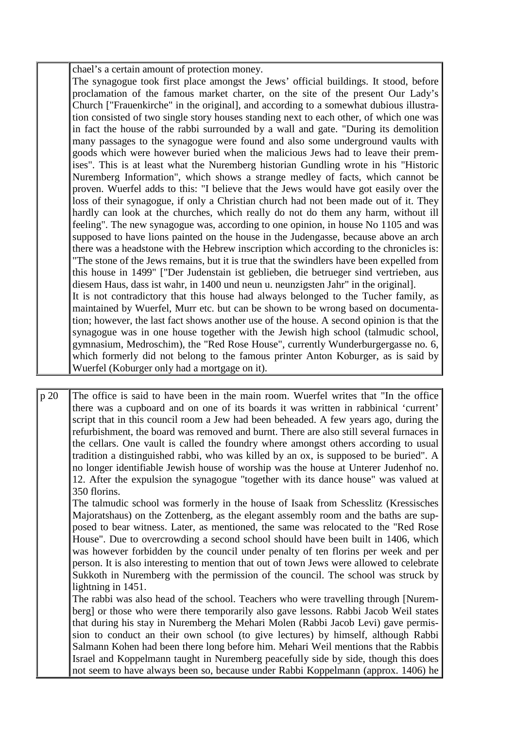chael's a certain amount of protection money.

The synagogue took first place amongst the Jews' official buildings. It stood, before proclamation of the famous market charter, on the site of the present Our Lady's Church ["Frauenkirche" in the original], and according to a somewhat dubious illustration consisted of two single story houses standing next to each other, of which one was in fact the house of the rabbi surrounded by a wall and gate. "During its demolition many passages to the synagogue were found and also some underground vaults with goods which were however buried when the malicious Jews had to leave their premises". This is at least what the Nuremberg historian Gundling wrote in his "Historic Nuremberg Information", which shows a strange medley of facts, which cannot be proven. Wuerfel adds to this: "I believe that the Jews would have got easily over the loss of their synagogue, if only a Christian church had not been made out of it. They hardly can look at the churches, which really do not do them any harm, without ill feeling". The new synagogue was, according to one opinion, in house No 1105 and was supposed to have lions painted on the house in the Judengasse, because above an arch there was a headstone with the Hebrew inscription which according to the chronicles is: "The stone of the Jews remains, but it is true that the swindlers have been expelled from this house in 1499" ["Der Judenstain ist geblieben, die betrueger sind vertrieben, aus diesem Haus, dass ist wahr, in 1400 und neun u. neunzigsten Jahr" in the original]. It is not contradictory that this house had always belonged to the Tucher family, as maintained by Wuerfel, Murr etc. but can be shown to be wrong based on documentation; however, the last fact shows another use of the house. A second opinion is that the synagogue was in one house together with the Jewish high school (talmudic school, gymnasium, Medroschim), the "Red Rose House", currently Wunderburgergasse no. 6, which formerly did not belong to the famous printer Anton Koburger, as is said by Wuerfel (Koburger only had a mortgage on it).

p 20 The office is said to have been in the main room. Wuerfel writes that "In the office there was a cupboard and on one of its boards it was written in rabbinical 'current' script that in this council room a Jew had been beheaded. A few years ago, during the refurbishment, the board was removed and burnt. There are also still several furnaces in the cellars. One vault is called the foundry where amongst others according to usual tradition a distinguished rabbi, who was killed by an ox, is supposed to be buried". A no longer identifiable Jewish house of worship was the house at Unterer Judenhof no. 12. After the expulsion the synagogue "together with its dance house" was valued at 350 florins.

The talmudic school was formerly in the house of Isaak from Schesslitz (Kressisches Majoratshaus) on the Zottenberg, as the elegant assembly room and the baths are supposed to bear witness. Later, as mentioned, the same was relocated to the "Red Rose House". Due to overcrowding a second school should have been built in 1406, which was however forbidden by the council under penalty of ten florins per week and per person. It is also interesting to mention that out of town Jews were allowed to celebrate Sukkoth in Nuremberg with the permission of the council. The school was struck by lightning in 1451.

The rabbi was also head of the school. Teachers who were travelling through [Nuremberg] or those who were there temporarily also gave lessons. Rabbi Jacob Weil states that during his stay in Nuremberg the Mehari Molen (Rabbi Jacob Levi) gave permission to conduct an their own school (to give lectures) by himself, although Rabbi Salmann Kohen had been there long before him. Mehari Weil mentions that the Rabbis Israel and Koppelmann taught in Nuremberg peacefully side by side, though this does not seem to have always been so, because under Rabbi Koppelmann (approx. 1406) he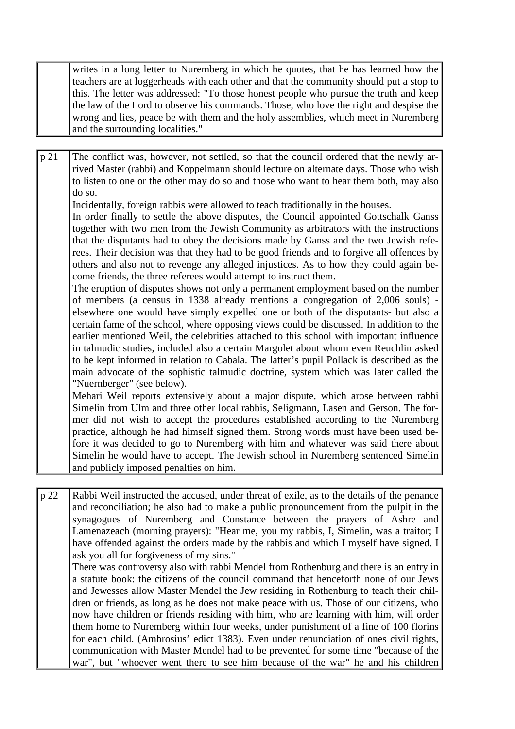writes in a long letter to Nuremberg in which he quotes, that he has learned how the teachers are at loggerheads with each other and that the community should put a stop to this. The letter was addressed: "To those honest people who pursue the truth and keep the law of the Lord to observe his commands. Those, who love the right and despise the wrong and lies, peace be with them and the holy assemblies, which meet in Nuremberg and the surrounding localities."

p 21 The conflict was, however, not settled, so that the council ordered that the newly arrived Master (rabbi) and Koppelmann should lecture on alternate days. Those who wish to listen to one or the other may do so and those who want to hear them both, may also do so.

Incidentally, foreign rabbis were allowed to teach traditionally in the houses.

In order finally to settle the above disputes, the Council appointed Gottschalk Ganss together with two men from the Jewish Community as arbitrators with the instructions that the disputants had to obey the decisions made by Ganss and the two Jewish referees. Their decision was that they had to be good friends and to forgive all offences by others and also not to revenge any alleged injustices. As to how they could again become friends, the three referees would attempt to instruct them.

The eruption of disputes shows not only a permanent employment based on the number of members (a census in 1338 already mentions a congregation of 2,006 souls) elsewhere one would have simply expelled one or both of the disputants- but also a certain fame of the school, where opposing views could be discussed. In addition to the earlier mentioned Weil, the celebrities attached to this school with important influence in talmudic studies, included also a certain Margolet about whom even Reuchlin asked to be kept informed in relation to Cabala. The latter's pupil Pollack is described as the main advocate of the sophistic talmudic doctrine, system which was later called the "Nuernberger" (see below).

Mehari Weil reports extensively about a major dispute, which arose between rabbi Simelin from Ulm and three other local rabbis, Seligmann, Lasen and Gerson. The former did not wish to accept the procedures established according to the Nuremberg practice, although he had himself signed them. Strong words must have been used before it was decided to go to Nuremberg with him and whatever was said there about Simelin he would have to accept. The Jewish school in Nuremberg sentenced Simelin and publicly imposed penalties on him.

p 22 Rabbi Weil instructed the accused, under threat of exile, as to the details of the penance and reconciliation; he also had to make a public pronouncement from the pulpit in the synagogues of Nuremberg and Constance between the prayers of Ashre and Lamenazeach (morning prayers): "Hear me, you my rabbis, I, Simelin, was a traitor; I have offended against the orders made by the rabbis and which I myself have signed. I ask you all for forgiveness of my sins."

There was controversy also with rabbi Mendel from Rothenburg and there is an entry in a statute book: the citizens of the council command that henceforth none of our Jews and Jewesses allow Master Mendel the Jew residing in Rothenburg to teach their children or friends, as long as he does not make peace with us. Those of our citizens, who now have children or friends residing with him, who are learning with him, will order them home to Nuremberg within four weeks, under punishment of a fine of 100 florins for each child. (Ambrosius' edict 1383). Even under renunciation of ones civil rights, communication with Master Mendel had to be prevented for some time "because of the war", but "whoever went there to see him because of the war" he and his children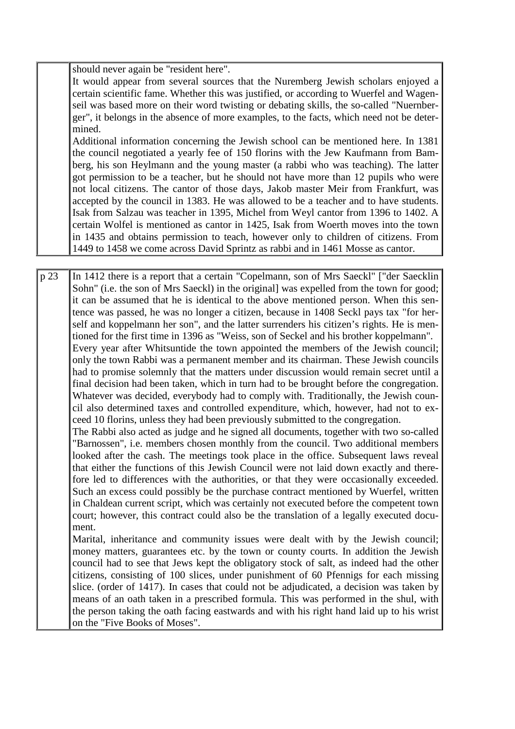should never again be "resident here".

It would appear from several sources that the Nuremberg Jewish scholars enjoyed a certain scientific fame. Whether this was justified, or according to Wuerfel and Wagenseil was based more on their word twisting or debating skills, the so-called "Nuernberger", it belongs in the absence of more examples, to the facts, which need not be determined.

Additional information concerning the Jewish school can be mentioned here. In 1381 the council negotiated a yearly fee of 150 florins with the Jew Kaufmann from Bamberg, his son Heylmann and the young master (a rabbi who was teaching). The latter got permission to be a teacher, but he should not have more than 12 pupils who were not local citizens. The cantor of those days, Jakob master Meir from Frankfurt, was accepted by the council in 1383. He was allowed to be a teacher and to have students. Isak from Salzau was teacher in 1395, Michel from Weyl cantor from 1396 to 1402. A certain Wolfel is mentioned as cantor in 1425, Isak from Woerth moves into the town in 1435 and obtains permission to teach, however only to children of citizens. From 1449 to 1458 we come across David Sprintz as rabbi and in 1461 Mosse as cantor.

p 23 In 1412 there is a report that a certain "Copelmann, son of Mrs Saeckl" ["der Saecklin Sohn" (i.e. the son of Mrs Saeckl) in the original] was expelled from the town for good; it can be assumed that he is identical to the above mentioned person. When this sentence was passed, he was no longer a citizen, because in 1408 Seckl pays tax "for herself and koppelmann her son", and the latter surrenders his citizen's rights. He is mentioned for the first time in 1396 as "Weiss, son of Seckel and his brother koppelmann". Every year after Whitsuntide the town appointed the members of the Jewish council; only the town Rabbi was a permanent member and its chairman. These Jewish councils had to promise solemnly that the matters under discussion would remain secret until a final decision had been taken, which in turn had to be brought before the congregation. Whatever was decided, everybody had to comply with. Traditionally, the Jewish council also determined taxes and controlled expenditure, which, however, had not to exceed 10 florins, unless they had been previously submitted to the congregation.

The Rabbi also acted as judge and he signed all documents, together with two so-called "Barnossen", i.e. members chosen monthly from the council. Two additional members looked after the cash. The meetings took place in the office. Subsequent laws reveal that either the functions of this Jewish Council were not laid down exactly and therefore led to differences with the authorities, or that they were occasionally exceeded. Such an excess could possibly be the purchase contract mentioned by Wuerfel, written in Chaldean current script, which was certainly not executed before the competent town court; however, this contract could also be the translation of a legally executed document.

Marital, inheritance and community issues were dealt with by the Jewish council; money matters, guarantees etc. by the town or county courts. In addition the Jewish council had to see that Jews kept the obligatory stock of salt, as indeed had the other citizens, consisting of 100 slices, under punishment of 60 Pfennigs for each missing slice. (order of 1417). In cases that could not be adjudicated, a decision was taken by means of an oath taken in a prescribed formula. This was performed in the shul, with the person taking the oath facing eastwards and with his right hand laid up to his wrist on the "Five Books of Moses".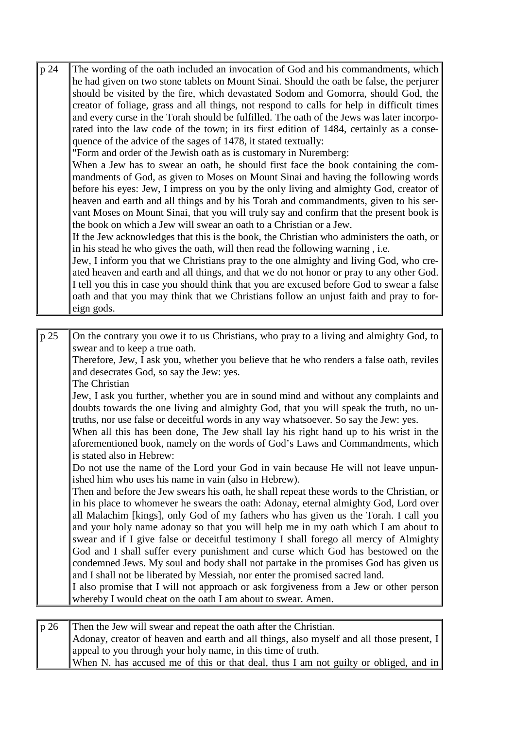| p 24 | The wording of the oath included an invocation of God and his commandments, which          |
|------|--------------------------------------------------------------------------------------------|
|      | he had given on two stone tablets on Mount Sinai. Should the oath be false, the perjurer   |
|      | should be visited by the fire, which devastated Sodom and Gomorra, should God, the         |
|      | creator of foliage, grass and all things, not respond to calls for help in difficult times |
|      |                                                                                            |
|      | and every curse in the Torah should be fulfilled. The oath of the Jews was later incorpo-  |
|      | rated into the law code of the town; in its first edition of 1484, certainly as a conse-   |
|      | quence of the advice of the sages of 1478, it stated textually:                            |
|      | "Form and order of the Jewish oath as is customary in Nuremberg:                           |
|      | When a Jew has to swear an oath, he should first face the book containing the com-         |
|      | mandments of God, as given to Moses on Mount Sinai and having the following words          |
|      | before his eyes: Jew, I impress on you by the only living and almighty God, creator of     |
|      | heaven and earth and all things and by his Torah and commandments, given to his ser-       |
|      | vant Moses on Mount Sinai, that you will truly say and confirm that the present book is    |
|      | the book on which a Jew will swear an oath to a Christian or a Jew.                        |
|      |                                                                                            |
|      | If the Jew acknowledges that this is the book, the Christian who administers the oath, or  |
|      | in his stead he who gives the oath, will then read the following warning, i.e.             |
|      | Jew, I inform you that we Christians pray to the one almighty and living God, who cre-     |
|      | ated heaven and earth and all things, and that we do not honor or pray to any other God.   |
|      | I tell you this in case you should think that you are excused before God to swear a false  |
|      | oath and that you may think that we Christians follow an unjust faith and pray to for-     |
|      | eign gods.                                                                                 |
|      |                                                                                            |
| p 25 | On the contrary you owe it to us Christians, who pray to a living and almighty God, to     |
|      | swear and to keep a true oath.                                                             |
|      | Therefore, Jew, I ask you, whether you believe that he who renders a false oath, reviles   |
|      | and desecrates God, so say the Jew: yes.                                                   |
|      | The Christian                                                                              |
|      | Jew, I ask you further, whether you are in sound mind and without any complaints and       |
|      |                                                                                            |
|      | doubts towards the one living and almighty God, that you will speak the truth, no un-      |
|      | truths, nor use false or deceitful words in any way whatsoever. So say the Jew: yes.       |
|      | When all this has been done, The Jew shall lay his right hand up to his wrist in the       |
|      | aforementioned book, namely on the words of God's Laws and Commandments, which             |
|      | is stated also in Hebrew:                                                                  |
|      | Do not use the name of the Lord your God in vain because He will not leave unpun-          |
|      | ished him who uses his name in vain (also in Hebrew).                                      |
|      | Then and before the Jew swears his oath, he shall repeat these words to the Christian, or  |
|      | in his place to whomever he swears the oath: Adonay, eternal almighty God, Lord over       |
|      | all Malachim [kings], only God of my fathers who has given us the Torah. I call you        |
|      | and your holy name adonay so that you will help me in my oath which I am about to          |
|      | swear and if I give false or deceitful testimony I shall forego all mercy of Almighty      |
|      | God and I shall suffer every punishment and curse which God has bestowed on the            |
|      |                                                                                            |
|      | condemned Jews. My soul and body shall not partake in the promises God has given us        |
|      | and I shall not be liberated by Messiah, nor enter the promised sacred land.               |
|      | I also promise that I will not approach or ask forgiveness from a Jew or other person      |
|      | whereby I would cheat on the oath I am about to swear. Amen.                               |
|      |                                                                                            |
| p 26 | Then the Jew will swear and repeat the oath after the Christian.                           |
|      | Adonay, creator of heaven and earth and all things, also myself and all those present, I   |
|      | appeal to you through your holy name, in this time of truth.                               |

When N. has accused me of this or that deal, thus I am not guilty or obliged, and in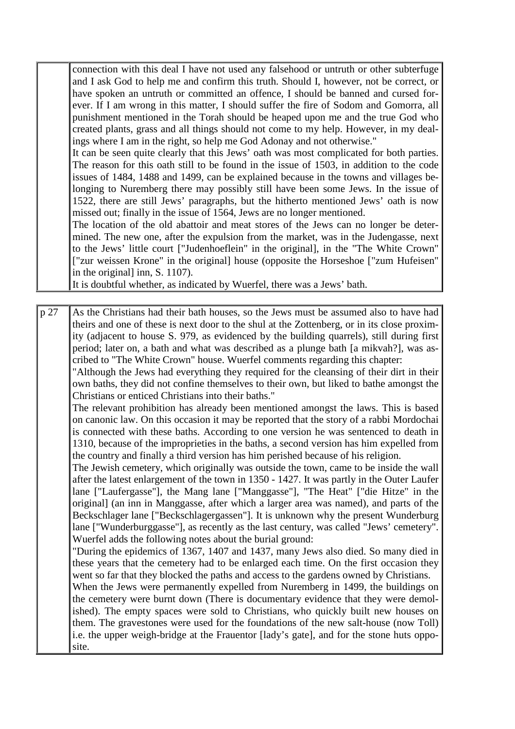connection with this deal I have not used any falsehood or untruth or other subterfuge and I ask God to help me and confirm this truth. Should I, however, not be correct, or have spoken an untruth or committed an offence, I should be banned and cursed forever. If I am wrong in this matter, I should suffer the fire of Sodom and Gomorra, all punishment mentioned in the Torah should be heaped upon me and the true God who created plants, grass and all things should not come to my help. However, in my dealings where I am in the right, so help me God Adonay and not otherwise."

It can be seen quite clearly that this Jews' oath was most complicated for both parties. The reason for this oath still to be found in the issue of 1503, in addition to the code issues of 1484, 1488 and 1499, can be explained because in the towns and villages belonging to Nuremberg there may possibly still have been some Jews. In the issue of 1522, there are still Jews' paragraphs, but the hitherto mentioned Jews' oath is now missed out; finally in the issue of 1564, Jews are no longer mentioned.

The location of the old abattoir and meat stores of the Jews can no longer be determined. The new one, after the expulsion from the market, was in the Judengasse, next to the Jews' little court ["Judenhoeflein" in the original], in the "The White Crown" ["zur weissen Krone" in the original] house (opposite the Horseshoe ["zum Hufeisen" in the original] inn, S. 1107).

It is doubtful whether, as indicated by Wuerfel, there was a Jews' bath.

p 27 As the Christians had their bath houses, so the Jews must be assumed also to have had theirs and one of these is next door to the shul at the Zottenberg, or in its close proximity (adjacent to house S. 979, as evidenced by the building quarrels), still during first period; later on, a bath and what was described as a plunge bath [a mikvah?], was ascribed to "The White Crown" house. Wuerfel comments regarding this chapter:

"Although the Jews had everything they required for the cleansing of their dirt in their own baths, they did not confine themselves to their own, but liked to bathe amongst the Christians or enticed Christians into their baths."

The relevant prohibition has already been mentioned amongst the laws. This is based on canonic law. On this occasion it may be reported that the story of a rabbi Mordochai is connected with these baths. According to one version he was sentenced to death in 1310, because of the improprieties in the baths, a second version has him expelled from the country and finally a third version has him perished because of his religion.

The Jewish cemetery, which originally was outside the town, came to be inside the wall after the latest enlargement of the town in 1350 - 1427. It was partly in the Outer Laufer lane ["Laufergasse"], the Mang lane ["Manggasse"], "The Heat" ["die Hitze" in the original] (an inn in Manggasse, after which a larger area was named), and parts of the Beckschlager lane ["Beckschlagergassen"]. It is unknown why the present Wunderburg lane ["Wunderburggasse"], as recently as the last century, was called "Jews' cemetery". Wuerfel adds the following notes about the burial ground:

"During the epidemics of 1367, 1407 and 1437, many Jews also died. So many died in these years that the cemetery had to be enlarged each time. On the first occasion they went so far that they blocked the paths and access to the gardens owned by Christians.

When the Jews were permanently expelled from Nuremberg in 1499, the buildings on the cemetery were burnt down (There is documentary evidence that they were demolished). The empty spaces were sold to Christians, who quickly built new houses on them. The gravestones were used for the foundations of the new salt-house (now Toll) i.e. the upper weigh-bridge at the Frauentor [lady's gate], and for the stone huts opposite.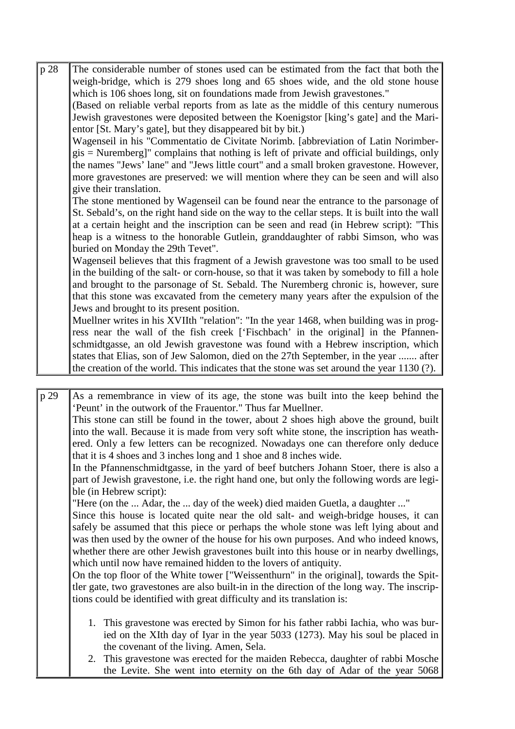p 28 The considerable number of stones used can be estimated from the fact that both the weigh-bridge, which is 279 shoes long and 65 shoes wide, and the old stone house which is 106 shoes long, sit on foundations made from Jewish gravestones."

(Based on reliable verbal reports from as late as the middle of this century numerous Jewish gravestones were deposited between the Koenigstor [king's gate] and the Marientor [St. Mary's gate], but they disappeared bit by bit.)

Wagenseil in his "Commentatio de Civitate Norimb. [abbreviation of Latin Norimbergis = Nuremberg]" complains that nothing is left of private and official buildings, only the names "Jews' lane" and "Jews little court" and a small broken gravestone. However, more gravestones are preserved: we will mention where they can be seen and will also give their translation.

The stone mentioned by Wagenseil can be found near the entrance to the parsonage of St. Sebald's, on the right hand side on the way to the cellar steps. It is built into the wall at a certain height and the inscription can be seen and read (in Hebrew script): "This heap is a witness to the honorable Gutlein, granddaughter of rabbi Simson, who was buried on Monday the 29th Tevet".

Wagenseil believes that this fragment of a Jewish gravestone was too small to be used in the building of the salt- or corn-house, so that it was taken by somebody to fill a hole and brought to the parsonage of St. Sebald. The Nuremberg chronic is, however, sure that this stone was excavated from the cemetery many years after the expulsion of the Jews and brought to its present position.

Muellner writes in his XVIIth "relation": "In the year 1468, when building was in progress near the wall of the fish creek ['Fischbach' in the original] in the Pfannenschmidtgasse, an old Jewish gravestone was found with a Hebrew inscription, which states that Elias, son of Jew Salomon, died on the 27th September, in the year ....... after the creation of the world. This indicates that the stone was set around the year 1130 (?).

- p 29 As a remembrance in view of its age, the stone was built into the keep behind the 'Peunt' in the outwork of the Frauentor." Thus far Muellner. This stone can still be found in the tower, about 2 shoes high above the ground, built into the wall. Because it is made from very soft white stone, the inscription has weathered. Only a few letters can be recognized. Nowadays one can therefore only deduce that it is 4 shoes and 3 inches long and 1 shoe and 8 inches wide. In the Pfannenschmidtgasse, in the yard of beef butchers Johann Stoer, there is also a part of Jewish gravestone, i.e. the right hand one, but only the following words are legible (in Hebrew script): "Here (on the ... Adar, the ... day of the week) died maiden Guetla, a daughter ..." Since this house is located quite near the old salt- and weigh-bridge houses, it can safely be assumed that this piece or perhaps the whole stone was left lying about and was then used by the owner of the house for his own purposes. And who indeed knows, whether there are other Jewish gravestones built into this house or in nearby dwellings, which until now have remained hidden to the lovers of antiquity. On the top floor of the White tower ["Weissenthurn" in the original], towards the Spittler gate, two gravestones are also built-in in the direction of the long way. The inscriptions could be identified with great difficulty and its translation is: 1. This gravestone was erected by Simon for his father rabbi Iachia, who was buried on the XIth day of Iyar in the year 5033 (1273). May his soul be placed in the covenant of the living. Amen, Sela.
	- 2. This gravestone was erected for the maiden Rebecca, daughter of rabbi Mosche the Levite. She went into eternity on the 6th day of Adar of the year 5068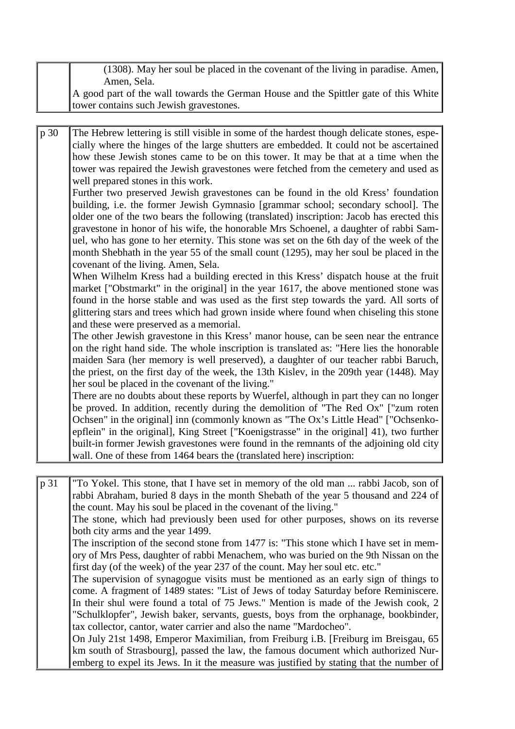| (1308). May her soul be placed in the covenant of the living in paradise. Amen,      |
|--------------------------------------------------------------------------------------|
| Amen, Sela.                                                                          |
| A good part of the wall towards the German House and the Spittler gate of this White |
| tower contains such Jewish gravestones.                                              |

p 30 The Hebrew lettering is still visible in some of the hardest though delicate stones, especially where the hinges of the large shutters are embedded. It could not be ascertained how these Jewish stones came to be on this tower. It may be that at a time when the tower was repaired the Jewish gravestones were fetched from the cemetery and used as well prepared stones in this work.

Further two preserved Jewish gravestones can be found in the old Kress' foundation building, i.e. the former Jewish Gymnasio [grammar school; secondary school]. The older one of the two bears the following (translated) inscription: Jacob has erected this gravestone in honor of his wife, the honorable Mrs Schoenel, a daughter of rabbi Samuel, who has gone to her eternity. This stone was set on the 6th day of the week of the month Shebhath in the year 55 of the small count (1295), may her soul be placed in the covenant of the living. Amen, Sela.

When Wilhelm Kress had a building erected in this Kress' dispatch house at the fruit market ["Obstmarkt" in the original] in the year 1617, the above mentioned stone was found in the horse stable and was used as the first step towards the yard. All sorts of glittering stars and trees which had grown inside where found when chiseling this stone and these were preserved as a memorial.

The other Jewish gravestone in this Kress' manor house, can be seen near the entrance on the right hand side. The whole inscription is translated as: "Here lies the honorable maiden Sara (her memory is well preserved), a daughter of our teacher rabbi Baruch, the priest, on the first day of the week, the 13th Kislev, in the 209th year (1448). May her soul be placed in the covenant of the living."

There are no doubts about these reports by Wuerfel, although in part they can no longer be proved. In addition, recently during the demolition of "The Red Ox" ["zum roten Ochsen" in the original] inn (commonly known as "The Ox's Little Head" ["Ochsenkoepflein" in the original], King Street ["Koenigstrasse" in the original] 41), two further built-in former Jewish gravestones were found in the remnants of the adjoining old city wall. One of these from 1464 bears the (translated here) inscription:

p 31 "To Yokel. This stone, that I have set in memory of the old man ... rabbi Jacob, son of rabbi Abraham, buried 8 days in the month Shebath of the year 5 thousand and 224 of the count. May his soul be placed in the covenant of the living." The stone, which had previously been used for other purposes, shows on its reverse both city arms and the year 1499. The inscription of the second stone from 1477 is: "This stone which I have set in memory of Mrs Pess, daughter of rabbi Menachem, who was buried on the 9th Nissan on the first day (of the week) of the year 237 of the count. May her soul etc. etc." The supervision of synagogue visits must be mentioned as an early sign of things to come. A fragment of 1489 states: "List of Jews of today Saturday before Reminiscere. In their shul were found a total of 75 Jews." Mention is made of the Jewish cook, 2 "Schulklopfer", Jewish baker, servants, guests, boys from the orphanage, bookbinder, tax collector, cantor, water carrier and also the name "Mardocheo". On July 21st 1498, Emperor Maximilian, from Freiburg i.B. [Freiburg im Breisgau, 65

km south of Strasbourg], passed the law, the famous document which authorized Nuremberg to expel its Jews. In it the measure was justified by stating that the number of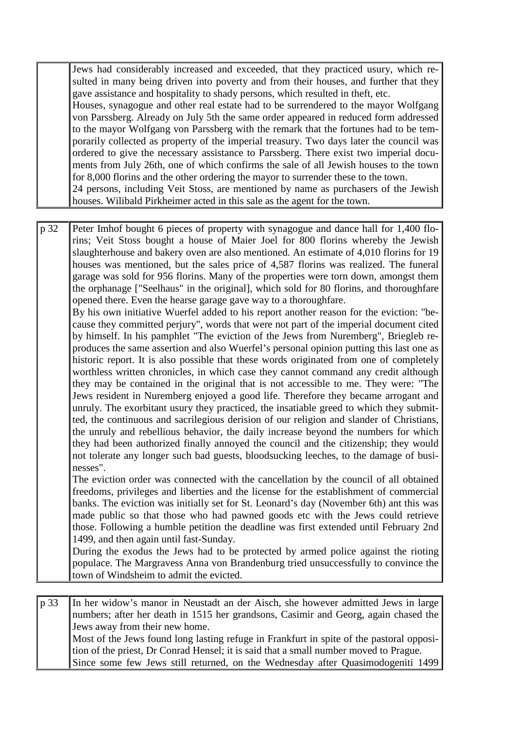Jews had considerably increased and exceeded, that they practiced usury, which resulted in many being driven into poverty and from their houses, and further that they gave assistance and hospitality to shady persons, which resulted in theft, etc. Houses, synagogue and other real estate had to be surrendered to the mayor Wolfgang von Parssberg. Already on July 5th the same order appeared in reduced form addressed

to the mayor Wolfgang von Parssberg with the remark that the fortunes had to be temporarily collected as property of the imperial treasury. Two days later the council was ordered to give the necessary assistance to Parssberg. There exist two imperial documents from July 26th, one of which confirms the sale of all Jewish houses to the town for 8,000 florins and the other ordering the mayor to surrender these to the town.

24 persons, including Veit Stoss, are mentioned by name as purchasers of the Jewish houses. Wilibald Pirkheimer acted in this sale as the agent for the town.

p 32 Peter Imhof bought 6 pieces of property with synagogue and dance hall for 1,400 florins; Veit Stoss bought a house of Maier Joel for 800 florins whereby the Jewish slaughterhouse and bakery oven are also mentioned. An estimate of 4,010 florins for 19 houses was mentioned, but the sales price of 4,587 florins was realized. The funeral garage was sold for 956 florins. Many of the properties were torn down, amongst them the orphanage ["Seelhaus" in the original], which sold for 80 florins, and thoroughfare opened there. Even the hearse garage gave way to a thoroughfare.

By his own initiative Wuerfel added to his report another reason for the eviction: "because they committed perjury", words that were not part of the imperial document cited by himself. In his pamphlet "The eviction of the Jews from Nuremberg", Briegleb reproduces the same assertion and also Wuerfel's personal opinion putting this last one as historic report. It is also possible that these words originated from one of completely worthless written chronicles, in which case they cannot command any credit although they may be contained in the original that is not accessible to me. They were: "The Jews resident in Nuremberg enjoyed a good life. Therefore they became arrogant and unruly. The exorbitant usury they practiced, the insatiable greed to which they submitted, the continuous and sacrilegious derision of our religion and slander of Christians, the unruly and rebellious behavior, the daily increase beyond the numbers for which they had been authorized finally annoyed the council and the citizenship; they would not tolerate any longer such bad guests, bloodsucking leeches, to the damage of businesses".

The eviction order was connected with the cancellation by the council of all obtained freedoms, privileges and liberties and the license for the establishment of commercial banks. The eviction was initially set for St. Leonard's day (November 6th) ant this was made public so that those who had pawned goods etc with the Jews could retrieve those. Following a humble petition the deadline was first extended until February 2nd 1499, and then again until fast-Sunday.

During the exodus the Jews had to be protected by armed police against the rioting populace. The Margravess Anna von Brandenburg tried unsuccessfully to convince the town of Windsheim to admit the evicted.

p 33 In her widow's manor in Neustadt an der Aisch, she however admitted Jews in large numbers; after her death in 1515 her grandsons, Casimir and Georg, again chased the Jews away from their new home. Most of the Jews found long lasting refuge in Frankfurt in spite of the pastoral opposition of the priest, Dr Conrad Hensel; it is said that a small number moved to Prague. Since some few Jews still returned, on the Wednesday after Quasimodogeniti 1499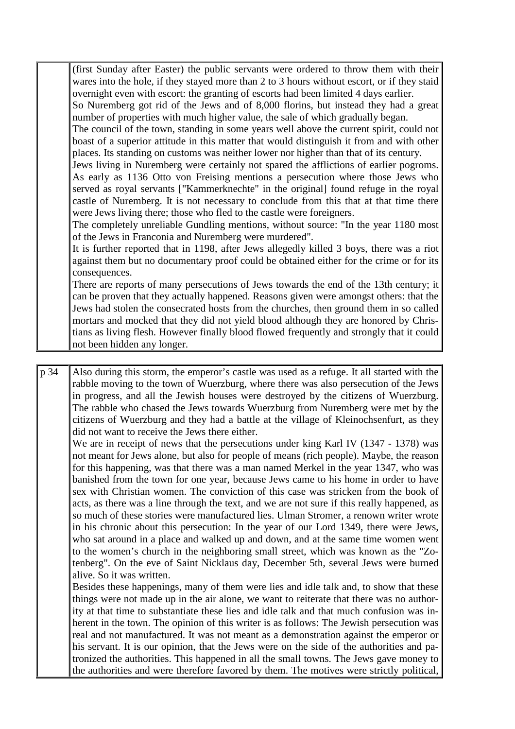(first Sunday after Easter) the public servants were ordered to throw them with their wares into the hole, if they stayed more than 2 to 3 hours without escort, or if they staid overnight even with escort: the granting of escorts had been limited 4 days earlier.

So Nuremberg got rid of the Jews and of 8,000 florins, but instead they had a great number of properties with much higher value, the sale of which gradually began.

The council of the town, standing in some years well above the current spirit, could not boast of a superior attitude in this matter that would distinguish it from and with other places. Its standing on customs was neither lower nor higher than that of its century.

Jews living in Nuremberg were certainly not spared the afflictions of earlier pogroms. As early as 1136 Otto von Freising mentions a persecution where those Jews who served as royal servants ["Kammerknechte" in the original] found refuge in the royal castle of Nuremberg. It is not necessary to conclude from this that at that time there were Jews living there; those who fled to the castle were foreigners.

The completely unreliable Gundling mentions, without source: "In the year 1180 most of the Jews in Franconia and Nuremberg were murdered".

It is further reported that in 1198, after Jews allegedly killed 3 boys, there was a riot against them but no documentary proof could be obtained either for the crime or for its consequences.

There are reports of many persecutions of Jews towards the end of the 13th century; it can be proven that they actually happened. Reasons given were amongst others: that the Jews had stolen the consecrated hosts from the churches, then ground them in so called mortars and mocked that they did not yield blood although they are honored by Christians as living flesh. However finally blood flowed frequently and strongly that it could not been hidden any longer.

p 34 Also during this storm, the emperor's castle was used as a refuge. It all started with the rabble moving to the town of Wuerzburg, where there was also persecution of the Jews in progress, and all the Jewish houses were destroyed by the citizens of Wuerzburg. The rabble who chased the Jews towards Wuerzburg from Nuremberg were met by the citizens of Wuerzburg and they had a battle at the village of Kleinochsenfurt, as they did not want to receive the Jews there either.

We are in receipt of news that the persecutions under king Karl IV (1347 - 1378) was not meant for Jews alone, but also for people of means (rich people). Maybe, the reason for this happening, was that there was a man named Merkel in the year 1347, who was banished from the town for one year, because Jews came to his home in order to have sex with Christian women. The conviction of this case was stricken from the book of acts, as there was a line through the text, and we are not sure if this really happened, as so much of these stories were manufactured lies. Ulman Stromer, a renown writer wrote in his chronic about this persecution: In the year of our Lord 1349, there were Jews, who sat around in a place and walked up and down, and at the same time women went to the women's church in the neighboring small street, which was known as the "Zotenberg". On the eve of Saint Nicklaus day, December 5th, several Jews were burned alive. So it was written.

Besides these happenings, many of them were lies and idle talk and, to show that these things were not made up in the air alone, we want to reiterate that there was no authority at that time to substantiate these lies and idle talk and that much confusion was inherent in the town. The opinion of this writer is as follows: The Jewish persecution was real and not manufactured. It was not meant as a demonstration against the emperor or his servant. It is our opinion, that the Jews were on the side of the authorities and patronized the authorities. This happened in all the small towns. The Jews gave money to the authorities and were therefore favored by them. The motives were strictly political,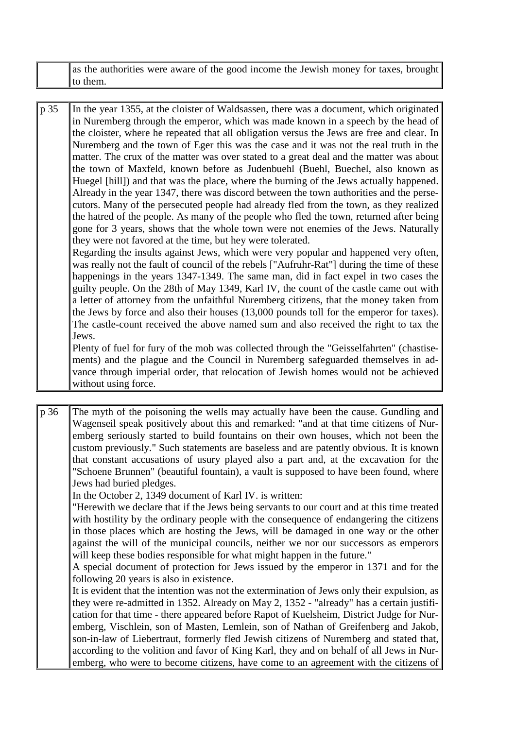|      | as the authorities were aware of the good income the Jewish money for taxes, brought<br>to them.                                                                                                                                                                                                                                                                                                                                                                                                                                                                                                                                                                                                                                                                                                                                                                                                                                                                                                                                                                                                                                                                                                                                                                                                                                                                                                                                                                                                                                                                                                                                                                                                                                                                                                                                                                                                                                                                                                                                             |
|------|----------------------------------------------------------------------------------------------------------------------------------------------------------------------------------------------------------------------------------------------------------------------------------------------------------------------------------------------------------------------------------------------------------------------------------------------------------------------------------------------------------------------------------------------------------------------------------------------------------------------------------------------------------------------------------------------------------------------------------------------------------------------------------------------------------------------------------------------------------------------------------------------------------------------------------------------------------------------------------------------------------------------------------------------------------------------------------------------------------------------------------------------------------------------------------------------------------------------------------------------------------------------------------------------------------------------------------------------------------------------------------------------------------------------------------------------------------------------------------------------------------------------------------------------------------------------------------------------------------------------------------------------------------------------------------------------------------------------------------------------------------------------------------------------------------------------------------------------------------------------------------------------------------------------------------------------------------------------------------------------------------------------------------------------|
|      |                                                                                                                                                                                                                                                                                                                                                                                                                                                                                                                                                                                                                                                                                                                                                                                                                                                                                                                                                                                                                                                                                                                                                                                                                                                                                                                                                                                                                                                                                                                                                                                                                                                                                                                                                                                                                                                                                                                                                                                                                                              |
| p 35 | In the year 1355, at the cloister of Waldsassen, there was a document, which originated<br>in Nuremberg through the emperor, which was made known in a speech by the head of<br>the cloister, where he repeated that all obligation versus the Jews are free and clear. In<br>Nuremberg and the town of Eger this was the case and it was not the real truth in the<br>matter. The crux of the matter was over stated to a great deal and the matter was about<br>the town of Maxfeld, known before as Judenbuehl (Buehl, Buechel, also known as<br>Huegel [hill]) and that was the place, where the burning of the Jews actually happened.<br>Already in the year 1347, there was discord between the town authorities and the perse-<br>cutors. Many of the persecuted people had already fled from the town, as they realized<br>the hatred of the people. As many of the people who fled the town, returned after being<br>gone for 3 years, shows that the whole town were not enemies of the Jews. Naturally<br>they were not favored at the time, but hey were tolerated.<br>Regarding the insults against Jews, which were very popular and happened very often,<br>was really not the fault of council of the rebels ["Aufruhr-Rat"] during the time of these<br>happenings in the years 1347-1349. The same man, did in fact expel in two cases the<br>guilty people. On the 28th of May 1349, Karl IV, the count of the castle came out with<br>a letter of attorney from the unfaithful Nuremberg citizens, that the money taken from<br>the Jews by force and also their houses (13,000 pounds toll for the emperor for taxes).<br>The castle-count received the above named sum and also received the right to tax the<br>Jews.<br>Plenty of fuel for fury of the mob was collected through the "Geisselfahrten" (chastise-<br>ments) and the plague and the Council in Nuremberg safeguarded themselves in ad-<br>vance through imperial order, that relocation of Jewish homes would not be achieved<br>without using force. |
| p 36 | The myth of the poisoning the wells may actually have been the cause. Gundling and<br>Wagenseil speak positively about this and remarked: "and at that time citizens of Nur-<br>emberg seriously started to build fountains on their own houses, which not been the<br>custom previously." Such statements are baseless and are patently obvious. It is known<br>that constant accusations of usury played also a part and, at the excavation for the<br>"Schoene Brunnen" (beautiful fountain), a vault is supposed to have been found, where<br>Jews had buried pledges.<br>In the October 2, 1349 document of Karl IV. is written:<br>"Herewith we declare that if the Jews being servants to our court and at this time treated<br>with hostility by the ordinary people with the consequence of endangering the citizens<br>in those places which are hosting the Jews, will be damaged in one way or the other                                                                                                                                                                                                                                                                                                                                                                                                                                                                                                                                                                                                                                                                                                                                                                                                                                                                                                                                                                                                                                                                                                                         |
|      | against the will of the municipal councils, neither we nor our successors as emperors<br>will keep these bodies responsible for what might happen in the future."                                                                                                                                                                                                                                                                                                                                                                                                                                                                                                                                                                                                                                                                                                                                                                                                                                                                                                                                                                                                                                                                                                                                                                                                                                                                                                                                                                                                                                                                                                                                                                                                                                                                                                                                                                                                                                                                            |

A special document of protection for Jews issued by the emperor in 1371 and for the following 20 years is also in existence.

It is evident that the intention was not the extermination of Jews only their expulsion, as they were re-admitted in 1352. Already on May 2, 1352 - "already" has a certain justification for that time - there appeared before Rapot of Kuelsheim, District Judge for Nuremberg, Vischlein, son of Masten, Lemlein, son of Nathan of Greifenberg and Jakob, son-in-law of Liebertraut, formerly fled Jewish citizens of Nuremberg and stated that, according to the volition and favor of King Karl, they and on behalf of all Jews in Nuremberg, who were to become citizens, have come to an agreement with the citizens of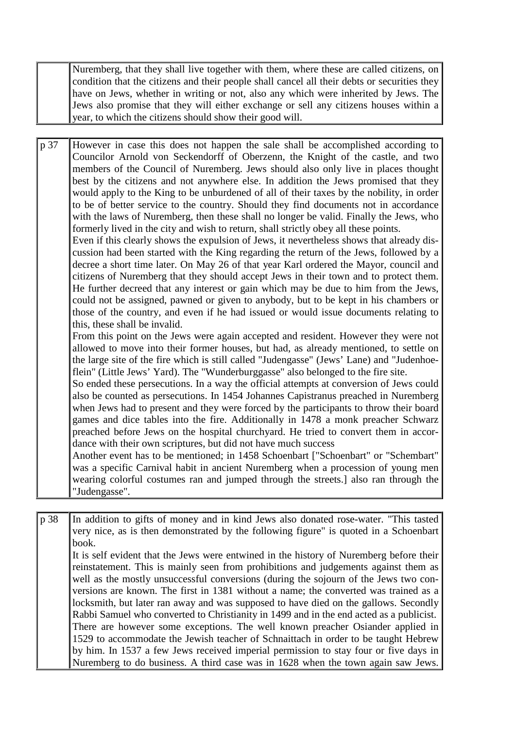Nuremberg, that they shall live together with them, where these are called citizens, on condition that the citizens and their people shall cancel all their debts or securities they have on Jews, whether in writing or not, also any which were inherited by Jews. The Jews also promise that they will either exchange or sell any citizens houses within a year, to which the citizens should show their good will.

p 37 However in case this does not happen the sale shall be accomplished according to Councilor Arnold von Seckendorff of Oberzenn, the Knight of the castle, and two members of the Council of Nuremberg. Jews should also only live in places thought best by the citizens and not anywhere else. In addition the Jews promised that they would apply to the King to be unburdened of all of their taxes by the nobility, in order to be of better service to the country. Should they find documents not in accordance with the laws of Nuremberg, then these shall no longer be valid. Finally the Jews, who formerly lived in the city and wish to return, shall strictly obey all these points.

Even if this clearly shows the expulsion of Jews, it nevertheless shows that already discussion had been started with the King regarding the return of the Jews, followed by a decree a short time later. On May 26 of that year Karl ordered the Mayor, council and citizens of Nuremberg that they should accept Jews in their town and to protect them. He further decreed that any interest or gain which may be due to him from the Jews, could not be assigned, pawned or given to anybody, but to be kept in his chambers or those of the country, and even if he had issued or would issue documents relating to this, these shall be invalid.

From this point on the Jews were again accepted and resident. However they were not allowed to move into their former houses, but had, as already mentioned, to settle on the large site of the fire which is still called "Judengasse" (Jews' Lane) and "Judenhoeflein" (Little Jews' Yard). The "Wunderburggasse" also belonged to the fire site.

So ended these persecutions. In a way the official attempts at conversion of Jews could also be counted as persecutions. In 1454 Johannes Capistranus preached in Nuremberg when Jews had to present and they were forced by the participants to throw their board games and dice tables into the fire. Additionally in 1478 a monk preacher Schwarz preached before Jews on the hospital churchyard. He tried to convert them in accordance with their own scriptures, but did not have much success

Another event has to be mentioned; in 1458 Schoenbart ["Schoenbart" or "Schembart" was a specific Carnival habit in ancient Nuremberg when a procession of young men wearing colorful costumes ran and jumped through the streets.] also ran through the "Judengasse".

p 38 In addition to gifts of money and in kind Jews also donated rose-water. "This tasted very nice, as is then demonstrated by the following figure" is quoted in a Schoenbart book. It is self evident that the Jews were entwined in the history of Nuremberg before their reinstatement. This is mainly seen from prohibitions and judgements against them as well as the mostly unsuccessful conversions (during the sojourn of the Jews two conversions are known. The first in 1381 without a name; the converted was trained as a locksmith, but later ran away and was supposed to have died on the gallows. Secondly Rabbi Samuel who converted to Christianity in 1499 and in the end acted as a publicist. There are however some exceptions. The well known preacher Osiander applied in 1529 to accommodate the Jewish teacher of Schnaittach in order to be taught Hebrew by him. In 1537 a few Jews received imperial permission to stay four or five days in Nuremberg to do business. A third case was in 1628 when the town again saw Jews.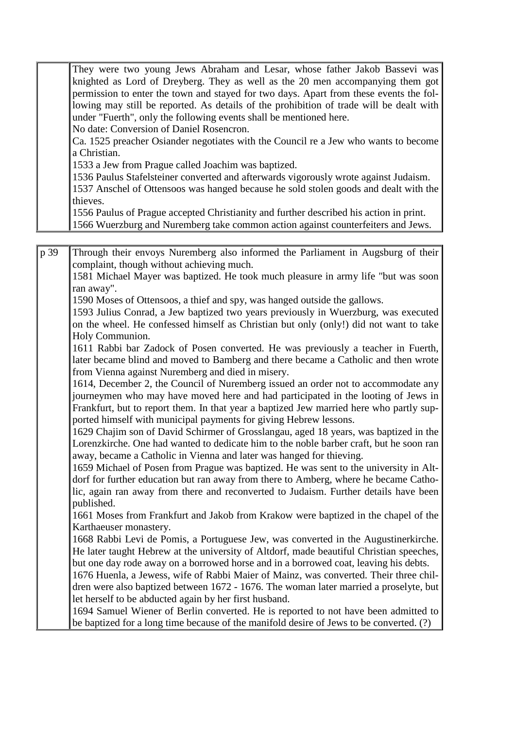|  | They were two young Jews Abraham and Lesar, whose father Jakob Bassevi was              |
|--|-----------------------------------------------------------------------------------------|
|  | knighted as Lord of Dreyberg. They as well as the 20 men accompanying them got          |
|  | permission to enter the town and stayed for two days. Apart from these events the fol-  |
|  | lowing may still be reported. As details of the prohibition of trade will be dealt with |
|  | under "Fuerth", only the following events shall be mentioned here.                      |
|  | No date: Conversion of Daniel Rosencron.                                                |
|  | Ca. 1525 preacher Osiander negotiates with the Council re a Jew who wants to become     |
|  | a Christian.                                                                            |
|  | 1533 a Jew from Prague called Joachim was baptized.                                     |
|  | 1536 Paulus Stafelsteiner converted and afterwards vigorously wrote against Judaism.    |
|  | 1537 Anschel of Ottensoos was hanged because he sold stolen goods and dealt with the    |
|  | thieves.                                                                                |
|  | 1556 Paulus of Prague accepted Christianity and further described his action in print.  |
|  | 1566 Wuerzburg and Nuremberg take common action against counterfeiters and Jews.        |

p 39 Through their envoys Nuremberg also informed the Parliament in Augsburg of their complaint, though without achieving much.

1581 Michael Mayer was baptized. He took much pleasure in army life "but was soon ran away".

1590 Moses of Ottensoos, a thief and spy, was hanged outside the gallows.

1593 Julius Conrad, a Jew baptized two years previously in Wuerzburg, was executed on the wheel. He confessed himself as Christian but only (only!) did not want to take Holy Communion.

1611 Rabbi bar Zadock of Posen converted. He was previously a teacher in Fuerth, later became blind and moved to Bamberg and there became a Catholic and then wrote from Vienna against Nuremberg and died in misery.

1614, December 2, the Council of Nuremberg issued an order not to accommodate any journeymen who may have moved here and had participated in the looting of Jews in Frankfurt, but to report them. In that year a baptized Jew married here who partly supported himself with municipal payments for giving Hebrew lessons.

1629 Chajim son of David Schirmer of Grosslangau, aged 18 years, was baptized in the Lorenzkirche. One had wanted to dedicate him to the noble barber craft, but he soon ran away, became a Catholic in Vienna and later was hanged for thieving.

1659 Michael of Posen from Prague was baptized. He was sent to the university in Altdorf for further education but ran away from there to Amberg, where he became Catholic, again ran away from there and reconverted to Judaism. Further details have been published.

1661 Moses from Frankfurt and Jakob from Krakow were baptized in the chapel of the Karthaeuser monastery.

1668 Rabbi Levi de Pomis, a Portuguese Jew, was converted in the Augustinerkirche. He later taught Hebrew at the university of Altdorf, made beautiful Christian speeches, but one day rode away on a borrowed horse and in a borrowed coat, leaving his debts.

1676 Huenla, a Jewess, wife of Rabbi Maier of Mainz, was converted. Their three children were also baptized between 1672 - 1676. The woman later married a proselyte, but let herself to be abducted again by her first husband.

1694 Samuel Wiener of Berlin converted. He is reported to not have been admitted to be baptized for a long time because of the manifold desire of Jews to be converted. (?)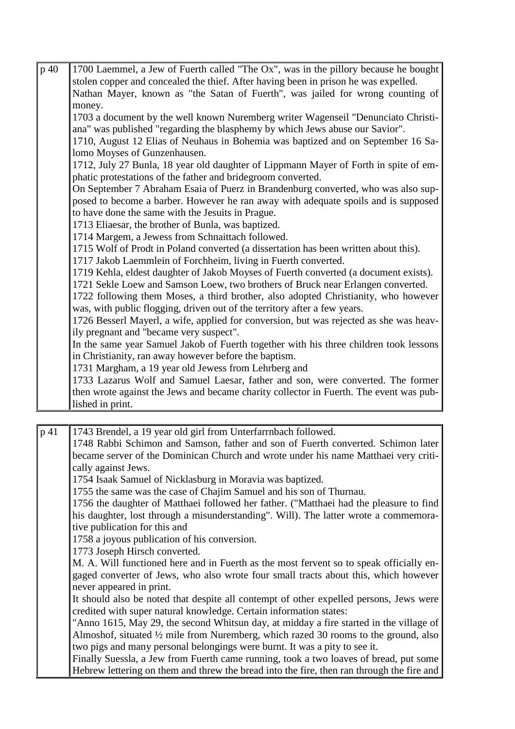| p 40 | 1700 Laemmel, a Jew of Fuerth called "The Ox", was in the pillory because he bought    |
|------|----------------------------------------------------------------------------------------|
|      | stolen copper and concealed the thief. After having been in prison he was expelled.    |
|      | Nathan Mayer, known as "the Satan of Fuerth", was jailed for wrong counting of         |
|      | money.                                                                                 |
|      | 1703 a document by the well known Nuremberg writer Wagenseil "Denunciato Christi-      |
|      | ana" was published "regarding the blasphemy by which Jews abuse our Savior".           |
|      | 1710, August 12 Elias of Neuhaus in Bohemia was baptized and on September 16 Sa-       |
|      | lomo Moyses of Gunzenhausen.                                                           |
|      | 1712, July 27 Bunla, 18 year old daughter of Lippmann Mayer of Forth in spite of em-   |
|      | phatic protestations of the father and bridegroom converted.                           |
|      | On September 7 Abraham Esaia of Puerz in Brandenburg converted, who was also sup-      |
|      | posed to become a barber. However he ran away with adequate spoils and is supposed     |
|      | to have done the same with the Jesuits in Prague.                                      |
|      | 1713 Eliaesar, the brother of Bunla, was baptized.                                     |
|      | 1714 Margem, a Jewess from Schnaittach followed.                                       |
|      | 1715 Wolf of Prodt in Poland converted (a dissertation has been written about this).   |
|      | 1717 Jakob Laemmlein of Forchheim, living in Fuerth converted.                         |
|      | 1719 Kehla, eldest daughter of Jakob Moyses of Fuerth converted (a document exists).   |
|      | 1721 Sekle Loew and Samson Loew, two brothers of Bruck near Erlangen converted.        |
|      | 1722 following them Moses, a third brother, also adopted Christianity, who however     |
|      | was, with public flogging, driven out of the territory after a few years.              |
|      | 1726 Besserl Mayerl, a wife, applied for conversion, but was rejected as she was heav- |
|      | ily pregnant and "became very suspect".                                                |
|      | In the same year Samuel Jakob of Fuerth together with his three children took lessons  |
|      | in Christianity, ran away however before the baptism.                                  |
|      | 1731 Margham, a 19 year old Jewess from Lehrberg and                                   |
|      | 1733 Lazarus Wolf and Samuel Laesar, father and son, were converted. The former        |
|      | then wrote against the Jews and became charity collector in Fuerth. The event was pub- |
|      | lished in print.                                                                       |

p 41 1743 Brendel, a 19 year old girl from Unterfarrnbach followed. 1748 Rabbi Schimon and Samson, father and son of Fuerth converted. Schimon later became server of the Dominican Church and wrote under his name Matthaei very critically against Jews. 1754 Isaak Samuel of Nicklasburg in Moravia was baptized. 1755 the same was the case of Chajim Samuel and his son of Thurnau. 1756 the daughter of Matthaei followed her father. ("Matthaei had the pleasure to find his daughter, lost through a misunderstanding". Will). The latter wrote a commemorative publication for this and 1758 a joyous publication of his conversion. 1773 Joseph Hirsch converted. M. A. Will functioned here and in Fuerth as the most fervent so to speak officially engaged converter of Jews, who also wrote four small tracts about this, which however never appeared in print. It should also be noted that despite all contempt of other expelled persons, Jews were credited with super natural knowledge. Certain information states: "Anno 1615, May 29, the second Whitsun day, at midday a fire started in the village of Almoshof, situated ½ mile from Nuremberg, which razed 30 rooms to the ground, also two pigs and many personal belongings were burnt. It was a pity to see it. Finally Suessla, a Jew from Fuerth came running, took a two loaves of bread, put some Hebrew lettering on them and threw the bread into the fire, then ran through the fire and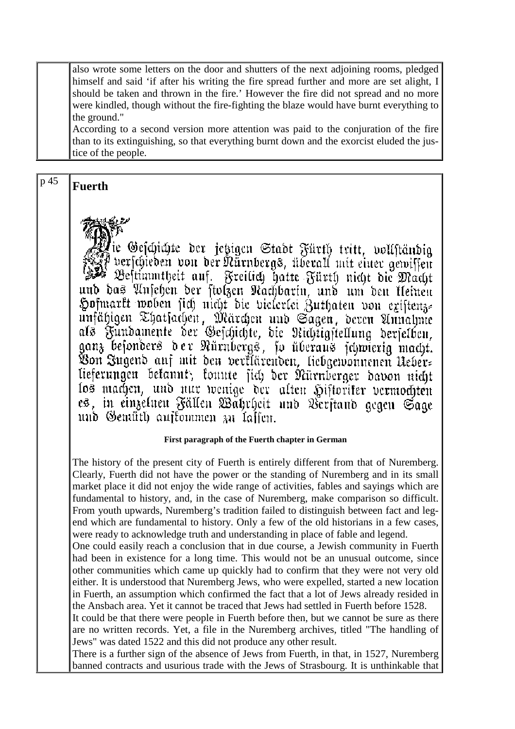also wrote some letters on the door and shutters of the next adjoining rooms, pledged himself and said 'if after his writing the fire spread further and more are set alight, I should be taken and thrown in the fire.' However the fire did not spread and no more were kindled, though without the fire-fighting the blaze would have burnt everything to the ground."

According to a second version more attention was paid to the conjuration of the fire than to its extinguishing, so that everything burnt down and the exorcist eluded the justice of the people.

 $p 45$  **Fuerth** 



Geschichte der jetzigen Stadt Fürth tritt, vollständig verschieben von der Nürnbergs, überall mit einer gewissen Bestimmtheit auf. Freilich hatte Fürth nicht die Macht und das Ansehen der stolzen Nachbarin, und um den kleinen Hofmarkt woben sich nicht die vielerlei Zuthaten von existenze unfähigen Thatsachen, Märchen und Sagen, deren Annahme als Fundamente der Geschichte, die Nichtigstellung derselben,<br>ganz besonders der Nürnbergs, so überaus schwierig macht. Von Jugend auf mit den verklärenden, liebgewonnenen Neberlieferungen befannt, fonute sich der Nürnberger davon nicht los machen, und nur wenige der alten Historiker vermochten es, in einzelnen Fällen Wahrheit und Verstand gegen Sage und Gemüth auftommen zu laffen.

#### **First paragraph of the Fuerth chapter in German**

The history of the present city of Fuerth is entirely different from that of Nuremberg. Clearly, Fuerth did not have the power or the standing of Nuremberg and in its small market place it did not enjoy the wide range of activities, fables and sayings which are fundamental to history, and, in the case of Nuremberg, make comparison so difficult. From youth upwards, Nuremberg's tradition failed to distinguish between fact and legend which are fundamental to history. Only a few of the old historians in a few cases, were ready to acknowledge truth and understanding in place of fable and legend.

One could easily reach a conclusion that in due course, a Jewish community in Fuerth had been in existence for a long time. This would not be an unusual outcome, since other communities which came up quickly had to confirm that they were not very old either. It is understood that Nuremberg Jews, who were expelled, started a new location in Fuerth, an assumption which confirmed the fact that a lot of Jews already resided in the Ansbach area. Yet it cannot be traced that Jews had settled in Fuerth before 1528.

It could be that there were people in Fuerth before then, but we cannot be sure as there are no written records. Yet, a file in the Nuremberg archives, titled "The handling of Jews" was dated 1522 and this did not produce any other result.

There is a further sign of the absence of Jews from Fuerth, in that, in 1527, Nuremberg banned contracts and usurious trade with the Jews of Strasbourg. It is unthinkable that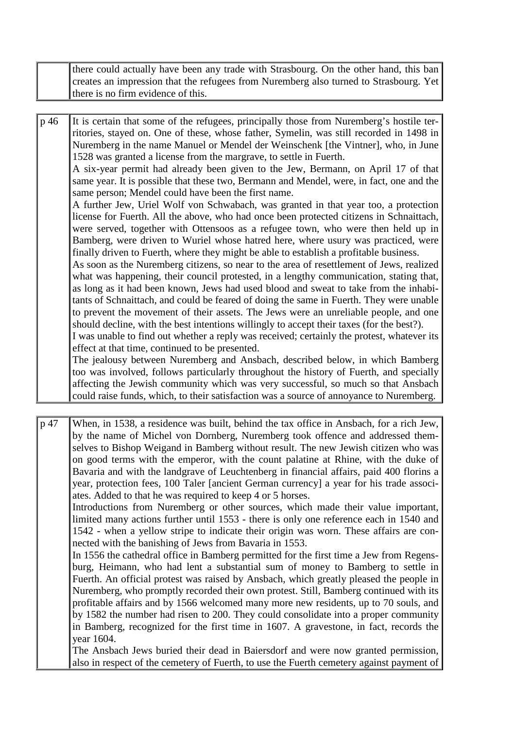| there could actually have been any trade with Strasbourg. On the other hand, this ban |
|---------------------------------------------------------------------------------------|
| creates an impression that the refugees from Nuremberg also turned to Strasbourg. Yet |
| there is no firm evidence of this.                                                    |

p 46 It is certain that some of the refugees, principally those from Nuremberg's hostile territories, stayed on. One of these, whose father, Symelin, was still recorded in 1498 in Nuremberg in the name Manuel or Mendel der Weinschenk [the Vintner], who, in June 1528 was granted a license from the margrave, to settle in Fuerth. A six-year permit had already been given to the Jew, Bermann, on April 17 of that same year. It is possible that these two, Bermann and Mendel, were, in fact, one and the

same person; Mendel could have been the first name. A further Jew, Uriel Wolf von Schwabach, was granted in that year too, a protection

license for Fuerth. All the above, who had once been protected citizens in Schnaittach, were served, together with Ottensoos as a refugee town, who were then held up in Bamberg, were driven to Wuriel whose hatred here, where usury was practiced, were finally driven to Fuerth, where they might be able to establish a profitable business.

As soon as the Nuremberg citizens, so near to the area of resettlement of Jews, realized what was happening, their council protested, in a lengthy communication, stating that, as long as it had been known, Jews had used blood and sweat to take from the inhabitants of Schnaittach, and could be feared of doing the same in Fuerth. They were unable to prevent the movement of their assets. The Jews were an unreliable people, and one should decline, with the best intentions willingly to accept their taxes (for the best?).

I was unable to find out whether a reply was received; certainly the protest, whatever its effect at that time, continued to be presented.

The jealousy between Nuremberg and Ansbach, described below, in which Bamberg too was involved, follows particularly throughout the history of Fuerth, and specially affecting the Jewish community which was very successful, so much so that Ansbach could raise funds, which, to their satisfaction was a source of annoyance to Nuremberg.

p 47 When, in 1538, a residence was built, behind the tax office in Ansbach, for a rich Jew, by the name of Michel von Dornberg, Nuremberg took offence and addressed themselves to Bishop Weigand in Bamberg without result. The new Jewish citizen who was on good terms with the emperor, with the count palatine at Rhine, with the duke of Bavaria and with the landgrave of Leuchtenberg in financial affairs, paid 400 florins a year, protection fees, 100 Taler [ancient German currency] a year for his trade associates. Added to that he was required to keep 4 or 5 horses.

Introductions from Nuremberg or other sources, which made their value important, limited many actions further until 1553 - there is only one reference each in 1540 and 1542 - when a yellow stripe to indicate their origin was worn. These affairs are connected with the banishing of Jews from Bavaria in 1553.

In 1556 the cathedral office in Bamberg permitted for the first time a Jew from Regensburg, Heimann, who had lent a substantial sum of money to Bamberg to settle in Fuerth. An official protest was raised by Ansbach, which greatly pleased the people in Nuremberg, who promptly recorded their own protest. Still, Bamberg continued with its profitable affairs and by 1566 welcomed many more new residents, up to 70 souls, and by 1582 the number had risen to 200. They could consolidate into a proper community in Bamberg, recognized for the first time in 1607. A gravestone, in fact, records the year 1604.

The Ansbach Jews buried their dead in Baiersdorf and were now granted permission, also in respect of the cemetery of Fuerth, to use the Fuerth cemetery against payment of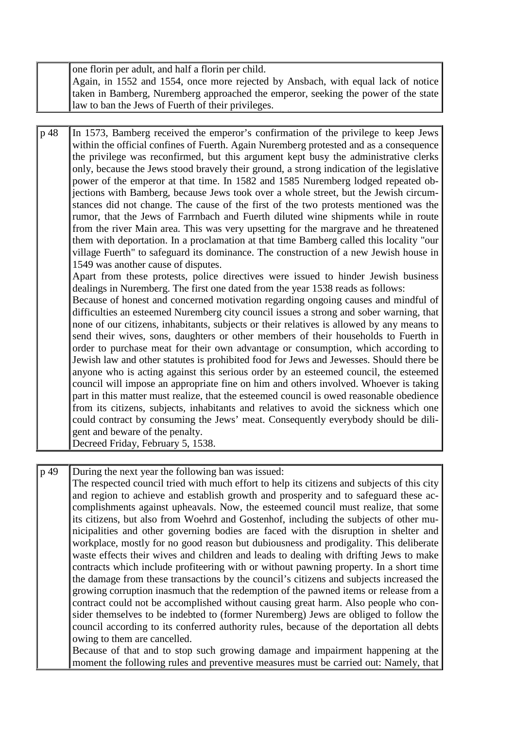|  | one florin per adult, and half a florin per child.                                 |
|--|------------------------------------------------------------------------------------|
|  | Again, in 1552 and 1554, once more rejected by Ansbach, with equal lack of notice  |
|  | taken in Bamberg, Nuremberg approached the emperor, seeking the power of the state |
|  | law to ban the Jews of Fuerth of their privileges.                                 |

p 48 In 1573, Bamberg received the emperor's confirmation of the privilege to keep Jews within the official confines of Fuerth. Again Nuremberg protested and as a consequence the privilege was reconfirmed, but this argument kept busy the administrative clerks only, because the Jews stood bravely their ground, a strong indication of the legislative power of the emperor at that time. In 1582 and 1585 Nuremberg lodged repeated objections with Bamberg, because Jews took over a whole street, but the Jewish circumstances did not change. The cause of the first of the two protests mentioned was the rumor, that the Jews of Farrnbach and Fuerth diluted wine shipments while in route from the river Main area. This was very upsetting for the margrave and he threatened them with deportation. In a proclamation at that time Bamberg called this locality "our village Fuerth" to safeguard its dominance. The construction of a new Jewish house in 1549 was another cause of disputes.

Apart from these protests, police directives were issued to hinder Jewish business dealings in Nuremberg. The first one dated from the year 1538 reads as follows:

Because of honest and concerned motivation regarding ongoing causes and mindful of difficulties an esteemed Nuremberg city council issues a strong and sober warning, that none of our citizens, inhabitants, subjects or their relatives is allowed by any means to send their wives, sons, daughters or other members of their households to Fuerth in order to purchase meat for their own advantage or consumption, which according to Jewish law and other statutes is prohibited food for Jews and Jewesses. Should there be anyone who is acting against this serious order by an esteemed council, the esteemed council will impose an appropriate fine on him and others involved. Whoever is taking part in this matter must realize, that the esteemed council is owed reasonable obedience from its citizens, subjects, inhabitants and relatives to avoid the sickness which one could contract by consuming the Jews' meat. Consequently everybody should be diligent and beware of the penalty.

Decreed Friday, February 5, 1538.

p 49 During the next year the following ban was issued:

The respected council tried with much effort to help its citizens and subjects of this city and region to achieve and establish growth and prosperity and to safeguard these accomplishments against upheavals. Now, the esteemed council must realize, that some its citizens, but also from Woehrd and Gostenhof, including the subjects of other municipalities and other governing bodies are faced with the disruption in shelter and workplace, mostly for no good reason but dubiousness and prodigality. This deliberate waste effects their wives and children and leads to dealing with drifting Jews to make contracts which include profiteering with or without pawning property. In a short time the damage from these transactions by the council's citizens and subjects increased the growing corruption inasmuch that the redemption of the pawned items or release from a contract could not be accomplished without causing great harm. Also people who consider themselves to be indebted to (former Nuremberg) Jews are obliged to follow the council according to its conferred authority rules, because of the deportation all debts owing to them are cancelled.

Because of that and to stop such growing damage and impairment happening at the moment the following rules and preventive measures must be carried out: Namely, that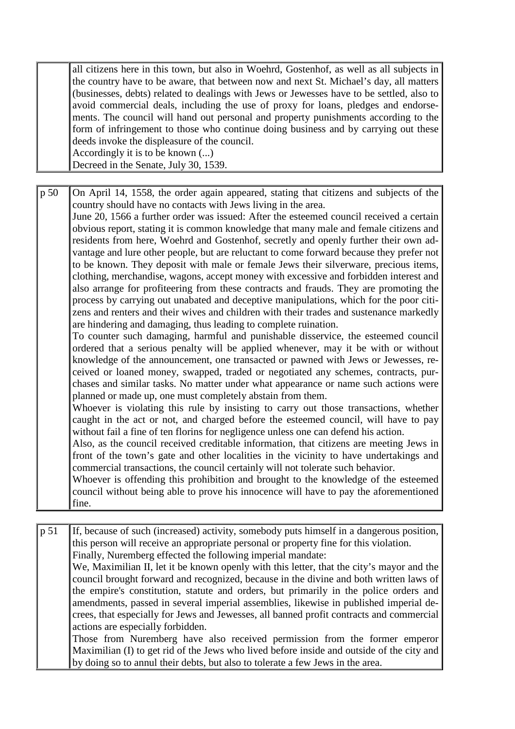all citizens here in this town, but also in Woehrd, Gostenhof, as well as all subjects in the country have to be aware, that between now and next St. Michael's day, all matters (businesses, debts) related to dealings with Jews or Jewesses have to be settled, also to avoid commercial deals, including the use of proxy for loans, pledges and endorsements. The council will hand out personal and property punishments according to the form of infringement to those who continue doing business and by carrying out these deeds invoke the displeasure of the council. Accordingly it is to be known (...)

Decreed in the Senate, July 30, 1539.

p 50 On April 14, 1558, the order again appeared, stating that citizens and subjects of the country should have no contacts with Jews living in the area.

June 20, 1566 a further order was issued: After the esteemed council received a certain obvious report, stating it is common knowledge that many male and female citizens and residents from here, Woehrd and Gostenhof, secretly and openly further their own advantage and lure other people, but are reluctant to come forward because they prefer not to be known. They deposit with male or female Jews their silverware, precious items, clothing, merchandise, wagons, accept money with excessive and forbidden interest and also arrange for profiteering from these contracts and frauds. They are promoting the process by carrying out unabated and deceptive manipulations, which for the poor citizens and renters and their wives and children with their trades and sustenance markedly are hindering and damaging, thus leading to complete ruination.

To counter such damaging, harmful and punishable disservice, the esteemed council ordered that a serious penalty will be applied whenever, may it be with or without knowledge of the announcement, one transacted or pawned with Jews or Jewesses, received or loaned money, swapped, traded or negotiated any schemes, contracts, purchases and similar tasks. No matter under what appearance or name such actions were planned or made up, one must completely abstain from them.

Whoever is violating this rule by insisting to carry out those transactions, whether caught in the act or not, and charged before the esteemed council, will have to pay without fail a fine of ten florins for negligence unless one can defend his action.

Also, as the council received creditable information, that citizens are meeting Jews in front of the town's gate and other localities in the vicinity to have undertakings and commercial transactions, the council certainly will not tolerate such behavior.

Whoever is offending this prohibition and brought to the knowledge of the esteemed council without being able to prove his innocence will have to pay the aforementioned fine.

p 51 If, because of such (increased) activity, somebody puts himself in a dangerous position, this person will receive an appropriate personal or property fine for this violation. Finally, Nuremberg effected the following imperial mandate: We, Maximilian II, let it be known openly with this letter, that the city's mayor and the council brought forward and recognized, because in the divine and both written laws of the empire's constitution, statute and orders, but primarily in the police orders and amendments, passed in several imperial assemblies, likewise in published imperial decrees, that especially for Jews and Jewesses, all banned profit contracts and commercial actions are especially forbidden. Those from Nuremberg have also received permission from the former emperor Maximilian (I) to get rid of the Jews who lived before inside and outside of the city and by doing so to annul their debts, but also to tolerate a few Jews in the area.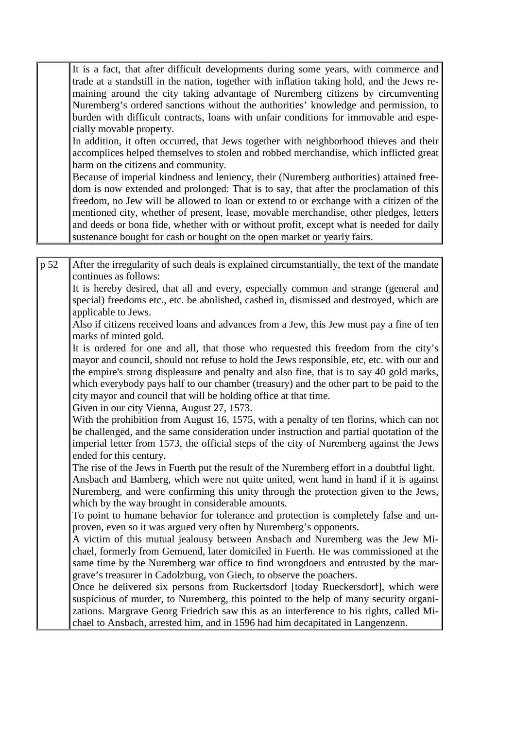It is a fact, that after difficult developments during some years, with commerce and trade at a standstill in the nation, together with inflation taking hold, and the Jews remaining around the city taking advantage of Nuremberg citizens by circumventing Nuremberg's ordered sanctions without the authorities' knowledge and permission, to burden with difficult contracts, loans with unfair conditions for immovable and especially movable property.

In addition, it often occurred, that Jews together with neighborhood thieves and their accomplices helped themselves to stolen and robbed merchandise, which inflicted great harm on the citizens and community.

Because of imperial kindness and leniency, their (Nuremberg authorities) attained freedom is now extended and prolonged: That is to say, that after the proclamation of this freedom, no Jew will be allowed to loan or extend to or exchange with a citizen of the mentioned city, whether of present, lease, movable merchandise, other pledges, letters and deeds or bona fide, whether with or without profit, except what is needed for daily sustenance bought for cash or bought on the open market or yearly fairs.

p 52 After the irregularity of such deals is explained circumstantially, the text of the mandate continues as follows:

It is hereby desired, that all and every, especially common and strange (general and special) freedoms etc., etc. be abolished, cashed in, dismissed and destroyed, which are applicable to Jews.

Also if citizens received loans and advances from a Jew, this Jew must pay a fine of ten marks of minted gold.

It is ordered for one and all, that those who requested this freedom from the city's mayor and council, should not refuse to hold the Jews responsible, etc, etc. with our and the empire's strong displeasure and penalty and also fine, that is to say 40 gold marks, which everybody pays half to our chamber (treasury) and the other part to be paid to the city mayor and council that will be holding office at that time.

Given in our city Vienna, August 27, 1573.

With the prohibition from August 16, 1575, with a penalty of ten florins, which can not be challenged, and the same consideration under instruction and partial quotation of the imperial letter from 1573, the official steps of the city of Nuremberg against the Jews ended for this century.

The rise of the Jews in Fuerth put the result of the Nuremberg effort in a doubtful light. Ansbach and Bamberg, which were not quite united, went hand in hand if it is against Nuremberg, and were confirming this unity through the protection given to the Jews, which by the way brought in considerable amounts.

To point to humane behavior for tolerance and protection is completely false and unproven, even so it was argued very often by Nuremberg's opponents.

A victim of this mutual jealousy between Ansbach and Nuremberg was the Jew Michael, formerly from Gemuend, later domiciled in Fuerth. He was commissioned at the same time by the Nuremberg war office to find wrongdoers and entrusted by the margrave's treasurer in Cadolzburg, von Giech, to observe the poachers.

Once he delivered six persons from Ruckertsdorf [today Rueckersdorf], which were suspicious of murder, to Nuremberg, this pointed to the help of many security organizations. Margrave Georg Friedrich saw this as an interference to his rights, called Michael to Ansbach, arrested him, and in 1596 had him decapitated in Langenzenn.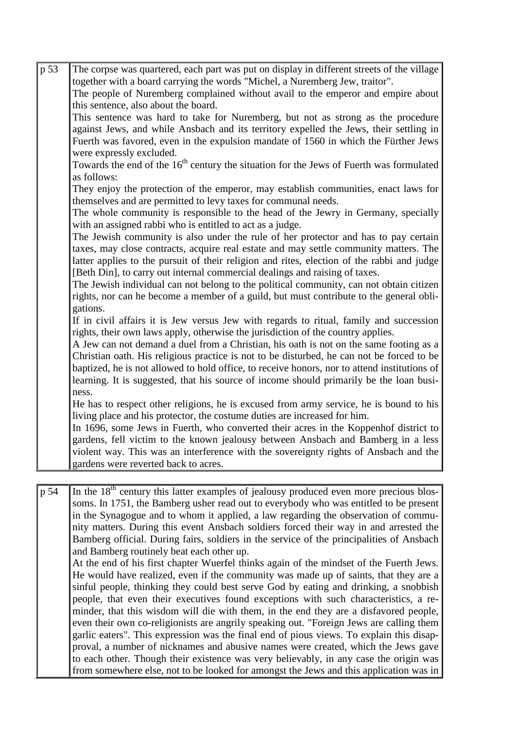| $p\overline{53}$ | The corpse was quartered, each part was put on display in different streets of the village                               |
|------------------|--------------------------------------------------------------------------------------------------------------------------|
|                  | together with a board carrying the words "Michel, a Nuremberg Jew, traitor".                                             |
|                  | The people of Nuremberg complained without avail to the emperor and empire about<br>this sentence, also about the board. |
|                  | This sentence was hard to take for Nuremberg, but not as strong as the procedure                                         |
|                  | against Jews, and while Ansbach and its territory expelled the Jews, their settling in                                   |
|                  | Fuerth was favored, even in the expulsion mandate of 1560 in which the Fürther Jews                                      |
|                  |                                                                                                                          |
|                  | were expressly excluded.                                                                                                 |
|                  | Towards the end of the 16 <sup>th</sup> century the situation for the Jews of Fuerth was formulated<br>as follows:       |
|                  | They enjoy the protection of the emperor, may establish communities, enact laws for                                      |
|                  | themselves and are permitted to levy taxes for communal needs.                                                           |
|                  | The whole community is responsible to the head of the Jewry in Germany, specially                                        |
|                  | with an assigned rabbi who is entitled to act as a judge.                                                                |
|                  | The Jewish community is also under the rule of her protector and has to pay certain                                      |
|                  | taxes, may close contracts, acquire real estate and may settle community matters. The                                    |
|                  | latter applies to the pursuit of their religion and rites, election of the rabbi and judge                               |
|                  | [Beth Din], to carry out internal commercial dealings and raising of taxes.                                              |
|                  | The Jewish individual can not belong to the political community, can not obtain citizen                                  |
|                  | rights, nor can he become a member of a guild, but must contribute to the general obli-                                  |
|                  | gations.                                                                                                                 |
|                  | If in civil affairs it is Jew versus Jew with regards to ritual, family and succession                                   |
|                  | rights, their own laws apply, otherwise the jurisdiction of the country applies.                                         |
|                  |                                                                                                                          |
|                  | A Jew can not demand a duel from a Christian, his oath is not on the same footing as a                                   |
|                  | Christian oath. His religious practice is not to be disturbed, he can not be forced to be                                |
|                  | baptized, he is not allowed to hold office, to receive honors, nor to attend institutions of                             |
|                  | learning. It is suggested, that his source of income should primarily be the loan busi-                                  |
|                  | ness.                                                                                                                    |
|                  | He has to respect other religions, he is excused from army service, he is bound to his                                   |
|                  | living place and his protector, the costume duties are increased for him.                                                |
|                  | In 1696, some Jews in Fuerth, who converted their acres in the Koppenhof district to                                     |
|                  | gardens, fell victim to the known jealousy between Ansbach and Bamberg in a less                                         |
|                  | violent way. This was an interference with the sovereignty rights of Ansbach and the                                     |
|                  | gardens were reverted back to acres.                                                                                     |
|                  |                                                                                                                          |

 $\overline{p}$  54 In the 18<sup>th</sup> century this latter examples of jealousy produced even more precious blossoms. In 1751, the Bamberg usher read out to everybody who was entitled to be present in the Synagogue and to whom it applied, a law regarding the observation of community matters. During this event Ansbach soldiers forced their way in and arrested the Bamberg official. During fairs, soldiers in the service of the principalities of Ansbach and Bamberg routinely beat each other up.

At the end of his first chapter Wuerfel thinks again of the mindset of the Fuerth Jews. He would have realized, even if the community was made up of saints, that they are a sinful people, thinking they could best serve God by eating and drinking, a snobbish people, that even their executives found exceptions with such characteristics, a reminder, that this wisdom will die with them, in the end they are a disfavored people, even their own co-religionists are angrily speaking out. "Foreign Jews are calling them garlic eaters". This expression was the final end of pious views. To explain this disapproval, a number of nicknames and abusive names were created, which the Jews gave to each other. Though their existence was very believably, in any case the origin was from somewhere else, not to be looked for amongst the Jews and this application was in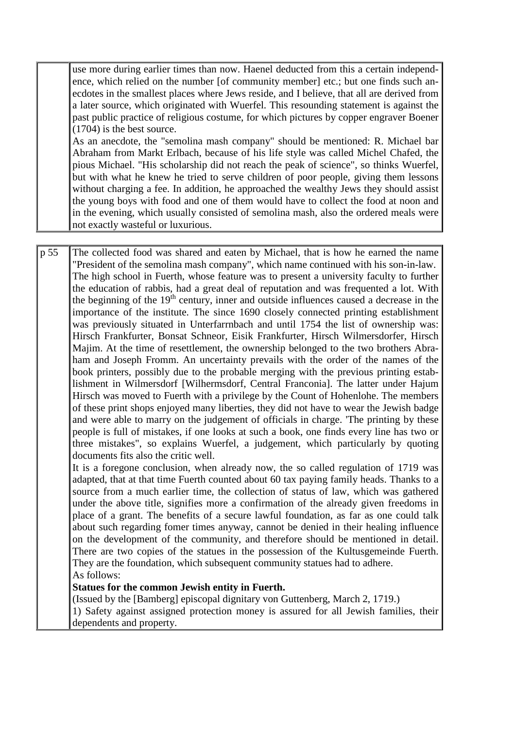use more during earlier times than now. Haenel deducted from this a certain independence, which relied on the number [of community member] etc.; but one finds such anecdotes in the smallest places where Jews reside, and I believe, that all are derived from a later source, which originated with Wuerfel. This resounding statement is against the past public practice of religious costume, for which pictures by copper engraver Boener (1704) is the best source.

As an anecdote, the "semolina mash company" should be mentioned: R. Michael bar Abraham from Markt Erlbach, because of his life style was called Michel Chafed, the pious Michael. "His scholarship did not reach the peak of science", so thinks Wuerfel, but with what he knew he tried to serve children of poor people, giving them lessons without charging a fee. In addition, he approached the wealthy Jews they should assist the young boys with food and one of them would have to collect the food at noon and in the evening, which usually consisted of semolina mash, also the ordered meals were not exactly wasteful or luxurious.

p 55 The collected food was shared and eaten by Michael, that is how he earned the name "President of the semolina mash company", which name continued with his son-in-law. The high school in Fuerth, whose feature was to present a university faculty to further the education of rabbis, had a great deal of reputation and was frequented a lot. With the beginning of the  $19<sup>th</sup>$  century, inner and outside influences caused a decrease in the importance of the institute. The since 1690 closely connected printing establishment was previously situated in Unterfarrnbach and until 1754 the list of ownership was: Hirsch Frankfurter, Bonsat Schneor, Eisik Frankfurter, Hirsch Wilmersdorfer, Hirsch Majim. At the time of resettlement, the ownership belonged to the two brothers Abraham and Joseph Fromm. An uncertainty prevails with the order of the names of the book printers, possibly due to the probable merging with the previous printing establishment in Wilmersdorf [Wilhermsdorf, Central Franconia]. The latter under Hajum Hirsch was moved to Fuerth with a privilege by the Count of Hohenlohe. The members of these print shops enjoyed many liberties, they did not have to wear the Jewish badge and were able to marry on the judgement of officials in charge. 'The printing by these people is full of mistakes, if one looks at such a book, one finds every line has two or three mistakes", so explains Wuerfel, a judgement, which particularly by quoting documents fits also the critic well.

It is a foregone conclusion, when already now, the so called regulation of 1719 was adapted, that at that time Fuerth counted about 60 tax paying family heads. Thanks to a source from a much earlier time, the collection of status of law, which was gathered under the above title, signifies more a confirmation of the already given freedoms in place of a grant. The benefits of a secure lawful foundation, as far as one could talk about such regarding fomer times anyway, cannot be denied in their healing influence on the development of the community, and therefore should be mentioned in detail. There are two copies of the statues in the possession of the Kultusgemeinde Fuerth. They are the foundation, which subsequent community statues had to adhere. As follows:

**Statues for the common Jewish entity in Fuerth.**

(Issued by the [Bamberg] episcopal dignitary von Guttenberg, March 2, 1719.)

1) Safety against assigned protection money is assured for all Jewish families, their dependents and property.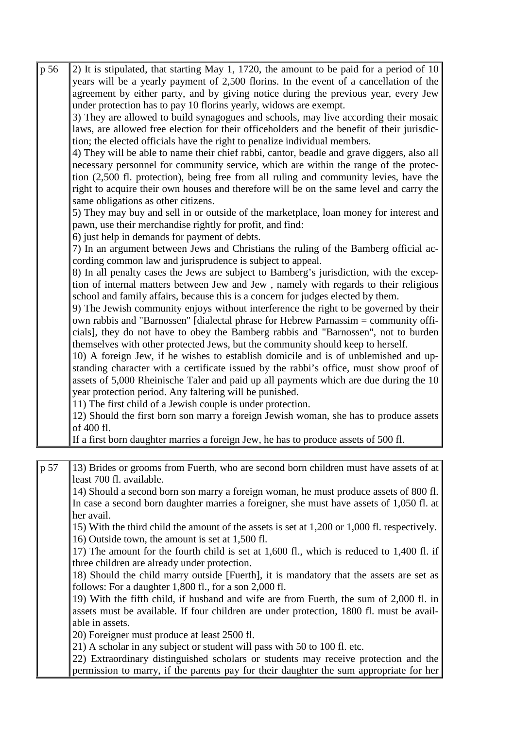| p 56 | 2) It is stipulated, that starting May 1, 1720, the amount to be paid for a period of 10   |
|------|--------------------------------------------------------------------------------------------|
|      | years will be a yearly payment of 2,500 florins. In the event of a cancellation of the     |
|      | agreement by either party, and by giving notice during the previous year, every Jew        |
|      | under protection has to pay 10 florins yearly, widows are exempt.                          |
|      | 3) They are allowed to build synagogues and schools, may live according their mosaic       |
|      | laws, are allowed free election for their officeholders and the benefit of their jurisdic- |
|      | tion; the elected officials have the right to penalize individual members.                 |
|      | 4) They will be able to name their chief rabbi, cantor, beadle and grave diggers, also all |
|      | necessary personnel for community service, which are within the range of the protec-       |
|      | tion (2,500 fl. protection), being free from all ruling and community levies, have the     |
|      | right to acquire their own houses and therefore will be on the same level and carry the    |
|      | same obligations as other citizens.                                                        |
|      | 5) They may buy and sell in or outside of the marketplace, loan money for interest and     |
|      | pawn, use their merchandise rightly for profit, and find:                                  |
|      | 6) just help in demands for payment of debts.                                              |
|      | 7) In an argument between Jews and Christians the ruling of the Bamberg official ac-       |
|      | cording common law and jurisprudence is subject to appeal.                                 |
|      | 8) In all penalty cases the Jews are subject to Bamberg's jurisdiction, with the excep-    |
|      | tion of internal matters between Jew and Jew, namely with regards to their religious       |
|      | school and family affairs, because this is a concern for judges elected by them.           |
|      | 9) The Jewish community enjoys without interference the right to be governed by their      |
|      | own rabbis and "Barnossen" [dialectal phrase for Hebrew Parnassim = community offi-        |
|      | cials], they do not have to obey the Bamberg rabbis and "Barnossen", not to burden         |
|      | themselves with other protected Jews, but the community should keep to herself.            |
|      | 10) A foreign Jew, if he wishes to establish domicile and is of unblemished and up-        |
|      | standing character with a certificate issued by the rabbi's office, must show proof of     |
|      | assets of 5,000 Rheinische Taler and paid up all payments which are due during the 10      |
|      | year protection period. Any faltering will be punished.                                    |
|      | 11) The first child of a Jewish couple is under protection.                                |
|      | 12) Should the first born son marry a foreign Jewish woman, she has to produce assets      |
|      | of 400 fl.                                                                                 |
|      | If a first born daughter marries a foreign Jew, he has to produce assets of 500 fl.        |
|      |                                                                                            |
| p 57 | 13) Brides or grooms from Fuerth, who are second born children must have assets of at      |
|      | least 700 fl. available.                                                                   |

14) Should a second born son marry a foreign woman, he must produce assets of 800 fl. In case a second born daughter marries a foreigner, she must have assets of 1,050 fl. at her avail.

15) With the third child the amount of the assets is set at 1,200 or 1,000 fl. respectively. 16) Outside town, the amount is set at 1,500 fl.

17) The amount for the fourth child is set at 1,600 fl., which is reduced to 1,400 fl. if three children are already under protection.

18) Should the child marry outside [Fuerth], it is mandatory that the assets are set as follows: For a daughter 1,800 fl., for a son 2,000 fl.

19) With the fifth child, if husband and wife are from Fuerth, the sum of 2,000 fl. in assets must be available. If four children are under protection, 1800 fl. must be available in assets.

20) Foreigner must produce at least 2500 fl.

21) A scholar in any subject or student will pass with 50 to 100 fl. etc.

22) Extraordinary distinguished scholars or students may receive protection and the permission to marry, if the parents pay for their daughter the sum appropriate for her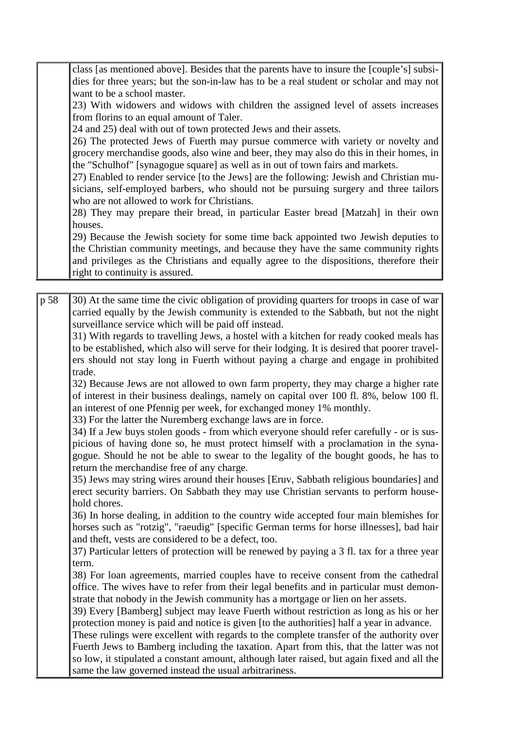class [as mentioned above]. Besides that the parents have to insure the [couple's] subsidies for three years; but the son-in-law has to be a real student or scholar and may not want to be a school master.

23) With widowers and widows with children the assigned level of assets increases from florins to an equal amount of Taler.

24 and 25) deal with out of town protected Jews and their assets.

26) The protected Jews of Fuerth may pursue commerce with variety or novelty and grocery merchandise goods, also wine and beer, they may also do this in their homes, in the "Schulhof" [synagogue square] as well as in out of town fairs and markets.

27) Enabled to render service [to the Jews] are the following: Jewish and Christian musicians, self-employed barbers, who should not be pursuing surgery and three tailors who are not allowed to work for Christians.

28) They may prepare their bread, in particular Easter bread [Matzah] in their own houses.

29) Because the Jewish society for some time back appointed two Jewish deputies to the Christian community meetings, and because they have the same community rights and privileges as the Christians and equally agree to the dispositions, therefore their right to continuity is assured.

p 58 30) At the same time the civic obligation of providing quarters for troops in case of war carried equally by the Jewish community is extended to the Sabbath, but not the night surveillance service which will be paid off instead.

31) With regards to travelling Jews, a hostel with a kitchen for ready cooked meals has to be established, which also will serve for their lodging. It is desired that poorer travelers should not stay long in Fuerth without paying a charge and engage in prohibited trade.

32) Because Jews are not allowed to own farm property, they may charge a higher rate of interest in their business dealings, namely on capital over 100 fl. 8%, below 100 fl. an interest of one Pfennig per week, for exchanged money 1% monthly.

33) For the latter the Nuremberg exchange laws are in force.

34) If a Jew buys stolen goods - from which everyone should refer carefully - or is suspicious of having done so, he must protect himself with a proclamation in the synagogue. Should he not be able to swear to the legality of the bought goods, he has to return the merchandise free of any charge.

35) Jews may string wires around their houses [Eruv, Sabbath religious boundaries] and erect security barriers. On Sabbath they may use Christian servants to perform household chores.

36) In horse dealing, in addition to the country wide accepted four main blemishes for horses such as "rotzig", "raeudig" [specific German terms for horse illnesses], bad hair and theft, vests are considered to be a defect, too.

37) Particular letters of protection will be renewed by paying a 3 fl. tax for a three year term.

38) For loan agreements, married couples have to receive consent from the cathedral office. The wives have to refer from their legal benefits and in particular must demonstrate that nobody in the Jewish community has a mortgage or lien on her assets.

39) Every [Bamberg] subject may leave Fuerth without restriction as long as his or her protection money is paid and notice is given [to the authorities] half a year in advance.

These rulings were excellent with regards to the complete transfer of the authority over Fuerth Jews to Bamberg including the taxation. Apart from this, that the latter was not so low, it stipulated a constant amount, although later raised, but again fixed and all the same the law governed instead the usual arbitrariness.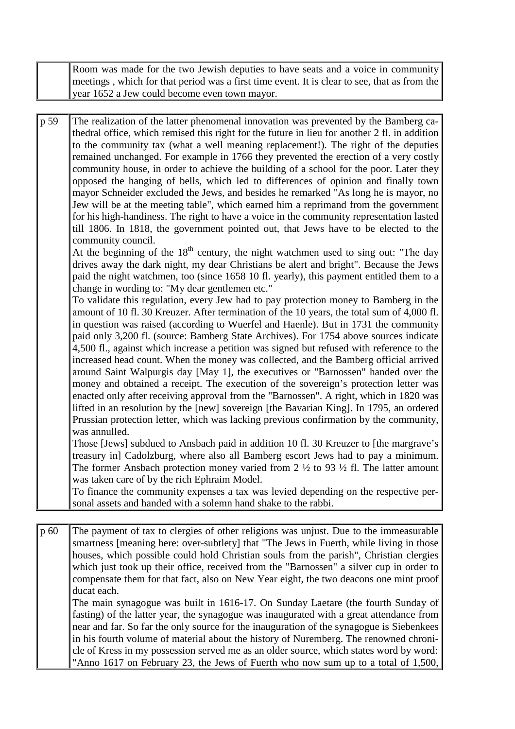Room was made for the two Jewish deputies to have seats and a voice in community meetings , which for that period was a first time event. It is clear to see, that as from the year 1652 a Jew could become even town mayor.

p 59 The realization of the latter phenomenal innovation was prevented by the Bamberg cathedral office, which remised this right for the future in lieu for another 2 fl. in addition to the community tax (what a well meaning replacement!). The right of the deputies remained unchanged. For example in 1766 they prevented the erection of a very costly community house, in order to achieve the building of a school for the poor. Later they opposed the hanging of bells, which led to differences of opinion and finally town mayor Schneider excluded the Jews, and besides he remarked "As long he is mayor, no Jew will be at the meeting table", which earned him a reprimand from the government for his high-handiness. The right to have a voice in the community representation lasted till 1806. In 1818, the government pointed out, that Jews have to be elected to the community council.

At the beginning of the  $18<sup>th</sup>$  century, the night watchmen used to sing out: "The day drives away the dark night, my dear Christians be alert and bright". Because the Jews paid the night watchmen, too (since 1658 10 fl. yearly), this payment entitled them to a change in wording to: "My dear gentlemen etc."

To validate this regulation, every Jew had to pay protection money to Bamberg in the amount of 10 fl. 30 Kreuzer. After termination of the 10 years, the total sum of 4,000 fl. in question was raised (according to Wuerfel and Haenle). But in 1731 the community paid only 3,200 fl. (source: Bamberg State Archives). For 1754 above sources indicate 4,500 fl., against which increase a petition was signed but refused with reference to the increased head count. When the money was collected, and the Bamberg official arrived around Saint Walpurgis day [May 1], the executives or "Barnossen" handed over the money and obtained a receipt. The execution of the sovereign's protection letter was enacted only after receiving approval from the "Barnossen". A right, which in 1820 was lifted in an resolution by the [new] sovereign [the Bavarian King]. In 1795, an ordered Prussian protection letter, which was lacking previous confirmation by the community, was annulled.

Those [Jews] subdued to Ansbach paid in addition 10 fl. 30 Kreuzer to [the margrave's treasury in] Cadolzburg, where also all Bamberg escort Jews had to pay a minimum. The former Ansbach protection money varied from  $2 \frac{1}{2}$  to 93  $\frac{1}{2}$  fl. The latter amount was taken care of by the rich Ephraim Model.

To finance the community expenses a tax was levied depending on the respective personal assets and handed with a solemn hand shake to the rabbi.

p 60 The payment of tax to clergies of other religions was unjust. Due to the immeasurable smartness [meaning here: over-subtlety] that "The Jews in Fuerth, while living in those houses, which possible could hold Christian souls from the parish", Christian clergies which just took up their office, received from the "Barnossen" a silver cup in order to compensate them for that fact, also on New Year eight, the two deacons one mint proof ducat each.

The main synagogue was built in 1616-17. On Sunday Laetare (the fourth Sunday of fasting) of the latter year, the synagogue was inaugurated with a great attendance from near and far. So far the only source for the inauguration of the synagogue is Siebenkees in his fourth volume of material about the history of Nuremberg. The renowned chronicle of Kress in my possession served me as an older source, which states word by word: "Anno 1617 on February 23, the Jews of Fuerth who now sum up to a total of 1,500,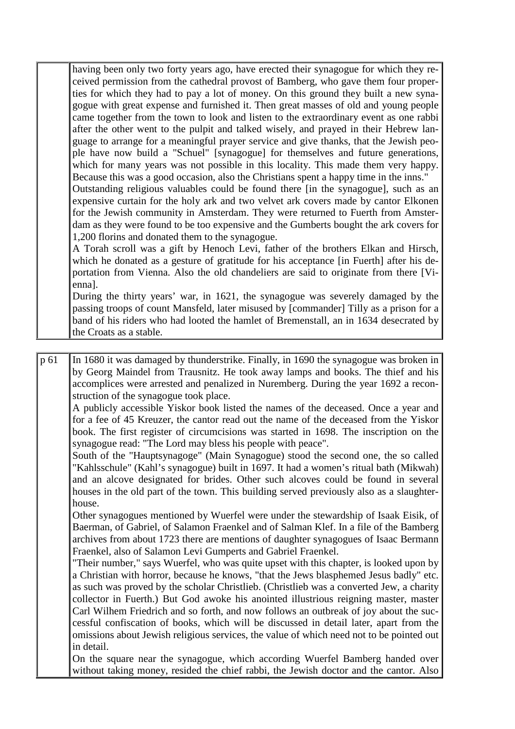having been only two forty years ago, have erected their synagogue for which they received permission from the cathedral provost of Bamberg, who gave them four properties for which they had to pay a lot of money. On this ground they built a new synagogue with great expense and furnished it. Then great masses of old and young people came together from the town to look and listen to the extraordinary event as one rabbi after the other went to the pulpit and talked wisely, and prayed in their Hebrew language to arrange for a meaningful prayer service and give thanks, that the Jewish people have now build a "Schuel" [synagogue] for themselves and future generations, which for many years was not possible in this locality. This made them very happy. Because this was a good occasion, also the Christians spent a happy time in the inns."

Outstanding religious valuables could be found there [in the synagogue], such as an expensive curtain for the holy ark and two velvet ark covers made by cantor Elkonen for the Jewish community in Amsterdam. They were returned to Fuerth from Amsterdam as they were found to be too expensive and the Gumberts bought the ark covers for 1,200 florins and donated them to the synagogue.

A Torah scroll was a gift by Henoch Levi, father of the brothers Elkan and Hirsch, which he donated as a gesture of gratitude for his acceptance [in Fuerth] after his deportation from Vienna. Also the old chandeliers are said to originate from there [Vienna].

During the thirty years' war, in 1621, the synagogue was severely damaged by the passing troops of count Mansfeld, later misused by [commander] Tilly as a prison for a band of his riders who had looted the hamlet of Bremenstall, an in 1634 desecrated by the Croats as a stable.

p 61 In 1680 it was damaged by thunderstrike. Finally, in 1690 the synagogue was broken in by Georg Maindel from Trausnitz. He took away lamps and books. The thief and his accomplices were arrested and penalized in Nuremberg. During the year 1692 a reconstruction of the synagogue took place.

A publicly accessible Yiskor book listed the names of the deceased. Once a year and for a fee of 45 Kreuzer, the cantor read out the name of the deceased from the Yiskor book. The first register of circumcisions was started in 1698. The inscription on the synagogue read: "The Lord may bless his people with peace".

South of the "Hauptsynagoge" (Main Synagogue) stood the second one, the so called "Kahlsschule" (Kahl's synagogue) built in 1697. It had a women's ritual bath (Mikwah) and an alcove designated for brides. Other such alcoves could be found in several houses in the old part of the town. This building served previously also as a slaughterhouse.

Other synagogues mentioned by Wuerfel were under the stewardship of Isaak Eisik, of Baerman, of Gabriel, of Salamon Fraenkel and of Salman Klef. In a file of the Bamberg archives from about 1723 there are mentions of daughter synagogues of Isaac Bermann Fraenkel, also of Salamon Levi Gumperts and Gabriel Fraenkel.

"Their number," says Wuerfel, who was quite upset with this chapter, is looked upon by a Christian with horror, because he knows, "that the Jews blasphemed Jesus badly" etc. as such was proved by the scholar Christlieb. (Christlieb was a converted Jew, a charity collector in Fuerth.) But God awoke his anointed illustrious reigning master, master Carl Wilhem Friedrich and so forth, and now follows an outbreak of joy about the successful confiscation of books, which will be discussed in detail later, apart from the omissions about Jewish religious services, the value of which need not to be pointed out in detail.

On the square near the synagogue, which according Wuerfel Bamberg handed over without taking money, resided the chief rabbi, the Jewish doctor and the cantor. Also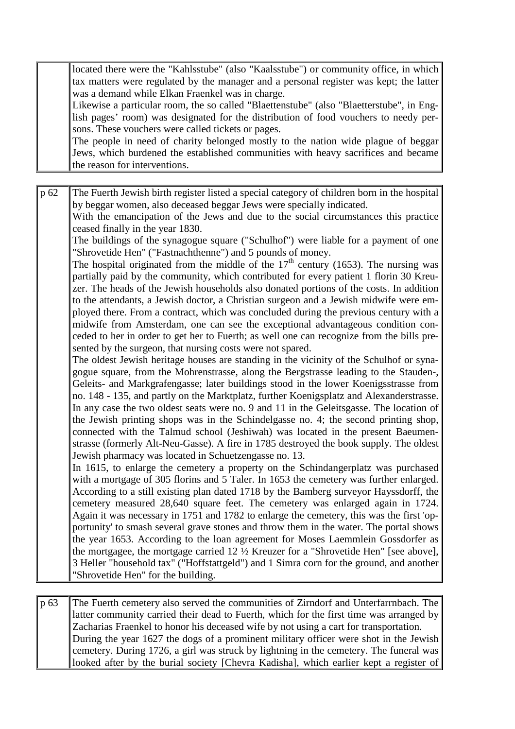located there were the "Kahlsstube" (also "Kaalsstube") or community office, in which tax matters were regulated by the manager and a personal register was kept; the latter was a demand while Elkan Fraenkel was in charge.

Likewise a particular room, the so called "Blaettenstube" (also "Blaetterstube", in English pages' room) was designated for the distribution of food vouchers to needy persons. These vouchers were called tickets or pages.

The people in need of charity belonged mostly to the nation wide plague of beggar Jews, which burdened the established communities with heavy sacrifices and became the reason for interventions.

p 62 The Fuerth Jewish birth register listed a special category of children born in the hospital by beggar women, also deceased beggar Jews were specially indicated.

With the emancipation of the Jews and due to the social circumstances this practice ceased finally in the year 1830.

The buildings of the synagogue square ("Schulhof") were liable for a payment of one "Shrovetide Hen" ("Fastnachthenne") and 5 pounds of money.

The hospital originated from the middle of the  $17<sup>th</sup>$  century (1653). The nursing was partially paid by the community, which contributed for every patient 1 florin 30 Kreuzer. The heads of the Jewish households also donated portions of the costs. In addition to the attendants, a Jewish doctor, a Christian surgeon and a Jewish midwife were employed there. From a contract, which was concluded during the previous century with a midwife from Amsterdam, one can see the exceptional advantageous condition conceded to her in order to get her to Fuerth; as well one can recognize from the bills presented by the surgeon, that nursing costs were not spared.

The oldest Jewish heritage houses are standing in the vicinity of the Schulhof or synagogue square, from the Mohrenstrasse, along the Bergstrasse leading to the Stauden-, Geleits- and Markgrafengasse; later buildings stood in the lower Koenigsstrasse from no. 148 - 135, and partly on the Marktplatz, further Koenigsplatz and Alexanderstrasse. In any case the two oldest seats were no. 9 and 11 in the Geleitsgasse. The location of the Jewish printing shops was in the Schindelgasse no. 4; the second printing shop, connected with the Talmud school (Jeshiwah) was located in the present Baeumenstrasse (formerly Alt-Neu-Gasse). A fire in 1785 destroyed the book supply. The oldest Jewish pharmacy was located in Schuetzengasse no. 13.

In 1615, to enlarge the cemetery a property on the Schindangerplatz was purchased with a mortgage of 305 florins and 5 Taler. In 1653 the cemetery was further enlarged. According to a still existing plan dated 1718 by the Bamberg surveyor Hayssdorff, the cemetery measured 28,640 square feet. The cemetery was enlarged again in 1724. Again it was necessary in 1751 and 1782 to enlarge the cemetery, this was the first 'opportunity' to smash several grave stones and throw them in the water. The portal shows the year 1653. According to the loan agreement for Moses Laemmlein Gossdorfer as the mortgagee, the mortgage carried 12 ½ Kreuzer for a "Shrovetide Hen" [see above], 3 Heller "household tax" ("Hoffstattgeld") and 1 Simra corn for the ground, and another "Shrovetide Hen" for the building.

p 63 The Fuerth cemetery also served the communities of Zirndorf and Unterfarrnbach. The latter community carried their dead to Fuerth, which for the first time was arranged by Zacharias Fraenkel to honor his deceased wife by not using a cart for transportation. During the year 1627 the dogs of a prominent military officer were shot in the Jewish cemetery. During 1726, a girl was struck by lightning in the cemetery. The funeral was looked after by the burial society [Chevra Kadisha], which earlier kept a register of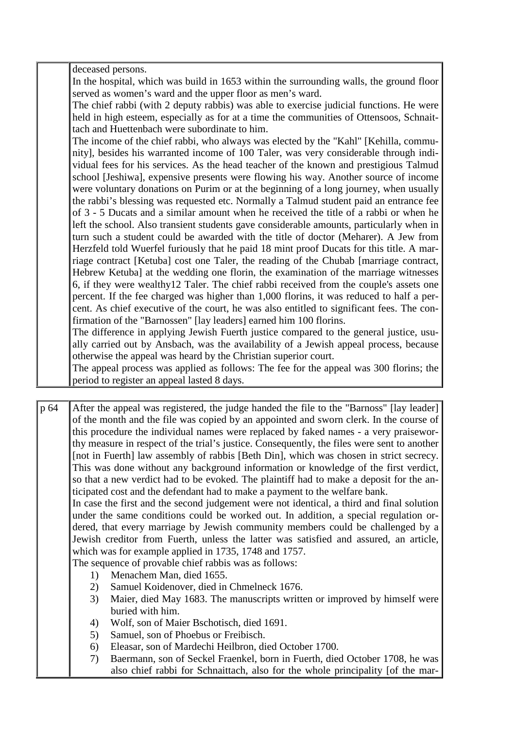deceased persons.

In the hospital, which was build in 1653 within the surrounding walls, the ground floor served as women's ward and the upper floor as men's ward.

The chief rabbi (with 2 deputy rabbis) was able to exercise judicial functions. He were held in high esteem, especially as for at a time the communities of Ottensoos, Schnaittach and Huettenbach were subordinate to him.

The income of the chief rabbi, who always was elected by the "Kahl" [Kehilla, community], besides his warranted income of 100 Taler, was very considerable through individual fees for his services. As the head teacher of the known and prestigious Talmud school [Jeshiwa], expensive presents were flowing his way. Another source of income were voluntary donations on Purim or at the beginning of a long journey, when usually the rabbi's blessing was requested etc. Normally a Talmud student paid an entrance fee of 3 - 5 Ducats and a similar amount when he received the title of a rabbi or when he left the school. Also transient students gave considerable amounts, particularly when in turn such a student could be awarded with the title of doctor (Meharer). A Jew from Herzfeld told Wuerfel furiously that he paid 18 mint proof Ducats for this title. A marriage contract [Ketuba] cost one Taler, the reading of the Chubab [marriage contract, Hebrew Ketuba] at the wedding one florin, the examination of the marriage witnesses 6, if they were wealthy12 Taler. The chief rabbi received from the couple's assets one percent. If the fee charged was higher than 1,000 florins, it was reduced to half a percent. As chief executive of the court, he was also entitled to significant fees. The confirmation of the "Barnossen" [lay leaders] earned him 100 florins.

The difference in applying Jewish Fuerth justice compared to the general justice, usually carried out by Ansbach, was the availability of a Jewish appeal process, because otherwise the appeal was heard by the Christian superior court.

The appeal process was applied as follows: The fee for the appeal was 300 florins; the period to register an appeal lasted 8 days.

p 64 After the appeal was registered, the judge handed the file to the "Barnoss" [lay leader] of the month and the file was copied by an appointed and sworn clerk. In the course of this procedure the individual names were replaced by faked names - a very praiseworthy measure in respect of the trial's justice. Consequently, the files were sent to another [not in Fuerth] law assembly of rabbis [Beth Din], which was chosen in strict secrecy. This was done without any background information or knowledge of the first verdict, so that a new verdict had to be evoked. The plaintiff had to make a deposit for the anticipated cost and the defendant had to make a payment to the welfare bank.

In case the first and the second judgement were not identical, a third and final solution under the same conditions could be worked out. In addition, a special regulation ordered, that every marriage by Jewish community members could be challenged by a Jewish creditor from Fuerth, unless the latter was satisfied and assured, an article, which was for example applied in 1735, 1748 and 1757.

The sequence of provable chief rabbis was as follows:

- 1) Menachem Man, died 1655.
- 2) Samuel Koidenover, died in Chmelneck 1676.
- 3) Maier, died May 1683. The manuscripts written or improved by himself were buried with him.
- 4) Wolf, son of Maier Bschotisch, died 1691.
- 5) Samuel, son of Phoebus or Freibisch.
- 6) Eleasar, son of Mardechi Heilbron, died October 1700.
- 7) Baermann, son of Seckel Fraenkel, born in Fuerth, died October 1708, he was also chief rabbi for Schnaittach, also for the whole principality [of the mar-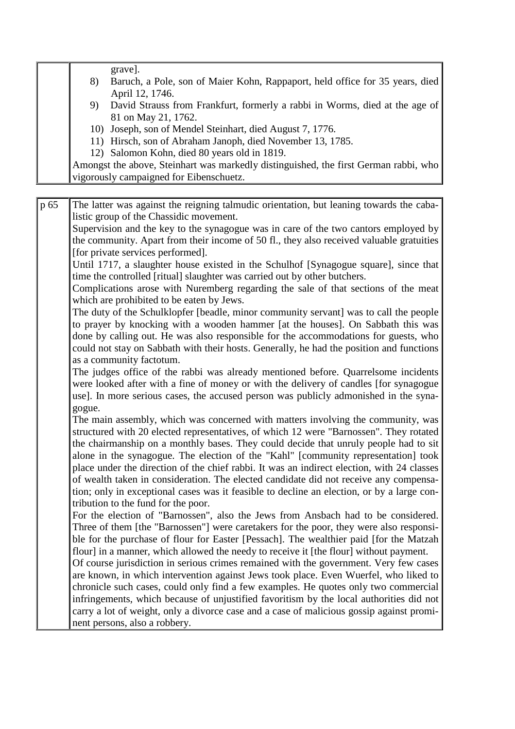grave].

- 8) Baruch, a Pole, son of Maier Kohn, Rappaport, held office for 35 years, died April 12, 1746.
- 9) David Strauss from Frankfurt, formerly a rabbi in Worms, died at the age of 81 on May 21, 1762.
- 10) Joseph, son of Mendel Steinhart, died August 7, 1776.
- 11) Hirsch, son of Abraham Janoph, died November 13, 1785.
- 12) Salomon Kohn, died 80 years old in 1819.

Amongst the above, Steinhart was markedly distinguished, the first German rabbi, who vigorously campaigned for Eibenschuetz.

p 65 The latter was against the reigning talmudic orientation, but leaning towards the cabalistic group of the Chassidic movement.

Supervision and the key to the synagogue was in care of the two cantors employed by the community. Apart from their income of 50 fl., they also received valuable gratuities [for private services performed].

Until 1717, a slaughter house existed in the Schulhof [Synagogue square], since that time the controlled [ritual] slaughter was carried out by other butchers.

Complications arose with Nuremberg regarding the sale of that sections of the meat which are prohibited to be eaten by Jews.

The duty of the Schulklopfer [beadle, minor community servant] was to call the people to prayer by knocking with a wooden hammer [at the houses]. On Sabbath this was done by calling out. He was also responsible for the accommodations for guests, who could not stay on Sabbath with their hosts. Generally, he had the position and functions as a community factotum.

The judges office of the rabbi was already mentioned before. Quarrelsome incidents were looked after with a fine of money or with the delivery of candles [for synagogue use]. In more serious cases, the accused person was publicly admonished in the synagogue.

The main assembly, which was concerned with matters involving the community, was structured with 20 elected representatives, of which 12 were "Barnossen". They rotated the chairmanship on a monthly bases. They could decide that unruly people had to sit alone in the synagogue. The election of the "Kahl" [community representation] took place under the direction of the chief rabbi. It was an indirect election, with 24 classes of wealth taken in consideration. The elected candidate did not receive any compensation; only in exceptional cases was it feasible to decline an election, or by a large contribution to the fund for the poor.

For the election of "Barnossen", also the Jews from Ansbach had to be considered. Three of them [the "Barnossen"] were caretakers for the poor, they were also responsible for the purchase of flour for Easter [Pessach]. The wealthier paid [for the Matzah flour] in a manner, which allowed the needy to receive it [the flour] without payment.

Of course jurisdiction in serious crimes remained with the government. Very few cases are known, in which intervention against Jews took place. Even Wuerfel, who liked to chronicle such cases, could only find a few examples. He quotes only two commercial infringements, which because of unjustified favoritism by the local authorities did not carry a lot of weight, only a divorce case and a case of malicious gossip against prominent persons, also a robbery.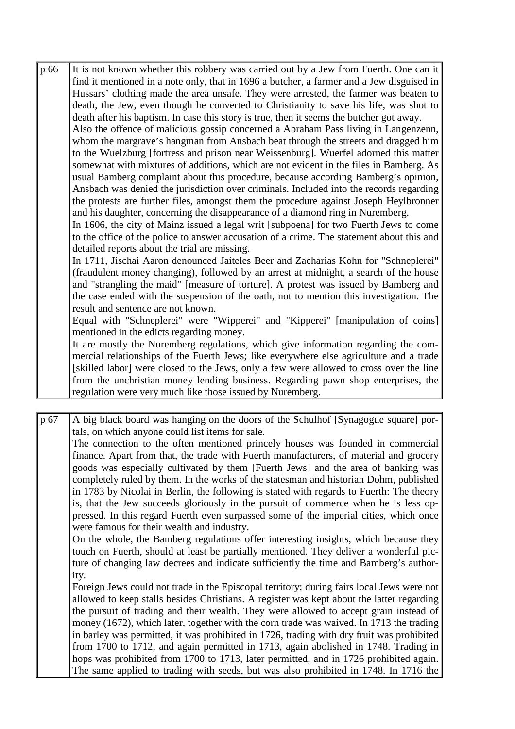| p 66 | It is not known whether this robbery was carried out by a Jew from Fuerth. One can it     |
|------|-------------------------------------------------------------------------------------------|
|      | find it mentioned in a note only, that in 1696 a butcher, a farmer and a Jew disguised in |
|      | Hussars' clothing made the area unsafe. They were arrested, the farmer was beaten to      |
|      | death, the Jew, even though he converted to Christianity to save his life, was shot to    |
|      | death after his baptism. In case this story is true, then it seems the butcher got away.  |
|      | Also the offence of malicious gossip concerned a Abraham Pass living in Langenzenn,       |
|      | whom the margrave's hangman from Ansbach beat through the streets and dragged him         |
|      | to the Wuelzburg [fortress and prison near Weissenburg]. Wuerfel adorned this matter      |
|      | somewhat with mixtures of additions, which are not evident in the files in Bamberg. As    |
|      | usual Bamberg complaint about this procedure, because according Bamberg's opinion,        |
|      | Ansbach was denied the jurisdiction over criminals. Included into the records regarding   |
|      | the protests are further files, amongst them the procedure against Joseph Heylbronner     |
|      | and his daughter, concerning the disappearance of a diamond ring in Nuremberg.            |
|      | In 1606, the city of Mainz issued a legal writ [subpoena] for two Fuerth Jews to come     |
|      | to the office of the police to answer accusation of a crime. The statement about this and |
|      | detailed reports about the trial are missing.                                             |
|      | In 1711, Jischai Aaron denounced Jaiteles Beer and Zacharias Kohn for "Schneplerei"       |
|      | (fraudulent money changing), followed by an arrest at midnight, a search of the house     |
|      | and "strangling the maid" [measure of torture]. A protest was issued by Bamberg and       |
|      | the case ended with the suspension of the oath, not to mention this investigation. The    |
|      | result and sentence are not known.                                                        |
|      | Equal with "Schneplerei" were "Wipperei" and "Kipperei" [manipulation of coins]           |
|      | mentioned in the edicts regarding money.                                                  |
|      | It are mostly the Nuremberg regulations, which give information regarding the com-        |
|      | mercial relationships of the Fuerth Jews; like everywhere else agriculture and a trade    |
|      | [skilled labor] were closed to the Jews, only a few were allowed to cross over the line   |
|      | from the unchristian money lending business. Regarding pawn shop enterprises, the         |
|      | regulation were very much like those issued by Nuremberg.                                 |
|      |                                                                                           |

p 67 A big black board was hanging on the doors of the Schulhof [Synagogue square] portals, on which anyone could list items for sale.

The connection to the often mentioned princely houses was founded in commercial finance. Apart from that, the trade with Fuerth manufacturers, of material and grocery goods was especially cultivated by them [Fuerth Jews] and the area of banking was completely ruled by them. In the works of the statesman and historian Dohm, published in 1783 by Nicolai in Berlin, the following is stated with regards to Fuerth: The theory is, that the Jew succeeds gloriously in the pursuit of commerce when he is less oppressed. In this regard Fuerth even surpassed some of the imperial cities, which once were famous for their wealth and industry.

On the whole, the Bamberg regulations offer interesting insights, which because they touch on Fuerth, should at least be partially mentioned. They deliver a wonderful picture of changing law decrees and indicate sufficiently the time and Bamberg's authority.

Foreign Jews could not trade in the Episcopal territory; during fairs local Jews were not allowed to keep stalls besides Christians. A register was kept about the latter regarding the pursuit of trading and their wealth. They were allowed to accept grain instead of money (1672), which later, together with the corn trade was waived. In 1713 the trading in barley was permitted, it was prohibited in 1726, trading with dry fruit was prohibited from 1700 to 1712, and again permitted in 1713, again abolished in 1748. Trading in hops was prohibited from 1700 to 1713, later permitted, and in 1726 prohibited again. The same applied to trading with seeds, but was also prohibited in 1748. In 1716 the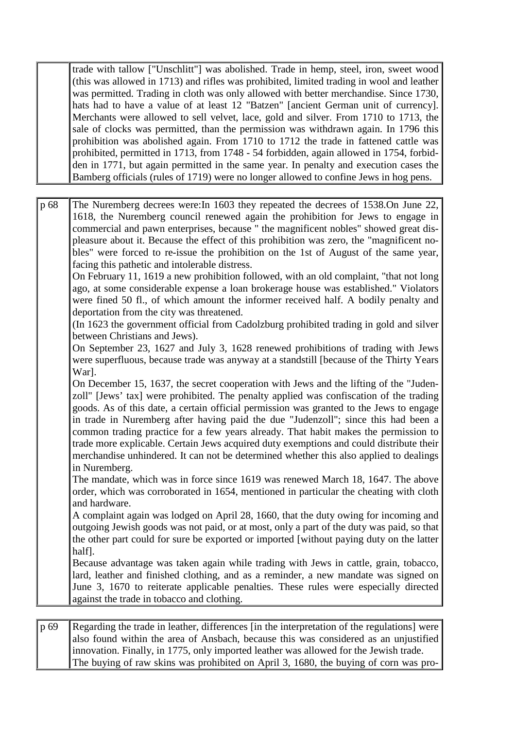trade with tallow ["Unschlitt"] was abolished. Trade in hemp, steel, iron, sweet wood (this was allowed in 1713) and rifles was prohibited, limited trading in wool and leather was permitted. Trading in cloth was only allowed with better merchandise. Since 1730, hats had to have a value of at least 12 "Batzen" [ancient German unit of currency]. Merchants were allowed to sell velvet, lace, gold and silver. From 1710 to 1713, the sale of clocks was permitted, than the permission was withdrawn again. In 1796 this prohibition was abolished again. From 1710 to 1712 the trade in fattened cattle was prohibited, permitted in 1713, from 1748 - 54 forbidden, again allowed in 1754, forbidden in 1771, but again permitted in the same year. In penalty and execution cases the Bamberg officials (rules of 1719) were no longer allowed to confine Jews in hog pens.

p 68 The Nuremberg decrees were:In 1603 they repeated the decrees of 1538.On June 22, 1618, the Nuremberg council renewed again the prohibition for Jews to engage in commercial and pawn enterprises, because " the magnificent nobles" showed great displeasure about it. Because the effect of this prohibition was zero, the "magnificent nobles" were forced to re-issue the prohibition on the 1st of August of the same year, facing this pathetic and intolerable distress. On February 11, 1619 a new prohibition followed, with an old complaint, "that not long ago, at some considerable expense a loan brokerage house was established." Violators were fined 50 fl., of which amount the informer received half. A bodily penalty and deportation from the city was threatened. (In 1623 the government official from Cadolzburg prohibited trading in gold and silver between Christians and Jews). On September 23, 1627 and July 3, 1628 renewed prohibitions of trading with Jews were superfluous, because trade was anyway at a standstill [because of the Thirty Years War]. On December 15, 1637, the secret cooperation with Jews and the lifting of the "Judenzoll" [Jews' tax] were prohibited. The penalty applied was confiscation of the trading goods. As of this date, a certain official permission was granted to the Jews to engage in trade in Nuremberg after having paid the due "Judenzoll"; since this had been a common trading practice for a few years already. That habit makes the permission to trade more explicable. Certain Jews acquired duty exemptions and could distribute their merchandise unhindered. It can not be determined whether this also applied to dealings in Nuremberg. The mandate, which was in force since 1619 was renewed March 18, 1647. The above order, which was corroborated in 1654, mentioned in particular the cheating with cloth and hardware. A complaint again was lodged on April 28, 1660, that the duty owing for incoming and outgoing Jewish goods was not paid, or at most, only a part of the duty was paid, so that the other part could for sure be exported or imported [without paying duty on the latter half]. Because advantage was taken again while trading with Jews in cattle, grain, tobacco, lard, leather and finished clothing, and as a reminder, a new mandate was signed on June 3, 1670 to reiterate applicable penalties. These rules were especially directed against the trade in tobacco and clothing.

p 69 Regarding the trade in leather, differences [in the interpretation of the regulations] were also found within the area of Ansbach, because this was considered as an unjustified innovation. Finally, in 1775, only imported leather was allowed for the Jewish trade. The buying of raw skins was prohibited on April 3, 1680, the buying of corn was pro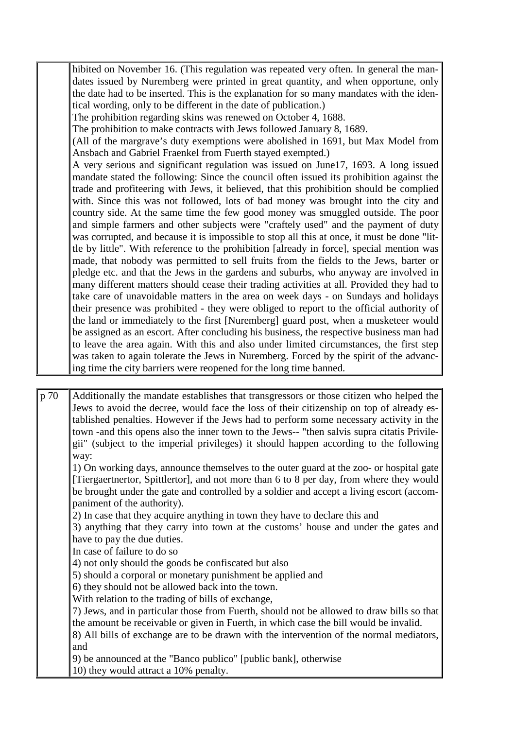hibited on November 16. (This regulation was repeated very often. In general the mandates issued by Nuremberg were printed in great quantity, and when opportune, only the date had to be inserted. This is the explanation for so many mandates with the identical wording, only to be different in the date of publication.)

The prohibition regarding skins was renewed on October 4, 1688.

The prohibition to make contracts with Jews followed January 8, 1689.

(All of the margrave's duty exemptions were abolished in 1691, but Max Model from Ansbach and Gabriel Fraenkel from Fuerth stayed exempted.)

A very serious and significant regulation was issued on June17, 1693. A long issued mandate stated the following: Since the council often issued its prohibition against the trade and profiteering with Jews, it believed, that this prohibition should be complied with. Since this was not followed, lots of bad money was brought into the city and country side. At the same time the few good money was smuggled outside. The poor and simple farmers and other subjects were "craftely used" and the payment of duty was corrupted, and because it is impossible to stop all this at once, it must be done "little by little". With reference to the prohibition [already in force], special mention was made, that nobody was permitted to sell fruits from the fields to the Jews, barter or pledge etc. and that the Jews in the gardens and suburbs, who anyway are involved in many different matters should cease their trading activities at all. Provided they had to take care of unavoidable matters in the area on week days - on Sundays and holidays their presence was prohibited - they were obliged to report to the official authority of the land or immediately to the first [Nuremberg] guard post, when a musketeer would be assigned as an escort. After concluding his business, the respective business man had to leave the area again. With this and also under limited circumstances, the first step was taken to again tolerate the Jews in Nuremberg. Forced by the spirit of the advancing time the city barriers were reopened for the long time banned.

p 70 Additionally the mandate establishes that transgressors or those citizen who helped the Jews to avoid the decree, would face the loss of their citizenship on top of already established penalties. However if the Jews had to perform some necessary activity in the town -and this opens also the inner town to the Jews-- "then salvis supra citatis Privilegii" (subject to the imperial privileges) it should happen according to the following way:

1) On working days, announce themselves to the outer guard at the zoo- or hospital gate [Tiergaertnertor, Spittlertor], and not more than 6 to 8 per day, from where they would be brought under the gate and controlled by a soldier and accept a living escort (accompaniment of the authority).

2) In case that they acquire anything in town they have to declare this and

3) anything that they carry into town at the customs' house and under the gates and have to pay the due duties.

In case of failure to do so

4) not only should the goods be confiscated but also

5) should a corporal or monetary punishment be applied and

6) they should not be allowed back into the town.

With relation to the trading of bills of exchange,

7) Jews, and in particular those from Fuerth, should not be allowed to draw bills so that the amount be receivable or given in Fuerth, in which case the bill would be invalid.

8) All bills of exchange are to be drawn with the intervention of the normal mediators, and

9) be announced at the "Banco publico" [public bank], otherwise

10) they would attract a 10% penalty.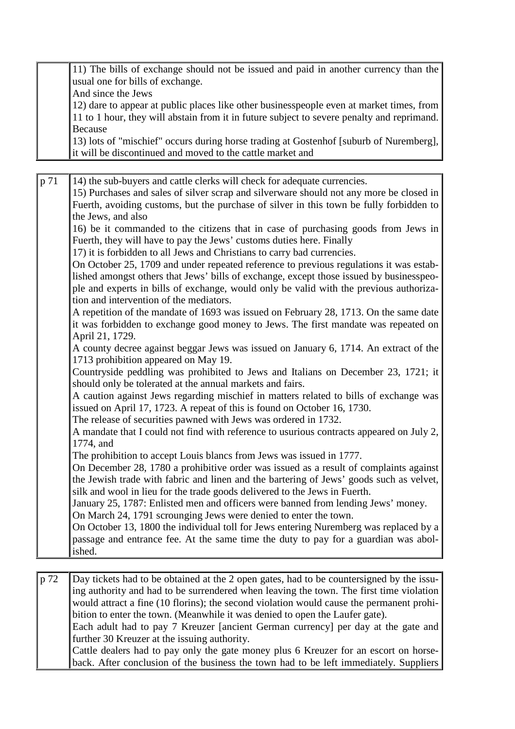11) The bills of exchange should not be issued and paid in another currency than the usual one for bills of exchange. And since the Jews 12) dare to appear at public places like other businesspeople even at market times, from 11 to 1 hour, they will abstain from it in future subject to severe penalty and reprimand. Because 13) lots of "mischief" occurs during horse trading at Gostenhof [suburb of Nuremberg], it will be discontinued and moved to the cattle market and p 71 14) the sub-buyers and cattle clerks will check for adequate currencies. 15) Purchases and sales of silver scrap and silverware should not any more be closed in Fuerth, avoiding customs, but the purchase of silver in this town be fully forbidden to the Jews, and also 16) be it commanded to the citizens that in case of purchasing goods from Jews in Fuerth, they will have to pay the Jews' customs duties here. Finally 17) it is forbidden to all Jews and Christians to carry bad currencies. On October 25, 1709 and under repeated reference to previous regulations it was established amongst others that Jews' bills of exchange, except those issued by businesspeople and experts in bills of exchange, would only be valid with the previous authorization and intervention of the mediators. A repetition of the mandate of 1693 was issued on February 28, 1713. On the same date it was forbidden to exchange good money to Jews. The first mandate was repeated on April 21, 1729. A county decree against beggar Jews was issued on January 6, 1714. An extract of the 1713 prohibition appeared on May 19. Countryside peddling was prohibited to Jews and Italians on December 23, 1721; it should only be tolerated at the annual markets and fairs. A caution against Jews regarding mischief in matters related to bills of exchange was issued on April 17, 1723. A repeat of this is found on October 16, 1730. The release of securities pawned with Jews was ordered in 1732. A mandate that I could not find with reference to usurious contracts appeared on July 2, 1774, and The prohibition to accept Louis blancs from Jews was issued in 1777. On December 28, 1780 a prohibitive order was issued as a result of complaints against the Jewish trade with fabric and linen and the bartering of Jews' goods such as velvet, silk and wool in lieu for the trade goods delivered to the Jews in Fuerth. January 25, 1787: Enlisted men and officers were banned from lending Jews' money. On March 24, 1791 scrounging Jews were denied to enter the town. On October 13, 1800 the individual toll for Jews entering Nuremberg was replaced by a passage and entrance fee. At the same time the duty to pay for a guardian was abolished. p 72 Day tickets had to be obtained at the 2 open gates, had to be countersigned by the issuing authority and had to be surrendered when leaving the town. The first time violation would attract a fine (10 florins); the second violation would cause the permanent prohibition to enter the town. (Meanwhile it was denied to open the Laufer gate). Each adult had to pay 7 Kreuzer [ancient German currency] per day at the gate and

further 30 Kreuzer at the issuing authority. Cattle dealers had to pay only the gate money plus 6 Kreuzer for an escort on horseback. After conclusion of the business the town had to be left immediately. Suppliers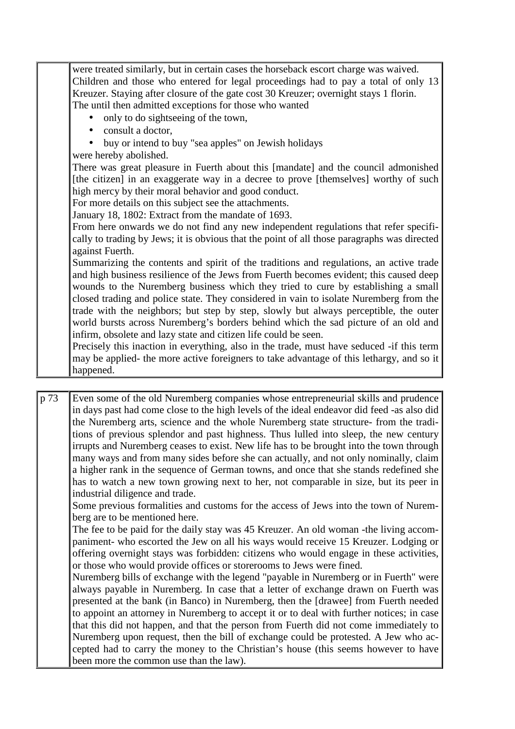|      | were treated similarly, but in certain cases the horseback escort charge was waived.        |
|------|---------------------------------------------------------------------------------------------|
|      | Children and those who entered for legal proceedings had to pay a total of only 13          |
|      | Kreuzer. Staying after closure of the gate cost 30 Kreuzer; overnight stays 1 florin.       |
|      | The until then admitted exceptions for those who wanted                                     |
|      | only to do sightseeing of the town,                                                         |
|      | consult a doctor,                                                                           |
|      | buy or intend to buy "sea apples" on Jewish holidays                                        |
|      | were hereby abolished.                                                                      |
|      | There was great pleasure in Fuerth about this [mandate] and the council admonished          |
|      | [the citizen] in an exaggerate way in a decree to prove [themselves] worthy of such         |
|      | high mercy by their moral behavior and good conduct.                                        |
|      | For more details on this subject see the attachments.                                       |
|      | January 18, 1802: Extract from the mandate of 1693.                                         |
|      | From here onwards we do not find any new independent regulations that refer specifi-        |
|      | cally to trading by Jews; it is obvious that the point of all those paragraphs was directed |
|      | against Fuerth.                                                                             |
|      | Summarizing the contents and spirit of the traditions and regulations, an active trade      |
|      | and high business resilience of the Jews from Fuerth becomes evident; this caused deep      |
|      | wounds to the Nuremberg business which they tried to cure by establishing a small           |
|      | closed trading and police state. They considered in vain to isolate Nuremberg from the      |
|      | trade with the neighbors; but step by step, slowly but always perceptible, the outer        |
|      | world bursts across Nuremberg's borders behind which the sad picture of an old and          |
|      | infirm, obsolete and lazy state and citizen life could be seen.                             |
|      | Precisely this inaction in everything, also in the trade, must have seduced -if this term   |
|      | may be applied- the more active foreigners to take advantage of this lethargy, and so it    |
|      | happened.                                                                                   |
|      |                                                                                             |
| p 73 | Even some of the old Nuremberg companies whose entrepreneurial skills and prudence          |

p 73 Even some of the old Nuremberg companies whose entrepreneurial skills and prudence in days past had come close to the high levels of the ideal endeavor did feed -as also did the Nuremberg arts, science and the whole Nuremberg state structure- from the traditions of previous splendor and past highness. Thus lulled into sleep, the new century irrupts and Nuremberg ceases to exist. New life has to be brought into the town through many ways and from many sides before she can actually, and not only nominally, claim a higher rank in the sequence of German towns, and once that she stands redefined she has to watch a new town growing next to her, not comparable in size, but its peer in industrial diligence and trade.

Some previous formalities and customs for the access of Jews into the town of Nuremberg are to be mentioned here.

The fee to be paid for the daily stay was 45 Kreuzer. An old woman -the living accompaniment- who escorted the Jew on all his ways would receive 15 Kreuzer. Lodging or offering overnight stays was forbidden: citizens who would engage in these activities, or those who would provide offices or storerooms to Jews were fined.

Nuremberg bills of exchange with the legend "payable in Nuremberg or in Fuerth" were always payable in Nuremberg. In case that a letter of exchange drawn on Fuerth was presented at the bank (in Banco) in Nuremberg, then the [drawee] from Fuerth needed to appoint an attorney in Nuremberg to accept it or to deal with further notices; in case that this did not happen, and that the person from Fuerth did not come immediately to Nuremberg upon request, then the bill of exchange could be protested. A Jew who accepted had to carry the money to the Christian's house (this seems however to have been more the common use than the law).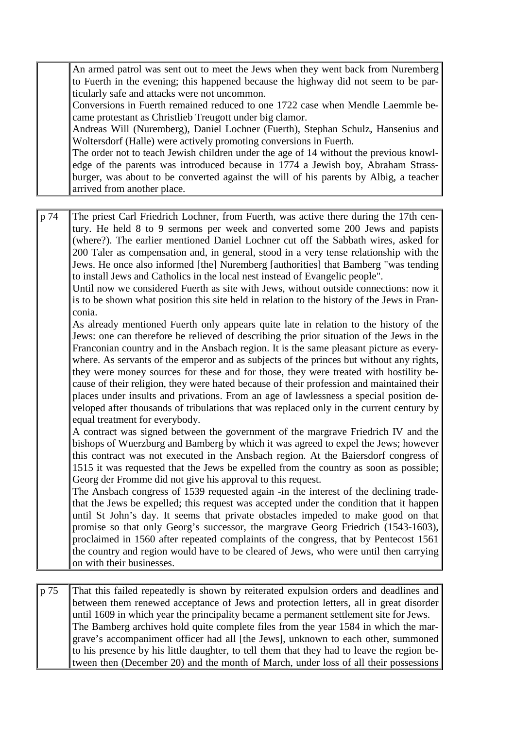An armed patrol was sent out to meet the Jews when they went back from Nuremberg to Fuerth in the evening; this happened because the highway did not seem to be particularly safe and attacks were not uncommon.

Conversions in Fuerth remained reduced to one 1722 case when Mendle Laemmle became protestant as Christlieb Treugott under big clamor.

Andreas Will (Nuremberg), Daniel Lochner (Fuerth), Stephan Schulz, Hansenius and Woltersdorf (Halle) were actively promoting conversions in Fuerth.

The order not to teach Jewish children under the age of 14 without the previous knowledge of the parents was introduced because in 1774 a Jewish boy, Abraham Strassburger, was about to be converted against the will of his parents by Albig, a teacher arrived from another place.

p 74 The priest Carl Friedrich Lochner, from Fuerth, was active there during the 17th century. He held 8 to 9 sermons per week and converted some 200 Jews and papists (where?). The earlier mentioned Daniel Lochner cut off the Sabbath wires, asked for 200 Taler as compensation and, in general, stood in a very tense relationship with the Jews. He once also informed [the] Nuremberg [authorities] that Bamberg "was tending to install Jews and Catholics in the local nest instead of Evangelic people".

Until now we considered Fuerth as site with Jews, without outside connections: now it is to be shown what position this site held in relation to the history of the Jews in Franconia.

As already mentioned Fuerth only appears quite late in relation to the history of the Jews: one can therefore be relieved of describing the prior situation of the Jews in the Franconian country and in the Ansbach region. It is the same pleasant picture as everywhere. As servants of the emperor and as subjects of the princes but without any rights, they were money sources for these and for those, they were treated with hostility because of their religion, they were hated because of their profession and maintained their places under insults and privations. From an age of lawlessness a special position developed after thousands of tribulations that was replaced only in the current century by equal treatment for everybody.

A contract was signed between the government of the margrave Friedrich IV and the bishops of Wuerzburg and Bamberg by which it was agreed to expel the Jews; however this contract was not executed in the Ansbach region. At the Baiersdorf congress of 1515 it was requested that the Jews be expelled from the country as soon as possible; Georg der Fromme did not give his approval to this request.

The Ansbach congress of 1539 requested again -in the interest of the declining tradethat the Jews be expelled; this request was accepted under the condition that it happen until St John's day. It seems that private obstacles impeded to make good on that promise so that only Georg's successor, the margrave Georg Friedrich (1543-1603), proclaimed in 1560 after repeated complaints of the congress, that by Pentecost 1561 the country and region would have to be cleared of Jews, who were until then carrying on with their businesses.

p 75 That this failed repeatedly is shown by reiterated expulsion orders and deadlines and between them renewed acceptance of Jews and protection letters, all in great disorder until 1609 in which year the principality became a permanent settlement site for Jews. The Bamberg archives hold quite complete files from the year 1584 in which the margrave's accompaniment officer had all [the Jews], unknown to each other, summoned to his presence by his little daughter, to tell them that they had to leave the region between then (December 20) and the month of March, under loss of all their possessions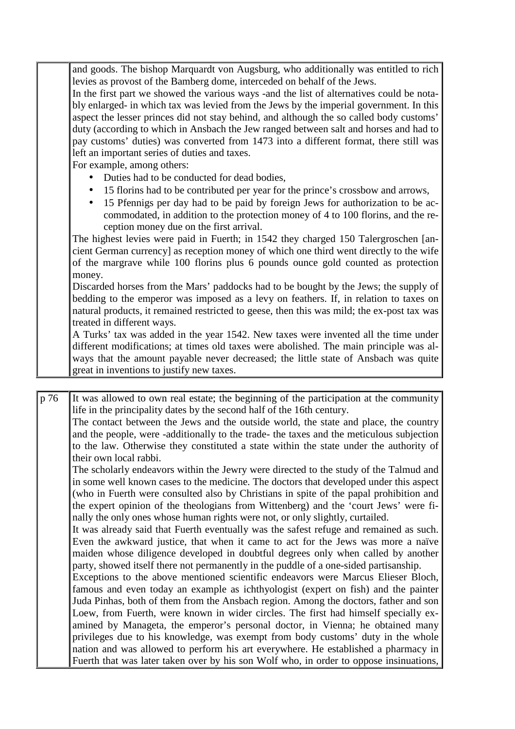and goods. The bishop Marquardt von Augsburg, who additionally was entitled to rich levies as provost of the Bamberg dome, interceded on behalf of the Jews.

In the first part we showed the various ways -and the list of alternatives could be notably enlarged- in which tax was levied from the Jews by the imperial government. In this aspect the lesser princes did not stay behind, and although the so called body customs' duty (according to which in Ansbach the Jew ranged between salt and horses and had to pay customs' duties) was converted from 1473 into a different format, there still was left an important series of duties and taxes.

For example, among others:

- Duties had to be conducted for dead bodies,
- 15 florins had to be contributed per year for the prince's crossbow and arrows,
- 15 Pfennigs per day had to be paid by foreign Jews for authorization to be accommodated, in addition to the protection money of 4 to 100 florins, and the reception money due on the first arrival.

The highest levies were paid in Fuerth; in 1542 they charged 150 Talergroschen [ancient German currency] as reception money of which one third went directly to the wife of the margrave while 100 florins plus 6 pounds ounce gold counted as protection money.

Discarded horses from the Mars' paddocks had to be bought by the Jews; the supply of bedding to the emperor was imposed as a levy on feathers. If, in relation to taxes on natural products, it remained restricted to geese, then this was mild; the ex-post tax was treated in different ways.

A Turks' tax was added in the year 1542. New taxes were invented all the time under different modifications; at times old taxes were abolished. The main principle was always that the amount payable never decreased; the little state of Ansbach was quite great in inventions to justify new taxes.

p 76 It was allowed to own real estate; the beginning of the participation at the community life in the principality dates by the second half of the 16th century. The contact between the Jews and the outside world, the state and place, the country and the people, were -additionally to the trade- the taxes and the meticulous subjection to the law. Otherwise they constituted a state within the state under the authority of their own local rabbi.

The scholarly endeavors within the Jewry were directed to the study of the Talmud and in some well known cases to the medicine. The doctors that developed under this aspect (who in Fuerth were consulted also by Christians in spite of the papal prohibition and the expert opinion of the theologians from Wittenberg) and the 'court Jews' were finally the only ones whose human rights were not, or only slightly, curtailed.

It was already said that Fuerth eventually was the safest refuge and remained as such. Even the awkward justice, that when it came to act for the Jews was more a naïve maiden whose diligence developed in doubtful degrees only when called by another party, showed itself there not permanently in the puddle of a one-sided partisanship.

Exceptions to the above mentioned scientific endeavors were Marcus Elieser Bloch, famous and even today an example as ichthyologist (expert on fish) and the painter Juda Pinhas, both of them from the Ansbach region. Among the doctors, father and son Loew, from Fuerth, were known in wider circles. The first had himself specially examined by Manageta, the emperor's personal doctor, in Vienna; he obtained many privileges due to his knowledge, was exempt from body customs' duty in the whole nation and was allowed to perform his art everywhere. He established a pharmacy in Fuerth that was later taken over by his son Wolf who, in order to oppose insinuations,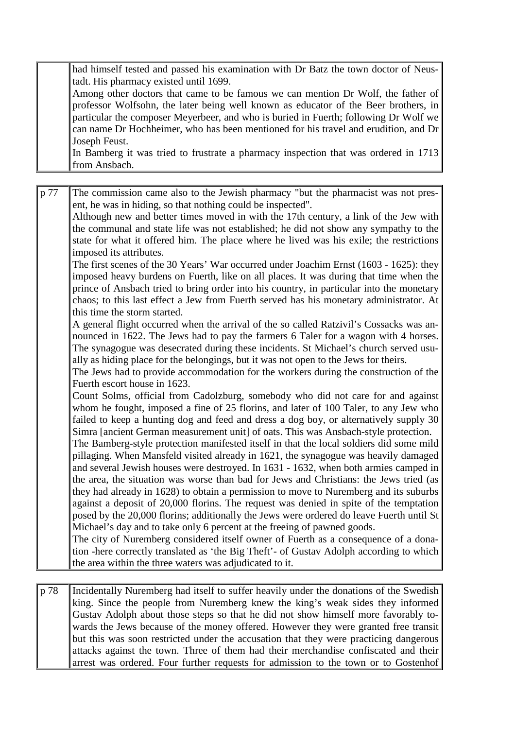had himself tested and passed his examination with Dr Batz the town doctor of Neustadt. His pharmacy existed until 1699.

Among other doctors that came to be famous we can mention Dr Wolf, the father of professor Wolfsohn, the later being well known as educator of the Beer brothers, in particular the composer Meyerbeer, and who is buried in Fuerth; following Dr Wolf we can name Dr Hochheimer, who has been mentioned for his travel and erudition, and Dr Joseph Feust.

In Bamberg it was tried to frustrate a pharmacy inspection that was ordered in 1713 from Ansbach.

p 77 The commission came also to the Jewish pharmacy "but the pharmacist was not present, he was in hiding, so that nothing could be inspected". Although new and better times moved in with the 17th century, a link of the Jew with the communal and state life was not established; he did not show any sympathy to the state for what it offered him. The place where he lived was his exile; the restrictions imposed its attributes. The first scenes of the 30 Years' War occurred under Joachim Ernst (1603 - 1625): they imposed heavy burdens on Fuerth, like on all places. It was during that time when the prince of Ansbach tried to bring order into his country, in particular into the monetary chaos; to this last effect a Jew from Fuerth served has his monetary administrator. At this time the storm started. A general flight occurred when the arrival of the so called Ratzivil's Cossacks was announced in 1622. The Jews had to pay the farmers 6 Taler for a wagon with 4 horses. The synagogue was desecrated during these incidents. St Michael's church served usually as hiding place for the belongings, but it was not open to the Jews for theirs. The Jews had to provide accommodation for the workers during the construction of the Fuerth escort house in 1623. Count Solms, official from Cadolzburg, somebody who did not care for and against whom he fought, imposed a fine of 25 florins, and later of 100 Taler, to any Jew who failed to keep a hunting dog and feed and dress a dog boy, or alternatively supply 30 Simra [ancient German measurement unit] of oats. This was Ansbach-style protection. The Bamberg-style protection manifested itself in that the local soldiers did some mild pillaging. When Mansfeld visited already in 1621, the synagogue was heavily damaged and several Jewish houses were destroyed. In 1631 - 1632, when both armies camped in the area, the situation was worse than bad for Jews and Christians: the Jews tried (as they had already in 1628) to obtain a permission to move to Nuremberg and its suburbs against a deposit of 20,000 florins. The request was denied in spite of the temptation posed by the 20,000 florins; additionally the Jews were ordered do leave Fuerth until St Michael's day and to take only 6 percent at the freeing of pawned goods. The city of Nuremberg considered itself owner of Fuerth as a consequence of a donation -here correctly translated as 'the Big Theft'- of Gustav Adolph according to which the area within the three waters was adjudicated to it.

p 78 Incidentally Nuremberg had itself to suffer heavily under the donations of the Swedish king. Since the people from Nuremberg knew the king's weak sides they informed Gustav Adolph about those steps so that he did not show himself more favorably towards the Jews because of the money offered. However they were granted free transit but this was soon restricted under the accusation that they were practicing dangerous attacks against the town. Three of them had their merchandise confiscated and their arrest was ordered. Four further requests for admission to the town or to Gostenhof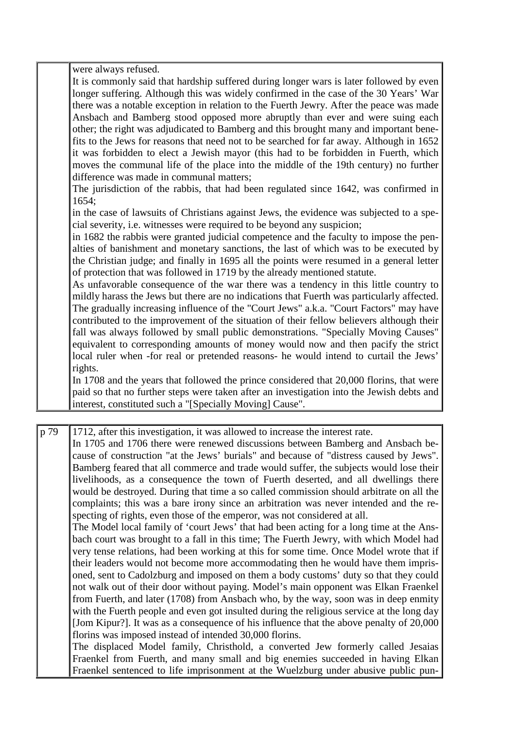were always refused. It is commonly said that hardship suffered during longer wars is later followed by even longer suffering. Although this was widely confirmed in the case of the 30 Years' War there was a notable exception in relation to the Fuerth Jewry. After the peace was made Ansbach and Bamberg stood opposed more abruptly than ever and were suing each other; the right was adjudicated to Bamberg and this brought many and important benefits to the Jews for reasons that need not to be searched for far away. Although in 1652 it was forbidden to elect a Jewish mayor (this had to be forbidden in Fuerth, which moves the communal life of the place into the middle of the 19th century) no further difference was made in communal matters; The jurisdiction of the rabbis, that had been regulated since 1642, was confirmed in 1654; in the case of lawsuits of Christians against Jews, the evidence was subjected to a special severity, i.e. witnesses were required to be beyond any suspicion; in 1682 the rabbis were granted judicial competence and the faculty to impose the penalties of banishment and monetary sanctions, the last of which was to be executed by the Christian judge; and finally in 1695 all the points were resumed in a general letter of protection that was followed in 1719 by the already mentioned statute. As unfavorable consequence of the war there was a tendency in this little country to mildly harass the Jews but there are no indications that Fuerth was particularly affected. The gradually increasing influence of the "Court Jews" a.k.a. "Court Factors" may have contributed to the improvement of the situation of their fellow believers although their fall was always followed by small public demonstrations. "Specially Moving Causes" equivalent to corresponding amounts of money would now and then pacify the strict local ruler when -for real or pretended reasons- he would intend to curtail the Jews' rights. In 1708 and the years that followed the prince considered that 20,000 florins, that were paid so that no further steps were taken after an investigation into the Jewish debts and interest, constituted such a "[Specially Moving] Cause".

p 79 1712, after this investigation, it was allowed to increase the interest rate. In 1705 and 1706 there were renewed discussions between Bamberg and Ansbach because of construction "at the Jews' burials" and because of "distress caused by Jews". Bamberg feared that all commerce and trade would suffer, the subjects would lose their livelihoods, as a consequence the town of Fuerth deserted, and all dwellings there would be destroyed. During that time a so called commission should arbitrate on all the complaints; this was a bare irony since an arbitration was never intended and the respecting of rights, even those of the emperor, was not considered at all. The Model local family of 'court Jews' that had been acting for a long time at the Ansbach court was brought to a fall in this time; The Fuerth Jewry, with which Model had very tense relations, had been working at this for some time. Once Model wrote that if their leaders would not become more accommodating then he would have them imprisoned, sent to Cadolzburg and imposed on them a body customs' duty so that they could not walk out of their door without paying. Model's main opponent was Elkan Fraenkel from Fuerth, and later (1708) from Ansbach who, by the way, soon was in deep enmity with the Fuerth people and even got insulted during the religious service at the long day [Jom Kipur?]. It was as a consequence of his influence that the above penalty of 20,000 florins was imposed instead of intended 30,000 florins. The displaced Model family, Christhold, a converted Jew formerly called Jesaias Fraenkel from Fuerth, and many small and big enemies succeeded in having Elkan Fraenkel sentenced to life imprisonment at the Wuelzburg under abusive public pun-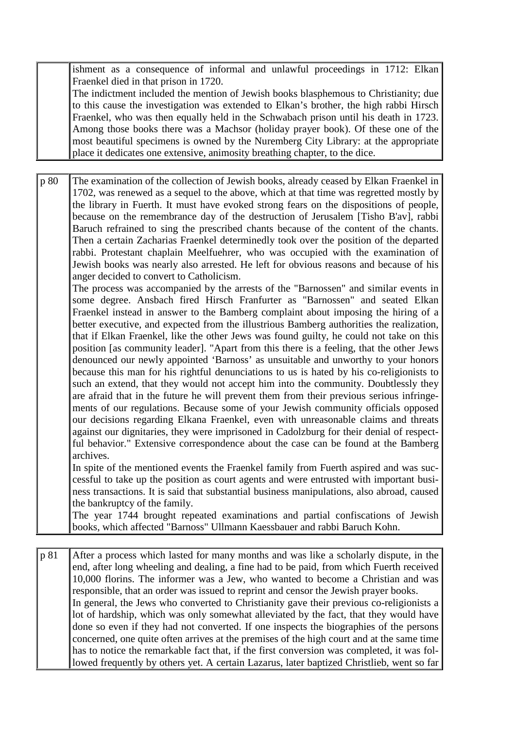ishment as a consequence of informal and unlawful proceedings in 1712: Elkan Fraenkel died in that prison in 1720.

The indictment included the mention of Jewish books blasphemous to Christianity; due to this cause the investigation was extended to Elkan's brother, the high rabbi Hirsch Fraenkel, who was then equally held in the Schwabach prison until his death in 1723. Among those books there was a Machsor (holiday prayer book). Of these one of the most beautiful specimens is owned by the Nuremberg City Library: at the appropriate place it dedicates one extensive, animosity breathing chapter, to the dice.

p 80 The examination of the collection of Jewish books, already ceased by Elkan Fraenkel in 1702, was renewed as a sequel to the above, which at that time was regretted mostly by the library in Fuerth. It must have evoked strong fears on the dispositions of people, because on the remembrance day of the destruction of Jerusalem [Tisho B'av], rabbi Baruch refrained to sing the prescribed chants because of the content of the chants. Then a certain Zacharias Fraenkel determinedly took over the position of the departed rabbi. Protestant chaplain Meelfuehrer, who was occupied with the examination of Jewish books was nearly also arrested. He left for obvious reasons and because of his anger decided to convert to Catholicism.

The process was accompanied by the arrests of the "Barnossen" and similar events in some degree. Ansbach fired Hirsch Franfurter as "Barnossen" and seated Elkan Fraenkel instead in answer to the Bamberg complaint about imposing the hiring of a better executive, and expected from the illustrious Bamberg authorities the realization, that if Elkan Fraenkel, like the other Jews was found guilty, he could not take on this position [as community leader]. "Apart from this there is a feeling, that the other Jews denounced our newly appointed 'Barnoss' as unsuitable and unworthy to your honors because this man for his rightful denunciations to us is hated by his co-religionists to such an extend, that they would not accept him into the community. Doubtlessly they are afraid that in the future he will prevent them from their previous serious infringements of our regulations. Because some of your Jewish community officials opposed our decisions regarding Elkana Fraenkel, even with unreasonable claims and threats against our dignitaries, they were imprisoned in Cadolzburg for their denial of respectful behavior." Extensive correspondence about the case can be found at the Bamberg archives.

In spite of the mentioned events the Fraenkel family from Fuerth aspired and was successful to take up the position as court agents and were entrusted with important business transactions. It is said that substantial business manipulations, also abroad, caused the bankruptcy of the family.

The year 1744 brought repeated examinations and partial confiscations of Jewish books, which affected "Barnoss" Ullmann Kaessbauer and rabbi Baruch Kohn.

p 81 After a process which lasted for many months and was like a scholarly dispute, in the end, after long wheeling and dealing, a fine had to be paid, from which Fuerth received 10,000 florins. The informer was a Jew, who wanted to become a Christian and was responsible, that an order was issued to reprint and censor the Jewish prayer books. In general, the Jews who converted to Christianity gave their previous co-religionists a lot of hardship, which was only somewhat alleviated by the fact, that they would have done so even if they had not converted. If one inspects the biographies of the persons concerned, one quite often arrives at the premises of the high court and at the same time has to notice the remarkable fact that, if the first conversion was completed, it was followed frequently by others yet. A certain Lazarus, later baptized Christlieb, went so far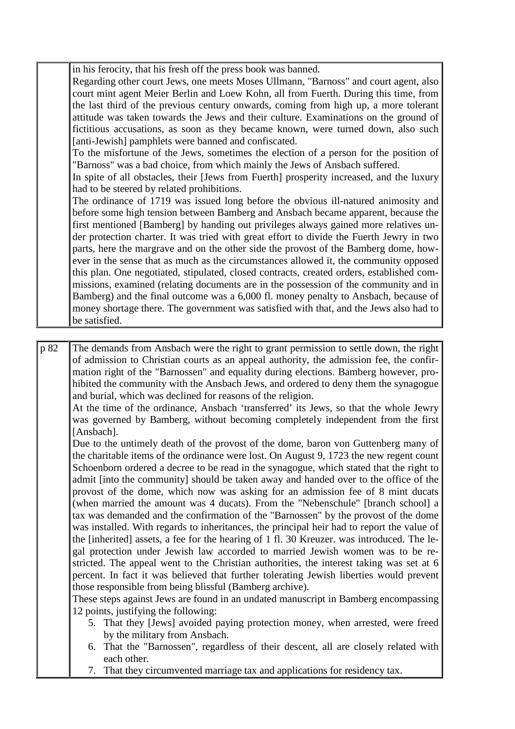in his ferocity, that his fresh off the press book was banned.

Regarding other court Jews, one meets Moses Ullmann, "Barnoss" and court agent, also court mint agent Meier Berlin and Loew Kohn, all from Fuerth. During this time, from the last third of the previous century onwards, coming from high up, a more tolerant attitude was taken towards the Jews and their culture. Examinations on the ground of fictitious accusations, as soon as they became known, were turned down, also such [anti-Jewish] pamphlets were banned and confiscated.

To the misfortune of the Jews, sometimes the election of a person for the position of "Barnoss" was a bad choice, from which mainly the Jews of Ansbach suffered.

In spite of all obstacles, their [Jews from Fuerth] prosperity increased, and the luxury had to be steered by related prohibitions.

The ordinance of 1719 was issued long before the obvious ill-natured animosity and before some high tension between Bamberg and Ansbach became apparent, because the first mentioned [Bamberg] by handing out privileges always gained more relatives under protection charter. It was tried with great effort to divide the Fuerth Jewry in two parts, here the margrave and on the other side the provost of the Bamberg dome, however in the sense that as much as the circumstances allowed it, the community opposed this plan. One negotiated, stipulated, closed contracts, created orders, established commissions, examined (relating documents are in the possession of the community and in Bamberg) and the final outcome was a 6,000 fl. money penalty to Ansbach, because of money shortage there. The government was satisfied with that, and the Jews also had to be satisfied.

p 82 The demands from Ansbach were the right to grant permission to settle down, the right of admission to Christian courts as an appeal authority, the admission fee, the confirmation right of the "Barnossen" and equality during elections. Bamberg however, prohibited the community with the Ansbach Jews, and ordered to deny them the synagogue and burial, which was declined for reasons of the religion.

At the time of the ordinance, Ansbach 'transferred' its Jews, so that the whole Jewry was governed by Bamberg, without becoming completely independent from the first [Ansbach].

Due to the untimely death of the provost of the dome, baron von Guttenberg many of the charitable items of the ordinance were lost. On August 9, 1723 the new regent count Schoenborn ordered a decree to be read in the synagogue, which stated that the right to admit [into the community] should be taken away and handed over to the office of the provost of the dome, which now was asking for an admission fee of 8 mint ducats (when married the amount was 4 ducats). From the "Nebenschule" [branch school] a tax was demanded and the confirmation of the "Barnossen" by the provost of the dome was installed. With regards to inheritances, the principal heir had to report the value of the [inherited] assets, a fee for the hearing of 1 fl. 30 Kreuzer. was introduced. The legal protection under Jewish law accorded to married Jewish women was to be restricted. The appeal went to the Christian authorities, the interest taking was set at 6 percent. In fact it was believed that further tolerating Jewish liberties would prevent those responsible from being blissful (Bamberg archive).

These steps against Jews are found in an undated manuscript in Bamberg encompassing 12 points, justifying the following:

- 5. That they [Jews] avoided paying protection money, when arrested, were freed by the military from Ansbach.
- 6. That the "Barnossen", regardless of their descent, all are closely related with each other.
- 7. That they circumvented marriage tax and applications for residency tax.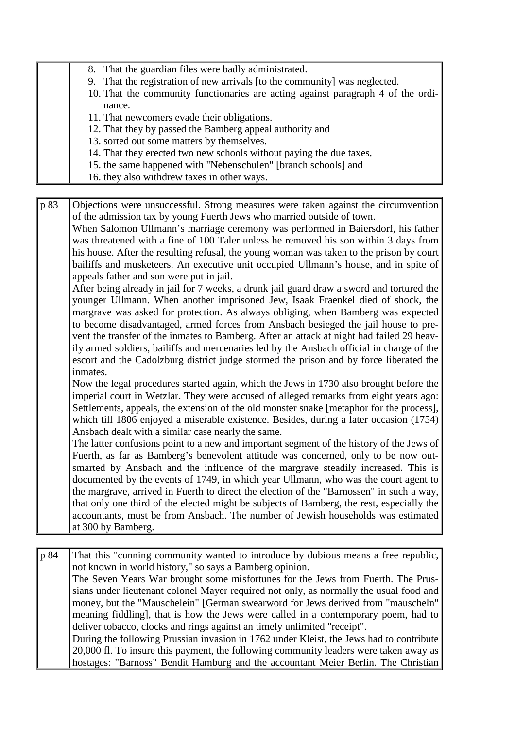|  | 8. That the guardian files were badly administrated.                             |
|--|----------------------------------------------------------------------------------|
|  | 9. That the registration of new arrivals [to the community] was neglected.       |
|  | 10. That the community functionaries are acting against paragraph 4 of the ordi- |
|  | nance.                                                                           |
|  | 11. That new comers evade their obligations.                                     |
|  | 12. That they by passed the Bamberg appeal authority and                         |
|  | 13. sorted out some matters by themselves.                                       |
|  | 14. That they erected two new schools without paying the due taxes,              |
|  | 15. the same happened with "Nebenschulen" [branch schools] and                   |
|  | 16. they also with drew taxes in other ways.                                     |

p 83 Objections were unsuccessful. Strong measures were taken against the circumvention of the admission tax by young Fuerth Jews who married outside of town. When Salomon Ullmann's marriage ceremony was performed in Baiersdorf, his father was threatened with a fine of 100 Taler unless he removed his son within 3 days from his house. After the resulting refusal, the young woman was taken to the prison by court bailiffs and musketeers. An executive unit occupied Ullmann's house, and in spite of appeals father and son were put in jail. After being already in jail for 7 weeks, a drunk jail guard draw a sword and tortured the younger Ullmann. When another imprisoned Jew, Isaak Fraenkel died of shock, the margrave was asked for protection. As always obliging, when Bamberg was expected to become disadvantaged, armed forces from Ansbach besieged the jail house to prevent the transfer of the inmates to Bamberg. After an attack at night had failed 29 heavily armed soldiers, bailiffs and mercenaries led by the Ansbach official in charge of the escort and the Cadolzburg district judge stormed the prison and by force liberated the inmates. Now the legal procedures started again, which the Jews in 1730 also brought before the imperial court in Wetzlar. They were accused of alleged remarks from eight years ago: Settlements, appeals, the extension of the old monster snake [metaphor for the process], which till 1806 enjoyed a miserable existence. Besides, during a later occasion (1754) Ansbach dealt with a similar case nearly the same. The latter confusions point to a new and important segment of the history of the Jews of Fuerth, as far as Bamberg's benevolent attitude was concerned, only to be now outsmarted by Ansbach and the influence of the margrave steadily increased. This is documented by the events of 1749, in which year Ullmann, who was the court agent to the margrave, arrived in Fuerth to direct the election of the "Barnossen" in such a way, that only one third of the elected might be subjects of Bamberg, the rest, especially the accountants, must be from Ansbach. The number of Jewish households was estimated at 300 by Bamberg.

p 84 That this "cunning community wanted to introduce by dubious means a free republic, not known in world history," so says a Bamberg opinion. The Seven Years War brought some misfortunes for the Jews from Fuerth. The Prussians under lieutenant colonel Mayer required not only, as normally the usual food and money, but the "Mauschelein" [German swearword for Jews derived from "mauscheln" meaning fiddling], that is how the Jews were called in a contemporary poem, had to deliver tobacco, clocks and rings against an timely unlimited "receipt". During the following Prussian invasion in 1762 under Kleist, the Jews had to contribute 20,000 fl. To insure this payment, the following community leaders were taken away as hostages: "Barnoss" Bendit Hamburg and the accountant Meier Berlin. The Christian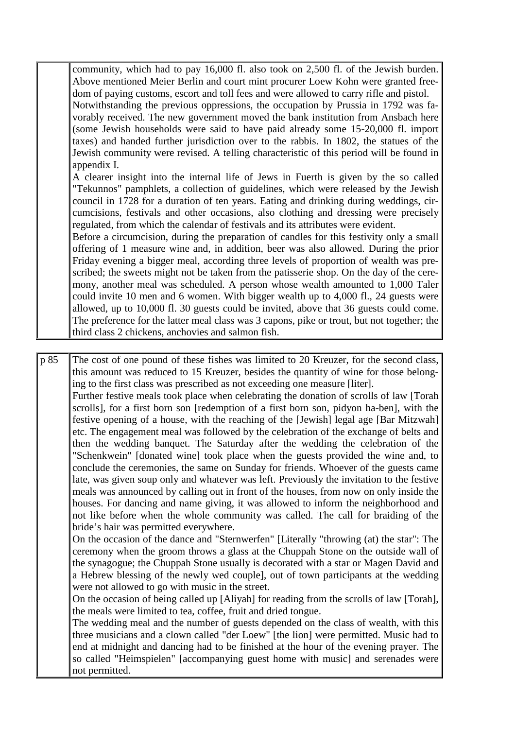community, which had to pay 16,000 fl. also took on 2,500 fl. of the Jewish burden. Above mentioned Meier Berlin and court mint procurer Loew Kohn were granted freedom of paying customs, escort and toll fees and were allowed to carry rifle and pistol. Notwithstanding the previous oppressions, the occupation by Prussia in 1792 was favorably received. The new government moved the bank institution from Ansbach here (some Jewish households were said to have paid already some 15-20,000 fl. import taxes) and handed further jurisdiction over to the rabbis. In 1802, the statues of the Jewish community were revised. A telling characteristic of this period will be found in appendix I.

A clearer insight into the internal life of Jews in Fuerth is given by the so called "Tekunnos" pamphlets, a collection of guidelines, which were released by the Jewish council in 1728 for a duration of ten years. Eating and drinking during weddings, circumcisions, festivals and other occasions, also clothing and dressing were precisely regulated, from which the calendar of festivals and its attributes were evident.

Before a circumcision, during the preparation of candles for this festivity only a small offering of 1 measure wine and, in addition, beer was also allowed. During the prior Friday evening a bigger meal, according three levels of proportion of wealth was prescribed; the sweets might not be taken from the patisserie shop. On the day of the ceremony, another meal was scheduled. A person whose wealth amounted to 1,000 Taler could invite 10 men and 6 women. With bigger wealth up to 4,000 fl., 24 guests were allowed, up to 10,000 fl. 30 guests could be invited, above that 36 guests could come. The preference for the latter meal class was 3 capons, pike or trout, but not together; the third class 2 chickens, anchovies and salmon fish.

p 85 The cost of one pound of these fishes was limited to 20 Kreuzer, for the second class, this amount was reduced to 15 Kreuzer, besides the quantity of wine for those belonging to the first class was prescribed as not exceeding one measure [liter]. Further festive meals took place when celebrating the donation of scrolls of law [Torah scrolls], for a first born son [redemption of a first born son, pidyon ha-ben], with the festive opening of a house, with the reaching of the [Jewish] legal age [Bar Mitzwah] etc. The engagement meal was followed by the celebration of the exchange of belts and then the wedding banquet. The Saturday after the wedding the celebration of the "Schenkwein" [donated wine] took place when the guests provided the wine and, to conclude the ceremonies, the same on Sunday for friends. Whoever of the guests came late, was given soup only and whatever was left. Previously the invitation to the festive meals was announced by calling out in front of the houses, from now on only inside the houses. For dancing and name giving, it was allowed to inform the neighborhood and not like before when the whole community was called. The call for braiding of the bride's hair was permitted everywhere. On the occasion of the dance and "Sternwerfen" [Literally "throwing (at) the star": The ceremony when the groom throws a glass at the Chuppah Stone on the outside wall of the synagogue; the Chuppah Stone usually is decorated with a star or Magen David and a Hebrew blessing of the newly wed couple], out of town participants at the wedding were not allowed to go with music in the street. On the occasion of being called up [Aliyah] for reading from the scrolls of law [Torah], the meals were limited to tea, coffee, fruit and dried tongue. The wedding meal and the number of guests depended on the class of wealth, with this three musicians and a clown called "der Loew" [the lion] were permitted. Music had to end at midnight and dancing had to be finished at the hour of the evening prayer. The so called "Heimspielen" [accompanying guest home with music] and serenades were

not permitted.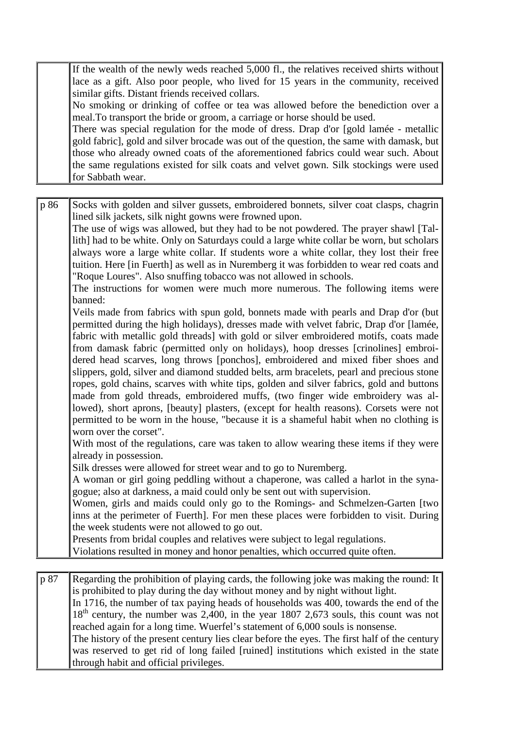If the wealth of the newly weds reached 5,000 fl., the relatives received shirts without lace as a gift. Also poor people, who lived for 15 years in the community, received similar gifts. Distant friends received collars.

No smoking or drinking of coffee or tea was allowed before the benediction over a meal.To transport the bride or groom, a carriage or horse should be used.

There was special regulation for the mode of dress. Drap d'or [gold lamée - metallic gold fabric], gold and silver brocade was out of the question, the same with damask, but those who already owned coats of the aforementioned fabrics could wear such. About the same regulations existed for silk coats and velvet gown. Silk stockings were used for Sabbath wear.

| p 86 | Socks with golden and silver gussets, embroidered bonnets, silver coat clasps, chagrin<br>lined silk jackets, silk night gowns were frowned upon.                                |
|------|----------------------------------------------------------------------------------------------------------------------------------------------------------------------------------|
|      | The use of wigs was allowed, but they had to be not powdered. The prayer shawl [Tal-                                                                                             |
|      | lith] had to be white. Only on Saturdays could a large white collar be worn, but scholars                                                                                        |
|      | always wore a large white collar. If students wore a white collar, they lost their free                                                                                          |
|      | tuition. Here [in Fuerth] as well as in Nuremberg it was forbidden to wear red coats and                                                                                         |
|      | "Roque Loures". Also snuffing tobacco was not allowed in schools.                                                                                                                |
|      | The instructions for women were much more numerous. The following items were<br>banned:                                                                                          |
|      | Veils made from fabrics with spun gold, bonnets made with pearls and Drap d'or (but                                                                                              |
|      | permitted during the high holidays), dresses made with velvet fabric, Drap d'or [lamée,                                                                                          |
|      | fabric with metallic gold threads] with gold or silver embroidered motifs, coats made                                                                                            |
|      | from damask fabric (permitted only on holidays), hoop dresses [crinolines] embroi-                                                                                               |
|      | dered head scarves, long throws [ponchos], embroidered and mixed fiber shoes and                                                                                                 |
|      | slippers, gold, silver and diamond studded belts, arm bracelets, pearl and precious stone                                                                                        |
|      | ropes, gold chains, scarves with white tips, golden and silver fabrics, gold and buttons                                                                                         |
|      | made from gold threads, embroidered muffs, (two finger wide embroidery was al-                                                                                                   |
|      | lowed), short aprons, [beauty] plasters, (except for health reasons). Corsets were not<br>permitted to be worn in the house, "because it is a shameful habit when no clothing is |
|      | worn over the corset".                                                                                                                                                           |
|      | With most of the regulations, care was taken to allow wearing these items if they were                                                                                           |
|      | already in possession.                                                                                                                                                           |
|      | Silk dresses were allowed for street wear and to go to Nuremberg.                                                                                                                |
|      | A woman or girl going peddling without a chaperone, was called a harlot in the syna-                                                                                             |
|      | gogue; also at darkness, a maid could only be sent out with supervision.                                                                                                         |
|      | Women, girls and maids could only go to the Romings- and Schmelzen-Garten [two                                                                                                   |
|      | inns at the perimeter of Fuerth]. For men these places were forbidden to visit. During                                                                                           |
|      | the week students were not allowed to go out.                                                                                                                                    |
|      | Presents from bridal couples and relatives were subject to legal regulations.                                                                                                    |
|      | Violations resulted in money and honor penalties, which occurred quite often.                                                                                                    |
|      |                                                                                                                                                                                  |
| p 87 | Regarding the prohibition of playing cards, the following joke was making the round: It                                                                                          |
|      | is prohibited to play during the day without money and by night without light.                                                                                                   |
|      | In 1716, the number of tax paying heads of households was 400, towards the end of the                                                                                            |

18<sup>th</sup> century, the number was 2,400, in the year 1807 2,673 souls, this count was not reached again for a long time. Wuerfel's statement of 6,000 souls is nonsense. The history of the present century lies clear before the eyes. The first half of the century

was reserved to get rid of long failed [ruined] institutions which existed in the state through habit and official privileges.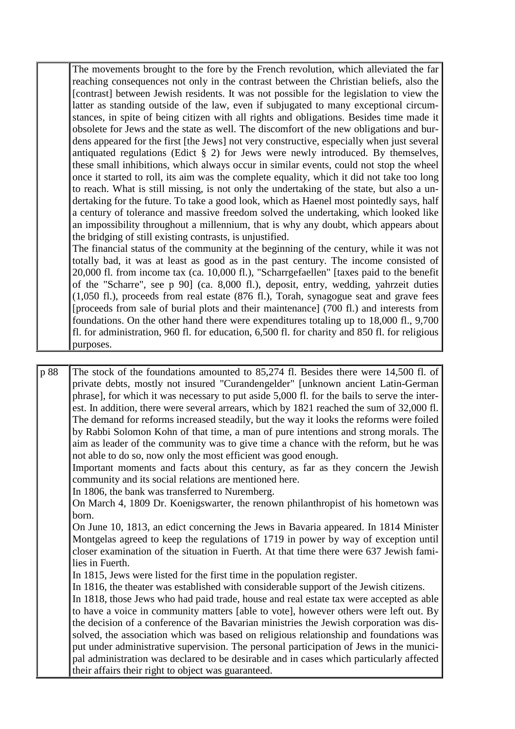The movements brought to the fore by the French revolution, which alleviated the far reaching consequences not only in the contrast between the Christian beliefs, also the [contrast] between Jewish residents. It was not possible for the legislation to view the latter as standing outside of the law, even if subjugated to many exceptional circumstances, in spite of being citizen with all rights and obligations. Besides time made it obsolete for Jews and the state as well. The discomfort of the new obligations and burdens appeared for the first [the Jews] not very constructive, especially when just several antiquated regulations (Edict § 2) for Jews were newly introduced. By themselves, these small inhibitions, which always occur in similar events, could not stop the wheel once it started to roll, its aim was the complete equality, which it did not take too long to reach. What is still missing, is not only the undertaking of the state, but also a undertaking for the future. To take a good look, which as Haenel most pointedly says, half a century of tolerance and massive freedom solved the undertaking, which looked like an impossibility throughout a millennium, that is why any doubt, which appears about the bridging of still existing contrasts, is unjustified.

The financial status of the community at the beginning of the century, while it was not totally bad, it was at least as good as in the past century. The income consisted of 20,000 fl. from income tax (ca. 10,000 fl.), "Scharrgefaellen" [taxes paid to the benefit of the "Scharre", see p 90] (ca. 8,000 fl.), deposit, entry, wedding, yahrzeit duties (1,050 fl.), proceeds from real estate (876 fl.), Torah, synagogue seat and grave fees [proceeds from sale of burial plots and their maintenance]  $(700 \text{ fl.})$  and interests from foundations. On the other hand there were expenditures totaling up to 18,000 fl., 9,700 fl. for administration, 960 fl. for education, 6,500 fl. for charity and 850 fl. for religious purposes.

p 88 The stock of the foundations amounted to 85,274 fl. Besides there were 14,500 fl. of private debts, mostly not insured "Curandengelder" [unknown ancient Latin-German phrase], for which it was necessary to put aside 5,000 fl. for the bails to serve the interest. In addition, there were several arrears, which by 1821 reached the sum of 32,000 fl. The demand for reforms increased steadily, but the way it looks the reforms were foiled by Rabbi Solomon Kohn of that time, a man of pure intentions and strong morals. The aim as leader of the community was to give time a chance with the reform, but he was not able to do so, now only the most efficient was good enough. Important moments and facts about this century, as far as they concern the Jewish community and its social relations are mentioned here. In 1806, the bank was transferred to Nuremberg. On March 4, 1809 Dr. Koenigswarter, the renown philanthropist of his hometown was born. On June 10, 1813, an edict concerning the Jews in Bavaria appeared. In 1814 Minister Montgelas agreed to keep the regulations of 1719 in power by way of exception until closer examination of the situation in Fuerth. At that time there were 637 Jewish families in Fuerth. In 1815, Jews were listed for the first time in the population register. In 1816, the theater was established with considerable support of the Jewish citizens. In 1818, those Jews who had paid trade, house and real estate tax were accepted as able to have a voice in community matters [able to vote], however others were left out. By the decision of a conference of the Bavarian ministries the Jewish corporation was dissolved, the association which was based on religious relationship and foundations was put under administrative supervision. The personal participation of Jews in the municipal administration was declared to be desirable and in cases which particularly affected their affairs their right to object was guaranteed.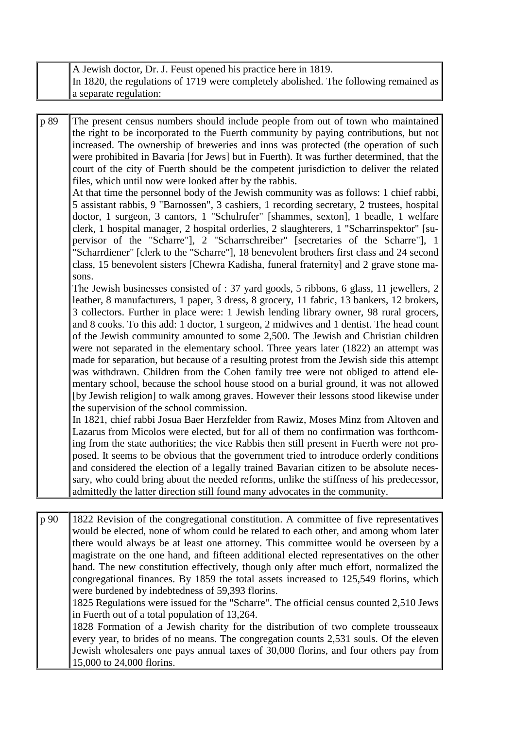| A Jewish doctor, Dr. J. Feust opened his practice here in 1819.                       |
|---------------------------------------------------------------------------------------|
| In 1820, the regulations of 1719 were completely abolished. The following remained as |
| a separate regulation:                                                                |

p 89 The present census numbers should include people from out of town who maintained the right to be incorporated to the Fuerth community by paying contributions, but not increased. The ownership of breweries and inns was protected (the operation of such were prohibited in Bavaria [for Jews] but in Fuerth). It was further determined, that the court of the city of Fuerth should be the competent jurisdiction to deliver the related files, which until now were looked after by the rabbis. At that time the personnel body of the Jewish community was as follows: 1 chief rabbi, 5 assistant rabbis, 9 "Barnossen", 3 cashiers, 1 recording secretary, 2 trustees, hospital

doctor, 1 surgeon, 3 cantors, 1 "Schulrufer" [shammes, sexton], 1 beadle, 1 welfare clerk, 1 hospital manager, 2 hospital orderlies, 2 slaughterers, 1 "Scharrinspektor" [supervisor of the "Scharre"], 2 "Scharrschreiber" [secretaries of the Scharre"], 1 "Scharrdiener" [clerk to the "Scharre"], 18 benevolent brothers first class and 24 second class, 15 benevolent sisters [Chewra Kadisha, funeral fraternity] and 2 grave stone masons.

The Jewish businesses consisted of : 37 yard goods, 5 ribbons, 6 glass, 11 jewellers, 2 leather, 8 manufacturers, 1 paper, 3 dress, 8 grocery, 11 fabric, 13 bankers, 12 brokers, 3 collectors. Further in place were: 1 Jewish lending library owner, 98 rural grocers, and 8 cooks. To this add: 1 doctor, 1 surgeon, 2 midwives and 1 dentist. The head count of the Jewish community amounted to some 2,500. The Jewish and Christian children were not separated in the elementary school. Three years later (1822) an attempt was made for separation, but because of a resulting protest from the Jewish side this attempt was withdrawn. Children from the Cohen family tree were not obliged to attend elementary school, because the school house stood on a burial ground, it was not allowed [by Jewish religion] to walk among graves. However their lessons stood likewise under the supervision of the school commission.

In 1821, chief rabbi Josua Baer Herzfelder from Rawiz, Moses Minz from Altoven and Lazarus from Micolos were elected, but for all of them no confirmation was forthcoming from the state authorities; the vice Rabbis then still present in Fuerth were not proposed. It seems to be obvious that the government tried to introduce orderly conditions and considered the election of a legally trained Bavarian citizen to be absolute necessary, who could bring about the needed reforms, unlike the stiffness of his predecessor, admittedly the latter direction still found many advocates in the community.

p 90 1822 Revision of the congregational constitution. A committee of five representatives would be elected, none of whom could be related to each other, and among whom later there would always be at least one attorney. This committee would be overseen by a magistrate on the one hand, and fifteen additional elected representatives on the other hand. The new constitution effectively, though only after much effort, normalized the congregational finances. By 1859 the total assets increased to 125,549 florins, which were burdened by indebtedness of 59,393 florins.

1825 Regulations were issued for the "Scharre". The official census counted 2,510 Jews in Fuerth out of a total population of 13,264.

1828 Formation of a Jewish charity for the distribution of two complete trousseaux every year, to brides of no means. The congregation counts 2,531 souls. Of the eleven Jewish wholesalers one pays annual taxes of 30,000 florins, and four others pay from 15,000 to 24,000 florins.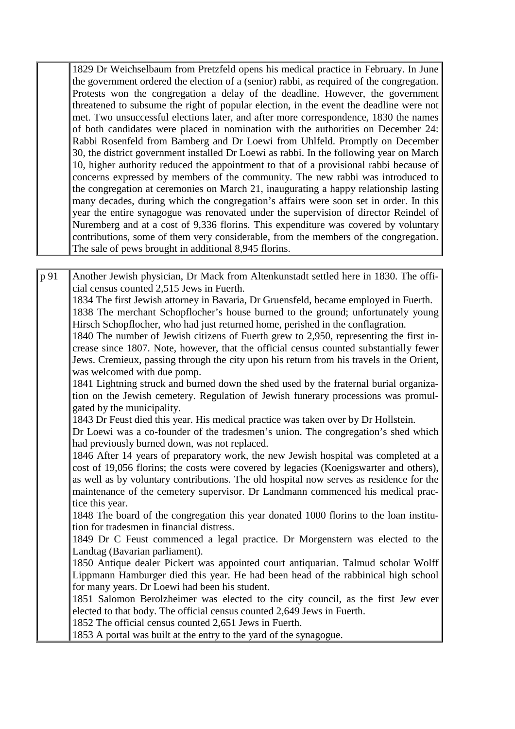1829 Dr Weichselbaum from Pretzfeld opens his medical practice in February. In June the government ordered the election of a (senior) rabbi, as required of the congregation. Protests won the congregation a delay of the deadline. However, the government threatened to subsume the right of popular election, in the event the deadline were not met. Two unsuccessful elections later, and after more correspondence, 1830 the names of both candidates were placed in nomination with the authorities on December 24: Rabbi Rosenfeld from Bamberg and Dr Loewi from Uhlfeld. Promptly on December 30, the district government installed Dr Loewi as rabbi. In the following year on March 10, higher authority reduced the appointment to that of a provisional rabbi because of concerns expressed by members of the community. The new rabbi was introduced to the congregation at ceremonies on March 21, inaugurating a happy relationship lasting many decades, during which the congregation's affairs were soon set in order. In this year the entire synagogue was renovated under the supervision of director Reindel of Nuremberg and at a cost of 9,336 florins. This expenditure was covered by voluntary contributions, some of them very considerable, from the members of the congregation. The sale of pews brought in additional 8,945 florins.

p 91 Another Jewish physician, Dr Mack from Altenkunstadt settled here in 1830. The official census counted 2,515 Jews in Fuerth. 1834 The first Jewish attorney in Bavaria, Dr Gruensfeld, became employed in Fuerth. 1838 The merchant Schopflocher's house burned to the ground; unfortunately young Hirsch Schopflocher, who had just returned home, perished in the conflagration. 1840 The number of Jewish citizens of Fuerth grew to 2,950, representing the first increase since 1807. Note, however, that the official census counted substantially fewer Jews. Cremieux, passing through the city upon his return from his travels in the Orient, was welcomed with due pomp. 1841 Lightning struck and burned down the shed used by the fraternal burial organization on the Jewish cemetery. Regulation of Jewish funerary processions was promulgated by the municipality. 1843 Dr Feust died this year. His medical practice was taken over by Dr Hollstein. Dr Loewi was a co-founder of the tradesmen's union. The congregation's shed which had previously burned down, was not replaced. 1846 After 14 years of preparatory work, the new Jewish hospital was completed at a cost of 19,056 florins; the costs were covered by legacies (Koenigswarter and others), as well as by voluntary contributions. The old hospital now serves as residence for the maintenance of the cemetery supervisor. Dr Landmann commenced his medical practice this year. 1848 The board of the congregation this year donated 1000 florins to the loan institution for tradesmen in financial distress. 1849 Dr C Feust commenced a legal practice. Dr Morgenstern was elected to the Landtag (Bavarian parliament). 1850 Antique dealer Pickert was appointed court antiquarian. Talmud scholar Wolff Lippmann Hamburger died this year. He had been head of the rabbinical high school for many years. Dr Loewi had been his student. 1851 Salomon Berolzheimer was elected to the city council, as the first Jew ever elected to that body. The official census counted 2,649 Jews in Fuerth. 1852 The official census counted 2,651 Jews in Fuerth. 1853 A portal was built at the entry to the yard of the synagogue.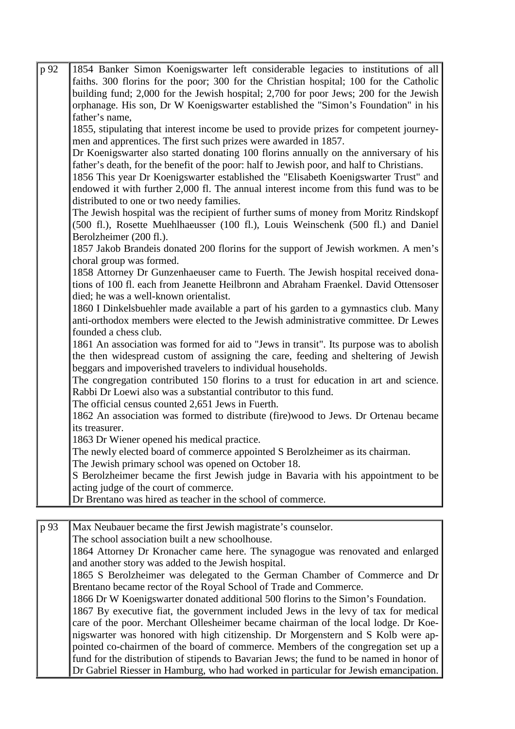| p 92 | 1854 Banker Simon Koenigswarter left considerable legacies to institutions of all         |
|------|-------------------------------------------------------------------------------------------|
|      | faiths. 300 florins for the poor; 300 for the Christian hospital; 100 for the Catholic    |
|      | building fund; 2,000 for the Jewish hospital; 2,700 for poor Jews; 200 for the Jewish     |
|      | orphanage. His son, Dr W Koenigswarter established the "Simon's Foundation" in his        |
|      | father's name,                                                                            |
|      | 1855, stipulating that interest income be used to provide prizes for competent journey-   |
|      | men and apprentices. The first such prizes were awarded in 1857.                          |
|      | Dr Koenigswarter also started donating 100 florins annually on the anniversary of his     |
|      | father's death, for the benefit of the poor: half to Jewish poor, and half to Christians. |
|      | 1856 This year Dr Koenigswarter established the "Elisabeth Koenigswarter Trust" and       |
|      | endowed it with further 2,000 fl. The annual interest income from this fund was to be     |
|      | distributed to one or two needy families.                                                 |
|      | The Jewish hospital was the recipient of further sums of money from Moritz Rindskopf      |
|      | (500 fl.), Rosette Muehlhaeusser (100 fl.), Louis Weinschenk (500 fl.) and Daniel         |
|      | Berolzheimer (200 fl.).                                                                   |
|      | 1857 Jakob Brandeis donated 200 florins for the support of Jewish workmen. A men's        |
|      | choral group was formed.                                                                  |
|      | 1858 Attorney Dr Gunzenhaeuser came to Fuerth. The Jewish hospital received dona-         |
|      | tions of 100 fl. each from Jeanette Heilbronn and Abraham Fraenkel. David Ottensoser      |
|      | died; he was a well-known orientalist.                                                    |
|      | 1860 I Dinkelsbuehler made available a part of his garden to a gymnastics club. Many      |
|      | anti-orthodox members were elected to the Jewish administrative committee. Dr Lewes       |
|      | founded a chess club.                                                                     |
|      | 1861 An association was formed for aid to "Jews in transit". Its purpose was to abolish   |
|      | the then widespread custom of assigning the care, feeding and sheltering of Jewish        |
|      | beggars and impoverished travelers to individual households.                              |
|      | The congregation contributed 150 florins to a trust for education in art and science.     |
|      | Rabbi Dr Loewi also was a substantial contributor to this fund.                           |
|      | The official census counted 2,651 Jews in Fuerth.                                         |
|      | 1862 An association was formed to distribute (fire) wood to Jews. Dr Ortenau became       |
|      | its treasurer.                                                                            |
|      | 1863 Dr Wiener opened his medical practice.                                               |
|      | The newly elected board of commerce appointed S Berolzheimer as its chairman.             |
|      | The Jewish primary school was opened on October 18.                                       |
|      | S Berolzheimer became the first Jewish judge in Bavaria with his appointment to be        |
|      | acting judge of the court of commerce.                                                    |
|      | Dr Brentano was hired as teacher in the school of commerce.                               |
|      |                                                                                           |
| p 93 | Max Neubauer became the first Jewish magistrate's counselor.                              |
|      | The school association built a new schoolhouse.                                           |
|      |                                                                                           |

1864 Attorney Dr Kronacher came here. The synagogue was renovated and enlarged and another story was added to the Jewish hospital.

1865 S Berolzheimer was delegated to the German Chamber of Commerce and Dr Brentano became rector of the Royal School of Trade and Commerce.

1866 Dr W Koenigswarter donated additional 500 florins to the Simon's Foundation. 1867 By executive fiat, the government included Jews in the levy of tax for medical care of the poor. Merchant Ollesheimer became chairman of the local lodge. Dr Koenigswarter was honored with high citizenship. Dr Morgenstern and S Kolb were appointed co-chairmen of the board of commerce. Members of the congregation set up a fund for the distribution of stipends to Bavarian Jews; the fund to be named in honor of Dr Gabriel Riesser in Hamburg, who had worked in particular for Jewish emancipation.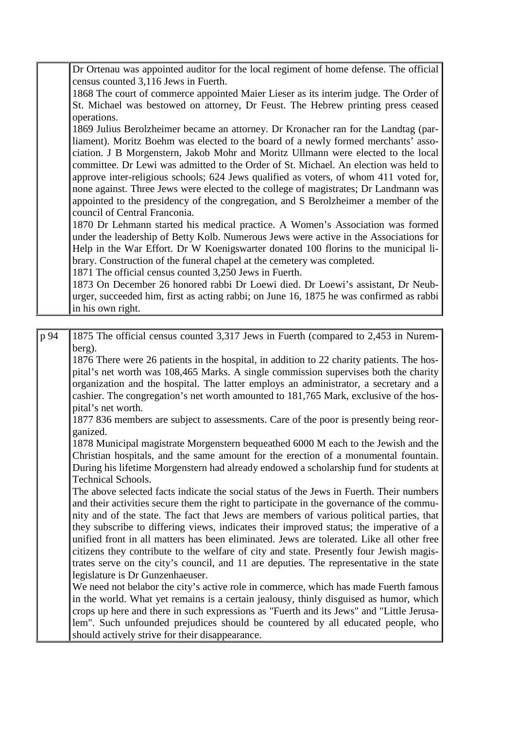| Dr Ortenau was appointed auditor for the local regiment of home defense. The official |
|---------------------------------------------------------------------------------------|
| census counted $3,116$ Jews in Fuerth.                                                |

1868 The court of commerce appointed Maier Lieser as its interim judge. The Order of St. Michael was bestowed on attorney, Dr Feust. The Hebrew printing press ceased operations.

1869 Julius Berolzheimer became an attorney. Dr Kronacher ran for the Landtag (parliament). Moritz Boehm was elected to the board of a newly formed merchants' association. J B Morgenstern, Jakob Mohr and Moritz Ullmann were elected to the local committee. Dr Lewi was admitted to the Order of St. Michael. An election was held to approve inter-religious schools; 624 Jews qualified as voters, of whom 411 voted for, none against. Three Jews were elected to the college of magistrates; Dr Landmann was appointed to the presidency of the congregation, and S Berolzheimer a member of the council of Central Franconia.

1870 Dr Lehmann started his medical practice. A Women's Association was formed under the leadership of Betty Kolb. Numerous Jews were active in the Associations for Help in the War Effort. Dr W Koenigswarter donated 100 florins to the municipal library. Construction of the funeral chapel at the cemetery was completed.

1871 The official census counted 3,250 Jews in Fuerth.

1873 On December 26 honored rabbi Dr Loewi died. Dr Loewi's assistant, Dr Neuburger, succeeded him, first as acting rabbi; on June 16, 1875 he was confirmed as rabbi in his own right.

| p 94 | 1875 The official census counted 3,317 Jews in Fuerth (compared to 2,453 in Nurem-                                                                                                   |
|------|--------------------------------------------------------------------------------------------------------------------------------------------------------------------------------------|
|      | berg).<br>1876 There were 26 patients in the hospital, in addition to 22 charity patients. The hos-                                                                                  |
|      | pital's net worth was 108,465 Marks. A single commission supervises both the charity                                                                                                 |
|      | organization and the hospital. The latter employs an administrator, a secretary and a                                                                                                |
|      | cashier. The congregation's net worth amounted to 181,765 Mark, exclusive of the hos-<br>pital's net worth.                                                                          |
|      | 1877 836 members are subject to assessments. Care of the poor is presently being reor-                                                                                               |
|      | ganized.                                                                                                                                                                             |
|      | 1878 Municipal magistrate Morgenstern bequeathed 6000 M each to the Jewish and the                                                                                                   |
|      | Christian hospitals, and the same amount for the erection of a monumental fountain.                                                                                                  |
|      | During his lifetime Morgenstern had already endowed a scholarship fund for students at<br><b>Technical Schools.</b>                                                                  |
|      | The above selected facts indicate the social status of the Jews in Fuerth. Their numbers                                                                                             |
|      | and their activities secure them the right to participate in the governance of the commu-                                                                                            |
|      | nity and of the state. The fact that Jews are members of various political parties, that                                                                                             |
|      | they subscribe to differing views, indicates their improved status; the imperative of a                                                                                              |
|      | unified front in all matters has been eliminated. Jews are tolerated. Like all other free<br>citizens they contribute to the welfare of city and state. Presently four Jewish magis- |
|      | trates serve on the city's council, and 11 are deputies. The representative in the state                                                                                             |
|      | legislature is Dr Gunzenhaeuser.                                                                                                                                                     |
|      | We need not belabor the city's active role in commerce, which has made Fuerth famous                                                                                                 |
|      | in the world. What yet remains is a certain jealousy, thinly disguised as humor, which                                                                                               |
|      | crops up here and there in such expressions as "Fuerth and its Jews" and "Little Jerusa-                                                                                             |
|      | lem". Such unfounded prejudices should be countered by all educated people, who<br>should actively strive for their disappearance.                                                   |
|      |                                                                                                                                                                                      |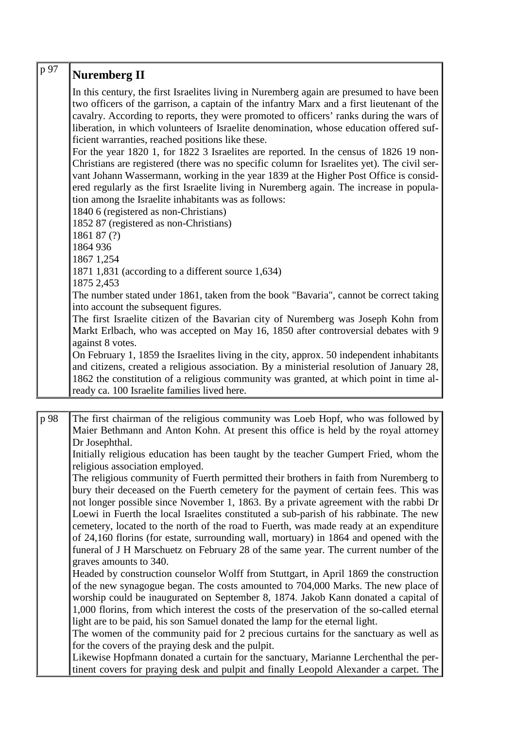| p 97 | <b>Nuremberg II</b>                                                                                                                                                                                                                                                                |
|------|------------------------------------------------------------------------------------------------------------------------------------------------------------------------------------------------------------------------------------------------------------------------------------|
|      | In this century, the first Israelites living in Nuremberg again are presumed to have been<br>two officers of the garrison, a captain of the infantry Marx and a first lieutenant of the<br>cavalry. According to reports, they were promoted to officers' ranks during the wars of |
|      | liberation, in which volunteers of Israelite denomination, whose education offered suf-<br>ficient warranties, reached positions like these.                                                                                                                                       |
|      | For the year 1820 1, for 1822 3 Israelites are reported. In the census of 1826 19 non-                                                                                                                                                                                             |
|      | Christians are registered (there was no specific column for Israelites yet). The civil ser-<br>vant Johann Wassermann, working in the year 1839 at the Higher Post Office is consid-<br>ered regularly as the first Israelite living in Nuremberg again. The increase in popula-   |
|      | tion among the Israelite inhabitants was as follows:                                                                                                                                                                                                                               |
|      | 1840 6 (registered as non-Christians)                                                                                                                                                                                                                                              |
|      | 1852 87 (registered as non-Christians)                                                                                                                                                                                                                                             |
|      | 1861 87 (?)                                                                                                                                                                                                                                                                        |
|      | 1864 936                                                                                                                                                                                                                                                                           |
|      | 1867 1,254                                                                                                                                                                                                                                                                         |
|      | 1871 1,831 (according to a different source 1,634)                                                                                                                                                                                                                                 |
|      | 1875 2,453                                                                                                                                                                                                                                                                         |
|      | The number stated under 1861, taken from the book "Bavaria", cannot be correct taking                                                                                                                                                                                              |
|      | into account the subsequent figures.                                                                                                                                                                                                                                               |
|      | The first Israelite citizen of the Bavarian city of Nuremberg was Joseph Kohn from                                                                                                                                                                                                 |
|      | Markt Erlbach, who was accepted on May 16, 1850 after controversial debates with 9                                                                                                                                                                                                 |
|      | against 8 votes.                                                                                                                                                                                                                                                                   |
|      | On February 1, 1859 the Israelites living in the city, approx. 50 independent inhabitants<br>and citizens, created a religious association. By a ministerial resolution of January 28,                                                                                             |
|      | 1862 the constitution of a religious community was granted, at which point in time al-<br>ready ca. 100 Israelite families lived here.                                                                                                                                             |
|      |                                                                                                                                                                                                                                                                                    |

p 98 The first chairman of the religious community was Loeb Hopf, who was followed by Maier Bethmann and Anton Kohn. At present this office is held by the royal attorney Dr Josephthal.

Initially religious education has been taught by the teacher Gumpert Fried, whom the religious association employed.

The religious community of Fuerth permitted their brothers in faith from Nuremberg to bury their deceased on the Fuerth cemetery for the payment of certain fees. This was not longer possible since November 1, 1863. By a private agreement with the rabbi Dr Loewi in Fuerth the local Israelites constituted a sub-parish of his rabbinate. The new cemetery, located to the north of the road to Fuerth, was made ready at an expenditure of 24,160 florins (for estate, surrounding wall, mortuary) in 1864 and opened with the funeral of J H Marschuetz on February 28 of the same year. The current number of the graves amounts to 340.

Headed by construction counselor Wolff from Stuttgart, in April 1869 the construction of the new synagogue began. The costs amounted to 704,000 Marks. The new place of worship could be inaugurated on September 8, 1874. Jakob Kann donated a capital of 1,000 florins, from which interest the costs of the preservation of the so-called eternal light are to be paid, his son Samuel donated the lamp for the eternal light.

The women of the community paid for 2 precious curtains for the sanctuary as well as for the covers of the praying desk and the pulpit.

Likewise Hopfmann donated a curtain for the sanctuary, Marianne Lerchenthal the pertinent covers for praying desk and pulpit and finally Leopold Alexander a carpet. The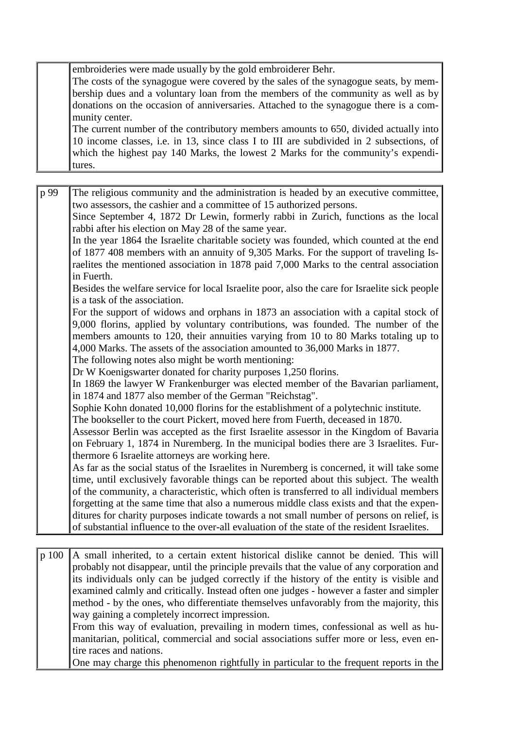embroideries were made usually by the gold embroiderer Behr.

The costs of the synagogue were covered by the sales of the synagogue seats, by membership dues and a voluntary loan from the members of the community as well as by donations on the occasion of anniversaries. Attached to the synagogue there is a community center.

The current number of the contributory members amounts to 650, divided actually into 10 income classes, i.e. in 13, since class I to III are subdivided in 2 subsections, of which the highest pay 140 Marks, the lowest 2 Marks for the community's expenditures.

p 99 The religious community and the administration is headed by an executive committee, two assessors, the cashier and a committee of 15 authorized persons. Since September 4, 1872 Dr Lewin, formerly rabbi in Zurich, functions as the local rabbi after his election on May 28 of the same year. In the year 1864 the Israelite charitable society was founded, which counted at the end of 1877 408 members with an annuity of 9,305 Marks. For the support of traveling Israelites the mentioned association in 1878 paid 7,000 Marks to the central association in Fuerth. Besides the welfare service for local Israelite poor, also the care for Israelite sick people is a task of the association. For the support of widows and orphans in 1873 an association with a capital stock of 9,000 florins, applied by voluntary contributions, was founded. The number of the members amounts to 120, their annuities varying from 10 to 80 Marks totaling up to 4,000 Marks. The assets of the association amounted to 36,000 Marks in 1877. The following notes also might be worth mentioning: Dr W Koenigswarter donated for charity purposes 1,250 florins. In 1869 the lawyer W Frankenburger was elected member of the Bavarian parliament, in 1874 and 1877 also member of the German "Reichstag". Sophie Kohn donated 10,000 florins for the establishment of a polytechnic institute. The bookseller to the court Pickert, moved here from Fuerth, deceased in 1870. Assessor Berlin was accepted as the first Israelite assessor in the Kingdom of Bavaria on February 1, 1874 in Nuremberg. In the municipal bodies there are 3 Israelites. Furthermore 6 Israelite attorneys are working here. As far as the social status of the Israelites in Nuremberg is concerned, it will take some time, until exclusively favorable things can be reported about this subject. The wealth of the community, a characteristic, which often is transferred to all individual members forgetting at the same time that also a numerous middle class exists and that the expenditures for charity purposes indicate towards a not small number of persons on relief, is of substantial influence to the over-all evaluation of the state of the resident Israelites.

p 100 A small inherited, to a certain extent historical dislike cannot be denied. This will probably not disappear, until the principle prevails that the value of any corporation and its individuals only can be judged correctly if the history of the entity is visible and examined calmly and critically. Instead often one judges - however a faster and simpler method - by the ones, who differentiate themselves unfavorably from the majority, this way gaining a completely incorrect impression.

From this way of evaluation, prevailing in modern times, confessional as well as humanitarian, political, commercial and social associations suffer more or less, even entire races and nations.

One may charge this phenomenon rightfully in particular to the frequent reports in the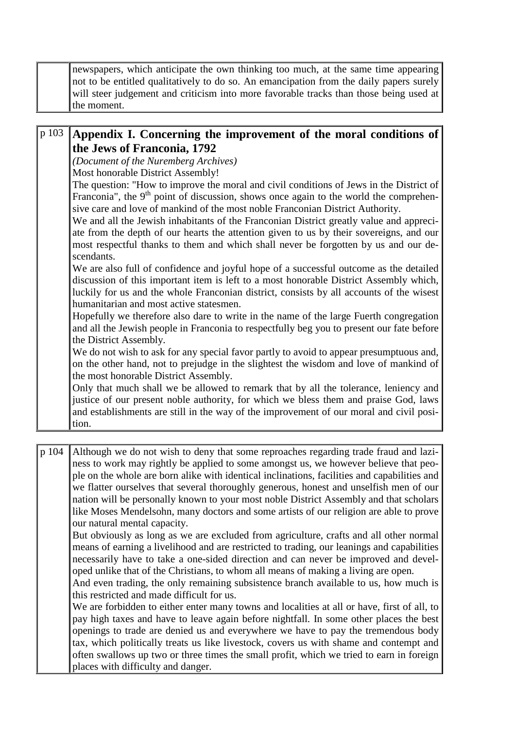| newspapers, which anticipate the own thinking too much, at the same time appearing      |
|-----------------------------------------------------------------------------------------|
| not to be entitled qualitatively to do so. An emancipation from the daily papers surely |
| will steer judgement and criticism into more favorable tracks than those being used at  |
| the moment.                                                                             |

#### p 103 **Appendix I. Concerning the improvement of the moral conditions of the Jews of Franconia, 1792**

*(Document of the Nuremberg Archives)*

Most honorable District Assembly!

The question: "How to improve the moral and civil conditions of Jews in the District of Franconia", the  $9<sup>th</sup>$  point of discussion, shows once again to the world the comprehensive care and love of mankind of the most noble Franconian District Authority.

We and all the Jewish inhabitants of the Franconian District greatly value and appreciate from the depth of our hearts the attention given to us by their sovereigns, and our most respectful thanks to them and which shall never be forgotten by us and our descendants.

We are also full of confidence and joyful hope of a successful outcome as the detailed discussion of this important item is left to a most honorable District Assembly which, luckily for us and the whole Franconian district, consists by all accounts of the wisest humanitarian and most active statesmen.

Hopefully we therefore also dare to write in the name of the large Fuerth congregation and all the Jewish people in Franconia to respectfully beg you to present our fate before the District Assembly.

We do not wish to ask for any special favor partly to avoid to appear presumptuous and, on the other hand, not to prejudge in the slightest the wisdom and love of mankind of the most honorable District Assembly.

Only that much shall we be allowed to remark that by all the tolerance, leniency and justice of our present noble authority, for which we bless them and praise God, laws and establishments are still in the way of the improvement of our moral and civil position.

p 104 Although we do not wish to deny that some reproaches regarding trade fraud and laziness to work may rightly be applied to some amongst us, we however believe that people on the whole are born alike with identical inclinations, facilities and capabilities and we flatter ourselves that several thoroughly generous, honest and unselfish men of our nation will be personally known to your most noble District Assembly and that scholars like Moses Mendelsohn, many doctors and some artists of our religion are able to prove our natural mental capacity.

But obviously as long as we are excluded from agriculture, crafts and all other normal means of earning a livelihood and are restricted to trading, our leanings and capabilities necessarily have to take a one-sided direction and can never be improved and developed unlike that of the Christians, to whom all means of making a living are open.

And even trading, the only remaining subsistence branch available to us, how much is this restricted and made difficult for us.

We are forbidden to either enter many towns and localities at all or have, first of all, to pay high taxes and have to leave again before nightfall. In some other places the best openings to trade are denied us and everywhere we have to pay the tremendous body tax, which politically treats us like livestock, covers us with shame and contempt and often swallows up two or three times the small profit, which we tried to earn in foreign places with difficulty and danger.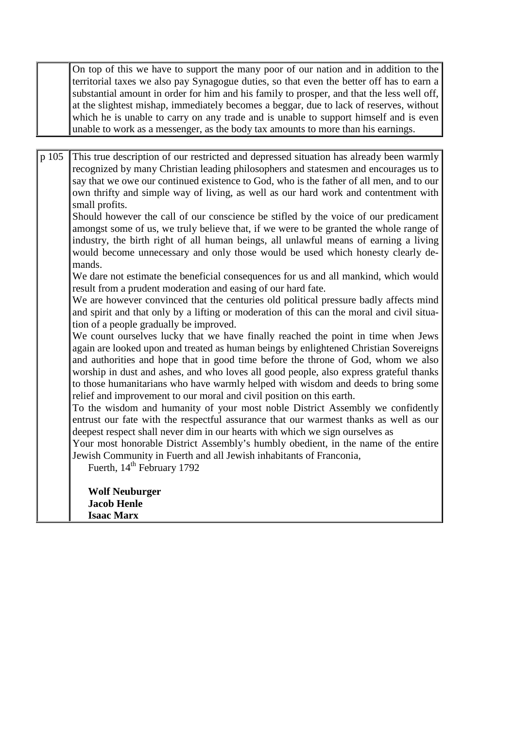On top of this we have to support the many poor of our nation and in addition to the territorial taxes we also pay Synagogue duties, so that even the better off has to earn a substantial amount in order for him and his family to prosper, and that the less well off, at the slightest mishap, immediately becomes a beggar, due to lack of reserves, without which he is unable to carry on any trade and is unable to support himself and is even unable to work as a messenger, as the body tax amounts to more than his earnings.

p 105 This true description of our restricted and depressed situation has already been warmly recognized by many Christian leading philosophers and statesmen and encourages us to say that we owe our continued existence to God, who is the father of all men, and to our own thrifty and simple way of living, as well as our hard work and contentment with small profits.

Should however the call of our conscience be stifled by the voice of our predicament amongst some of us, we truly believe that, if we were to be granted the whole range of industry, the birth right of all human beings, all unlawful means of earning a living would become unnecessary and only those would be used which honesty clearly demands.

We dare not estimate the beneficial consequences for us and all mankind, which would result from a prudent moderation and easing of our hard fate.

We are however convinced that the centuries old political pressure badly affects mind and spirit and that only by a lifting or moderation of this can the moral and civil situation of a people gradually be improved.

We count ourselves lucky that we have finally reached the point in time when Jews again are looked upon and treated as human beings by enlightened Christian Sovereigns and authorities and hope that in good time before the throne of God, whom we also worship in dust and ashes, and who loves all good people, also express grateful thanks to those humanitarians who have warmly helped with wisdom and deeds to bring some relief and improvement to our moral and civil position on this earth.

To the wisdom and humanity of your most noble District Assembly we confidently entrust our fate with the respectful assurance that our warmest thanks as well as our deepest respect shall never dim in our hearts with which we sign ourselves as

Your most honorable District Assembly's humbly obedient, in the name of the entire Jewish Community in Fuerth and all Jewish inhabitants of Franconia,

Fuerth, 14<sup>th</sup> February 1792

**Wolf Neuburger Jacob Henle Isaac Marx**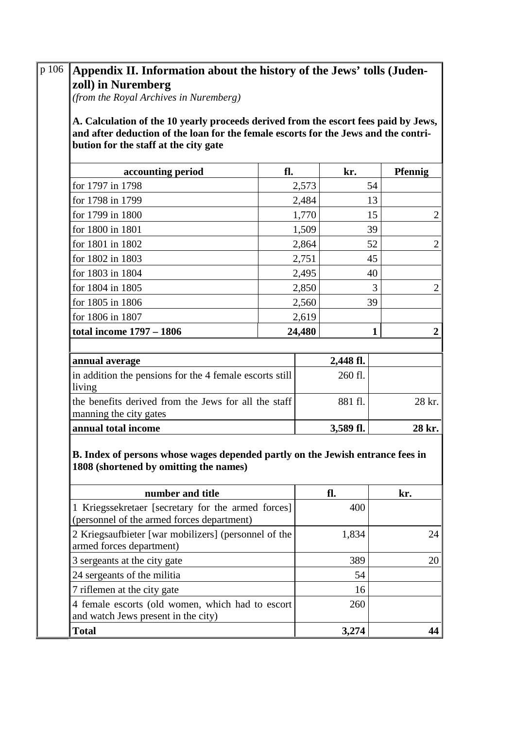| (from the Royal Archives in Nuremberg)<br>A. Calculation of the 10 yearly proceeds derived from the escort fees paid by Jews,<br>and after deduction of the loan for the female escorts for the Jews and the contri-<br>bution for the staff at the city gate |        |              |                |  |  |
|---------------------------------------------------------------------------------------------------------------------------------------------------------------------------------------------------------------------------------------------------------------|--------|--------------|----------------|--|--|
| accounting period                                                                                                                                                                                                                                             | fl.    | kr.          | <b>Pfennig</b> |  |  |
| for 1797 in 1798                                                                                                                                                                                                                                              | 2,573  | 54           |                |  |  |
| for 1798 in 1799                                                                                                                                                                                                                                              | 2,484  | 13           |                |  |  |
| for 1799 in 1800                                                                                                                                                                                                                                              | 1,770  | 15           | 2              |  |  |
| for 1800 in 1801                                                                                                                                                                                                                                              | 1,509  | 39           |                |  |  |
| for 1801 in 1802                                                                                                                                                                                                                                              | 2,864  | 52           | 2              |  |  |
| for 1802 in 1803                                                                                                                                                                                                                                              | 2,751  | 45           |                |  |  |
| for 1803 in 1804                                                                                                                                                                                                                                              | 2,495  | 40           |                |  |  |
| for 1804 in 1805                                                                                                                                                                                                                                              | 2,850  | 3            | 2              |  |  |
| for 1805 in 1806                                                                                                                                                                                                                                              | 2,560  | 39           |                |  |  |
| for 1806 in 1807<br>2,619                                                                                                                                                                                                                                     |        |              |                |  |  |
| total income 1797 - 1806                                                                                                                                                                                                                                      | 24,480 | $\mathbf{1}$ | 2              |  |  |
| in addition the pensions for the 4 female escorts still<br>living                                                                                                                                                                                             |        | 260 fl.      |                |  |  |
|                                                                                                                                                                                                                                                               |        |              |                |  |  |
| the benefits derived from the Jews for all the staff                                                                                                                                                                                                          |        | 881 fl.      | 28 kr.         |  |  |
|                                                                                                                                                                                                                                                               |        |              |                |  |  |
| manning the city gates<br>annual total income<br>B. Index of persons whose wages depended partly on the Jewish entrance fees in<br>1808 (shortened by omitting the names)                                                                                     |        | 3,589 fl.    | 28 kr.         |  |  |
| number and title                                                                                                                                                                                                                                              |        | fl.          | kr.            |  |  |
| 1 Kriegssekretaer [secretary for the armed forces]<br>(personnel of the armed forces department)                                                                                                                                                              |        | 400          |                |  |  |
| 2 Kriegsaufbieter [war mobilizers] (personnel of the<br>armed forces department)                                                                                                                                                                              |        | 1,834        |                |  |  |
| 3 sergeants at the city gate                                                                                                                                                                                                                                  |        | 389          |                |  |  |
| 24 sergeants of the militia                                                                                                                                                                                                                                   |        | 54           |                |  |  |
| 7 riflemen at the city gate                                                                                                                                                                                                                                   |        | 16           | 24<br>20       |  |  |
| 4 female escorts (old women, which had to escort<br>and watch Jews present in the city)                                                                                                                                                                       |        | 260          |                |  |  |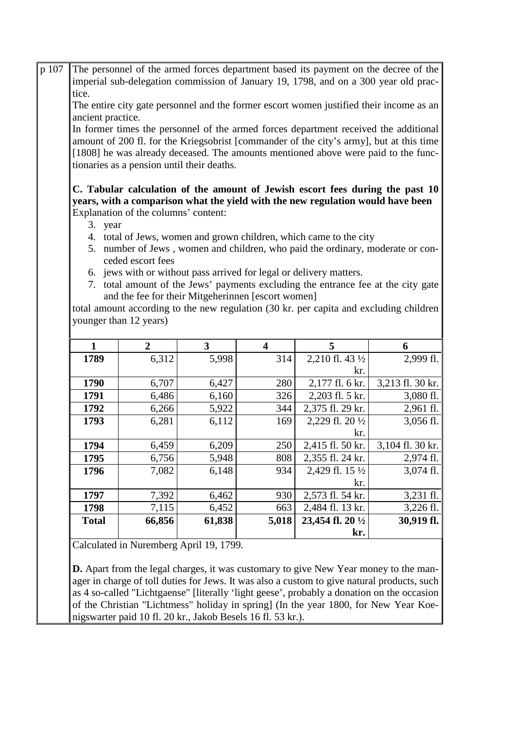The personnel of the armed forces department based its payment on the decree of the imperial sub-delegation commission of January 19, 1798, and on a 300 year old practice. p 107

The entire city gate personnel and the former escort women justified their income as an ancient practice.

In former times the personnel of the armed forces department received the additional amount of 200 fl. for the Kriegsobrist [commander of the city's army], but at this time [1808] he was already deceased. The amounts mentioned above were paid to the functionaries as a pension until their deaths.

#### **C. Tabular calculation of the amount of Jewish escort fees during the past 10 years, with a comparison what the yield with the new regulation would have been** Explanation of the columns' content:

- 3. year
- 4. total of Jews, women and grown children, which came to the city
- 5. number of Jews , women and children, who paid the ordinary, moderate or conceded escort fees
- 6. jews with or without pass arrived for legal or delivery matters.
- 7. total amount of the Jews' payments excluding the entrance fee at the city gate and the fee for their Mitgeherinnen [escort women]

total amount according to the new regulation (30 kr. per capita and excluding children younger than 12 years)

| 1            | $\overline{2}$ | 3      | 4     | 5                 | 6                   |
|--------------|----------------|--------|-------|-------------------|---------------------|
| 1789         | 6,312          | 5,998  | 314   | 2,210 fl. 43 1/2  | 2,999 fl.           |
|              |                |        |       | kr.               |                     |
| 1790         | 6,707          | 6,427  | 280   | 2,177 fl. 6 kr.   | 3,213 fl. 30 kr.    |
| 1791         | 6,486          | 6,160  | 326   | 2,203 fl. 5 kr.   | $3,080$ fl.         |
| 1792         | 6,266          | 5,922  | 344   | 2,375 fl. 29 kr.  | $2,961$ fl.         |
| 1793         | 6,281          | 6,112  | 169   | 2,229 fl. 20 1/2  | $3,056$ fl.         |
|              |                |        |       | kr.               |                     |
| 1794         | 6,459          | 6,209  | 250   | 2,415 fl. 50 kr.  | 3,104 fl. 30 kr.    |
| 1795         | 6,756          | 5,948  | 808   | 2,355 fl. 24 kr.  | $2,974$ fl.         |
| 1796         | 7,082          | 6,148  | 934   | 2,429 fl. 15 1/2  | $3,074$ fl.         |
|              |                |        |       | kr.               |                     |
| 1797         | 7,392          | 6,462  | 930   | 2,573 fl. 54 kr.  | $3,231$ fl.         |
| 1798         | 7,115          | 6,452  | 663   | 2,484 fl. 13 kr.  | $3,226 \text{ fl.}$ |
| <b>Total</b> | 66,856         | 61,838 | 5,018 | 23,454 fl. 20 1/2 | 30,919 fl.          |
|              |                |        |       | kr.               |                     |

Calculated in Nuremberg April 19, 1799.

**D.** Apart from the legal charges, it was customary to give New Year money to the manager in charge of toll duties for Jews. It was also a custom to give natural products, such as 4 so-called "Lichtgaense" [literally 'light geese', probably a donation on the occasion of the Christian "Lichtmess" holiday in spring] (In the year 1800, for New Year Koenigswarter paid 10 fl. 20 kr., Jakob Besels 16 fl. 53 kr.).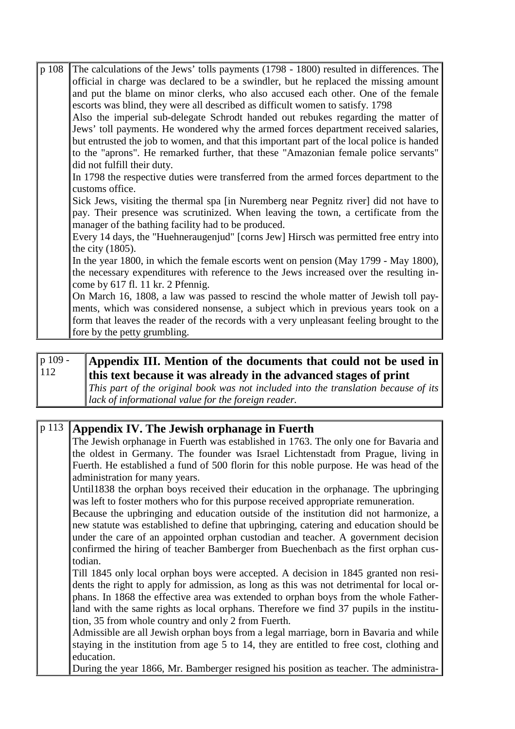| p 108 | The calculations of the Jews' tolls payments (1798 - 1800) resulted in differences. The    |
|-------|--------------------------------------------------------------------------------------------|
|       | official in charge was declared to be a swindler, but he replaced the missing amount       |
|       | and put the blame on minor clerks, who also accused each other. One of the female          |
|       | escorts was blind, they were all described as difficult women to satisfy. 1798             |
|       | Also the imperial sub-delegate Schrodt handed out rebukes regarding the matter of          |
|       | Jews' toll payments. He wondered why the armed forces department received salaries,        |
|       | but entrusted the job to women, and that this important part of the local police is handed |
|       | to the "aprons". He remarked further, that these "Amazonian female police servants"        |
|       | did not fulfill their duty.                                                                |
|       | In 1798 the respective duties were transferred from the armed forces department to the     |
|       | customs office.                                                                            |
|       | Sick Jews, visiting the thermal spa [in Nuremberg near Pegnitz river] did not have to      |
|       | pay. Their presence was scrutinized. When leaving the town, a certificate from the         |
|       | manager of the bathing facility had to be produced.                                        |
|       | Every 14 days, the "Huehneraugenjud" [corns Jew] Hirsch was permitted free entry into      |
|       | the city $(1805)$ .                                                                        |
|       | In the year 1800, in which the female escorts went on pension (May 1799 - May 1800),       |
|       | the necessary expenditures with reference to the Jews increased over the resulting in-     |
|       | come by $617$ fl. 11 kr. 2 Pfennig.                                                        |
|       | On March 16, 1808, a law was passed to rescind the whole matter of Jewish toll pay-        |
|       | ments, which was considered nonsense, a subject which in previous years took on a          |
|       | form that leaves the reader of the records with a very unpleasant feeling brought to the   |
|       | fore by the petty grumbling.                                                               |

p 109 -112

### **Appendix III. Mention of the documents that could not be used in this text because it was already in the advanced stages of print**

*This part of the original book was not included into the translation because of its lack of informational value for the foreign reader.*

| p 113 | Appendix IV. The Jewish orphanage in Fuerth                                               |
|-------|-------------------------------------------------------------------------------------------|
|       | The Jewish orphanage in Fuerth was established in 1763. The only one for Bavaria and      |
|       | the oldest in Germany. The founder was Israel Lichtenstadt from Prague, living in         |
|       | Fuerth. He established a fund of 500 florin for this noble purpose. He was head of the    |
|       | administration for many years.                                                            |
|       | Until 1838 the orphan boys received their education in the orphanage. The upbringing      |
|       | was left to foster mothers who for this purpose received appropriate remuneration.        |
|       | Because the upbringing and education outside of the institution did not harmonize, a      |
|       | new statute was established to define that upbringing, catering and education should be   |
|       | under the care of an appointed orphan custodian and teacher. A government decision        |
|       | confirmed the hiring of teacher Bamberger from Buechenbach as the first orphan cus-       |
|       | todian.                                                                                   |
|       | Till 1845 only local orphan boys were accepted. A decision in 1845 granted non resi-      |
|       | dents the right to apply for admission, as long as this was not detrimental for local or- |
|       | phans. In 1868 the effective area was extended to orphan boys from the whole Father-      |
|       | land with the same rights as local orphans. Therefore we find 37 pupils in the institu-   |
|       | tion, 35 from whole country and only 2 from Fuerth.                                       |
|       | Admissible are all Jewish orphan boys from a legal marriage, born in Bavaria and while    |
|       | staying in the institution from age 5 to 14, they are entitled to free cost, clothing and |
|       | education.                                                                                |
|       | During the year 1866, Mr. Bamberger resigned his position as teacher. The administra-     |